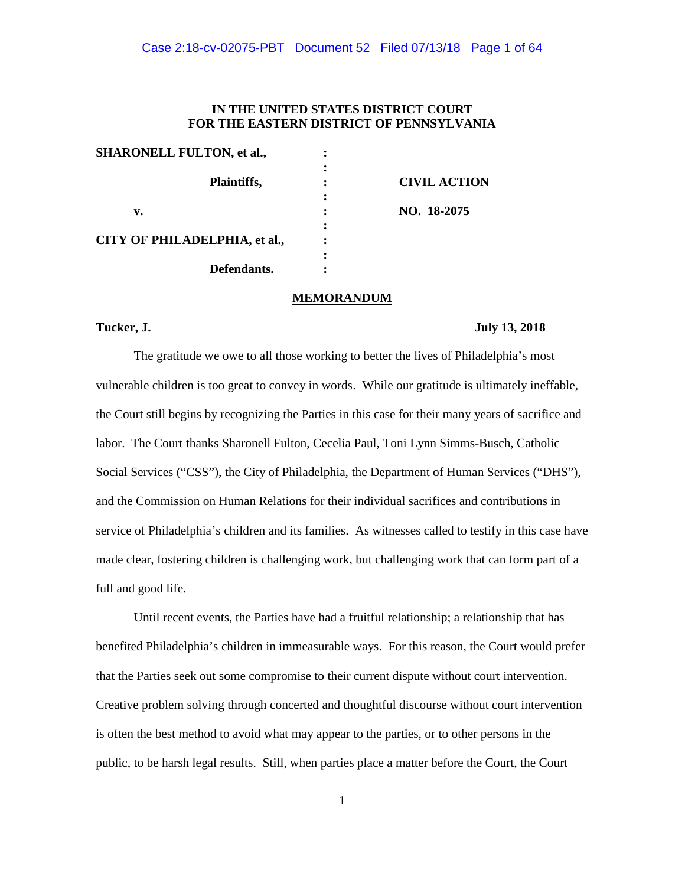## **IN THE UNITED STATES DISTRICT COURT FOR THE EASTERN DISTRICT OF PENNSYLVANIA**

| <b>SHARONELL FULTON, et al.,</b> |                     |
|----------------------------------|---------------------|
|                                  |                     |
| Plaintiffs,                      | <b>CIVIL ACTION</b> |
|                                  |                     |
| v.                               | NO. 18-2075         |
|                                  |                     |
| CITY OF PHILADELPHIA, et al.,    |                     |
|                                  |                     |
| Defendants.                      |                     |

### **MEMORANDUM**

### **Tucker, J. July 13, 2018**

The gratitude we owe to all those working to better the lives of Philadelphia's most vulnerable children is too great to convey in words. While our gratitude is ultimately ineffable, the Court still begins by recognizing the Parties in this case for their many years of sacrifice and labor. The Court thanks Sharonell Fulton, Cecelia Paul, Toni Lynn Simms-Busch, Catholic Social Services ("CSS"), the City of Philadelphia, the Department of Human Services ("DHS"), and the Commission on Human Relations for their individual sacrifices and contributions in service of Philadelphia's children and its families. As witnesses called to testify in this case have made clear, fostering children is challenging work, but challenging work that can form part of a full and good life.

Until recent events, the Parties have had a fruitful relationship; a relationship that has benefited Philadelphia's children in immeasurable ways. For this reason, the Court would prefer that the Parties seek out some compromise to their current dispute without court intervention. Creative problem solving through concerted and thoughtful discourse without court intervention is often the best method to avoid what may appear to the parties, or to other persons in the public, to be harsh legal results. Still, when parties place a matter before the Court, the Court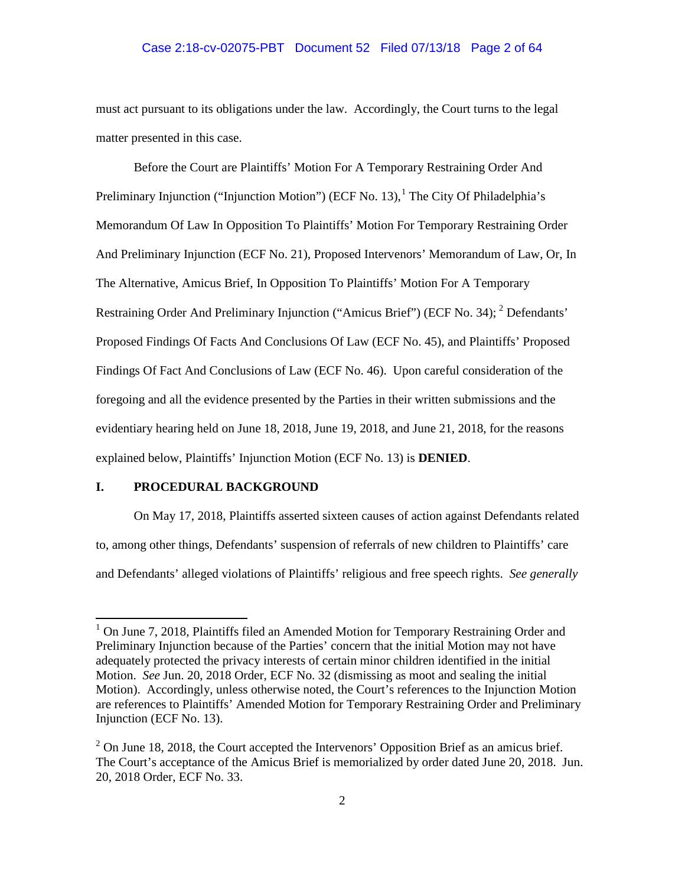## Case 2:18-cv-02075-PBT Document 52 Filed 07/13/18 Page 2 of 64

must act pursuant to its obligations under the law. Accordingly, the Court turns to the legal matter presented in this case.

Before the Court are Plaintiffs' Motion For A Temporary Restraining Order And Preliminary Injunction ("Injunction Motion") (ECF No. 13), $<sup>1</sup>$  The City Of Philadelphia's</sup> Memorandum Of Law In Opposition To Plaintiffs' Motion For Temporary Restraining Order And Preliminary Injunction (ECF No. 21), Proposed Intervenors' Memorandum of Law, Or, In The Alternative, Amicus Brief, In Opposition To Plaintiffs' Motion For A Temporary Restraining Order And Preliminary Injunction ("Amicus Brief") (ECF No. 34); <sup>2</sup> Defendants' Proposed Findings Of Facts And Conclusions Of Law (ECF No. 45), and Plaintiffs' Proposed Findings Of Fact And Conclusions of Law (ECF No. 46). Upon careful consideration of the foregoing and all the evidence presented by the Parties in their written submissions and the evidentiary hearing held on June 18, 2018, June 19, 2018, and June 21, 2018, for the reasons explained below, Plaintiffs' Injunction Motion (ECF No. 13) is **DENIED**.

## **I. PROCEDURAL BACKGROUND**

On May 17, 2018, Plaintiffs asserted sixteen causes of action against Defendants related to, among other things, Defendants' suspension of referrals of new children to Plaintiffs' care and Defendants' alleged violations of Plaintiffs' religious and free speech rights. *See generally* 

<sup>1</sup> On June 7, 2018, Plaintiffs filed an Amended Motion for Temporary Restraining Order and Preliminary Injunction because of the Parties' concern that the initial Motion may not have adequately protected the privacy interests of certain minor children identified in the initial Motion. *See* Jun. 20, 2018 Order, ECF No. 32 (dismissing as moot and sealing the initial Motion). Accordingly, unless otherwise noted, the Court's references to the Injunction Motion are references to Plaintiffs' Amended Motion for Temporary Restraining Order and Preliminary Injunction (ECF No. 13).

 $2$  On June 18, 2018, the Court accepted the Intervenors' Opposition Brief as an amicus brief. The Court's acceptance of the Amicus Brief is memorialized by order dated June 20, 2018. Jun. 20, 2018 Order, ECF No. 33.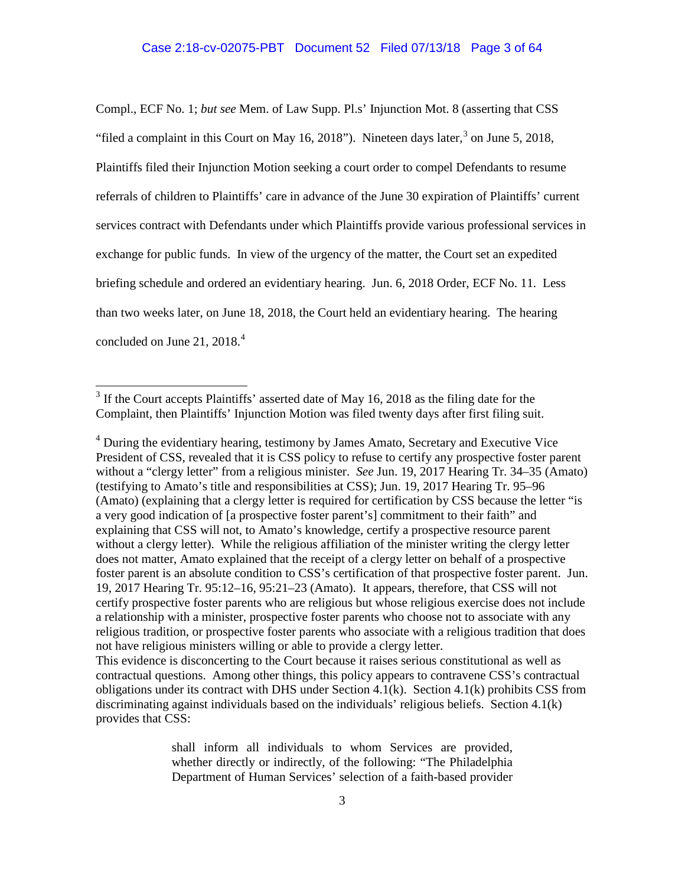# Case 2:18-cv-02075-PBT Document 52 Filed 07/13/18 Page 3 of 64

Compl., ECF No. 1; *but see* Mem. of Law Supp. Pl.s' Injunction Mot. 8 (asserting that CSS "filed a complaint in this Court on May 16, 2018"). Nineteen days later,  $3$  on June 5, 2018, Plaintiffs filed their Injunction Motion seeking a court order to compel Defendants to resume referrals of children to Plaintiffs' care in advance of the June 30 expiration of Plaintiffs' current services contract with Defendants under which Plaintiffs provide various professional services in exchange for public funds. In view of the urgency of the matter, the Court set an expedited briefing schedule and ordered an evidentiary hearing. Jun. 6, 2018 Order, ECF No. 11. Less than two weeks later, on June 18, 2018, the Court held an evidentiary hearing. The hearing concluded on June 21,  $2018.<sup>4</sup>$ 

<sup>4</sup> During the evidentiary hearing, testimony by James Amato, Secretary and Executive Vice President of CSS, revealed that it is CSS policy to refuse to certify any prospective foster parent without a "clergy letter" from a religious minister. *See* Jun. 19, 2017 Hearing Tr. 34–35 (Amato) (testifying to Amato's title and responsibilities at CSS); Jun. 19, 2017 Hearing Tr. 95–96 (Amato) (explaining that a clergy letter is required for certification by CSS because the letter "is a very good indication of [a prospective foster parent's] commitment to their faith" and explaining that CSS will not, to Amato's knowledge, certify a prospective resource parent without a clergy letter). While the religious affiliation of the minister writing the clergy letter does not matter, Amato explained that the receipt of a clergy letter on behalf of a prospective foster parent is an absolute condition to CSS's certification of that prospective foster parent. Jun. 19, 2017 Hearing Tr. 95:12–16, 95:21–23 (Amato). It appears, therefore, that CSS will not certify prospective foster parents who are religious but whose religious exercise does not include a relationship with a minister, prospective foster parents who choose not to associate with any religious tradition, or prospective foster parents who associate with a religious tradition that does not have religious ministers willing or able to provide a clergy letter.

This evidence is disconcerting to the Court because it raises serious constitutional as well as contractual questions. Among other things, this policy appears to contravene CSS's contractual obligations under its contract with DHS under Section 4.1(k). Section 4.1(k) prohibits CSS from discriminating against individuals based on the individuals' religious beliefs. Section 4.1(k) provides that CSS:

> shall inform all individuals to whom Services are provided, whether directly or indirectly, of the following: "The Philadelphia Department of Human Services' selection of a faith-based provider

<sup>&</sup>lt;sup>3</sup> If the Court accepts Plaintiffs' asserted date of May 16, 2018 as the filing date for the Complaint, then Plaintiffs' Injunction Motion was filed twenty days after first filing suit.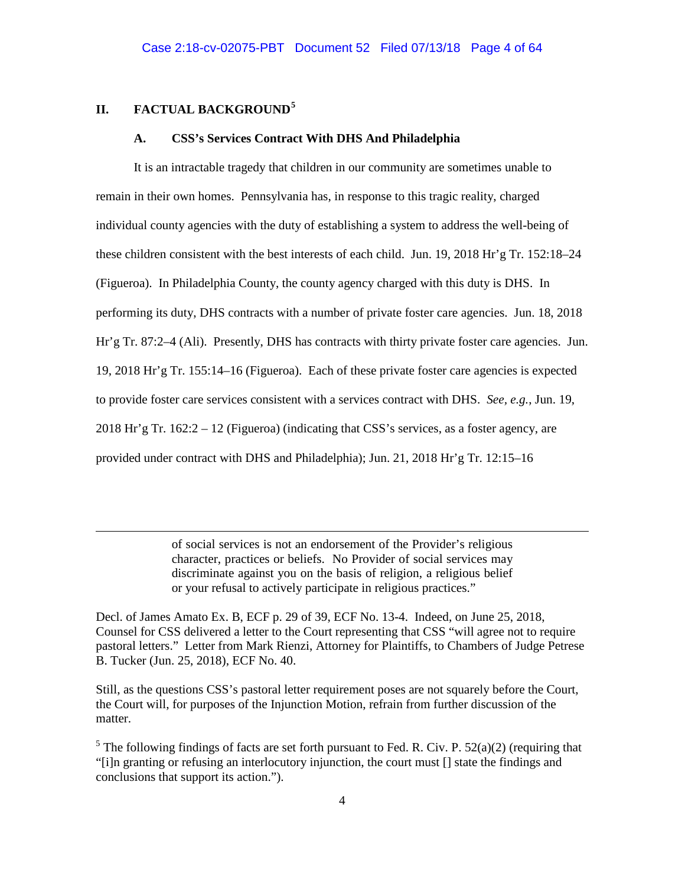# **II. FACTUAL BACKGROUND<sup>5</sup>**

 $\overline{a}$ 

#### **A. CSS's Services Contract With DHS And Philadelphia**

It is an intractable tragedy that children in our community are sometimes unable to remain in their own homes. Pennsylvania has, in response to this tragic reality, charged individual county agencies with the duty of establishing a system to address the well-being of these children consistent with the best interests of each child. Jun. 19, 2018 Hr'g Tr. 152:18–24 (Figueroa). In Philadelphia County, the county agency charged with this duty is DHS. In performing its duty, DHS contracts with a number of private foster care agencies. Jun. 18, 2018 Hr'g Tr. 87:2–4 (Ali). Presently, DHS has contracts with thirty private foster care agencies. Jun. 19, 2018 Hr'g Tr. 155:14–16 (Figueroa). Each of these private foster care agencies is expected to provide foster care services consistent with a services contract with DHS. *See, e.g.*, Jun. 19, 2018 Hr'g Tr.  $162:2 - 12$  (Figueroa) (indicating that CSS's services, as a foster agency, are provided under contract with DHS and Philadelphia); Jun. 21, 2018 Hr'g Tr. 12:15–16

> of social services is not an endorsement of the Provider's religious character, practices or beliefs. No Provider of social services may discriminate against you on the basis of religion, a religious belief or your refusal to actively participate in religious practices."

Decl. of James Amato Ex. B, ECF p. 29 of 39, ECF No. 13-4. Indeed, on June 25, 2018, Counsel for CSS delivered a letter to the Court representing that CSS "will agree not to require pastoral letters." Letter from Mark Rienzi, Attorney for Plaintiffs, to Chambers of Judge Petrese B. Tucker (Jun. 25, 2018), ECF No. 40.

Still, as the questions CSS's pastoral letter requirement poses are not squarely before the Court, the Court will, for purposes of the Injunction Motion, refrain from further discussion of the matter.

<sup>5</sup> The following findings of facts are set forth pursuant to Fed. R. Civ. P.  $52(a)(2)$  (requiring that "[i]n granting or refusing an interlocutory injunction, the court must [] state the findings and conclusions that support its action.").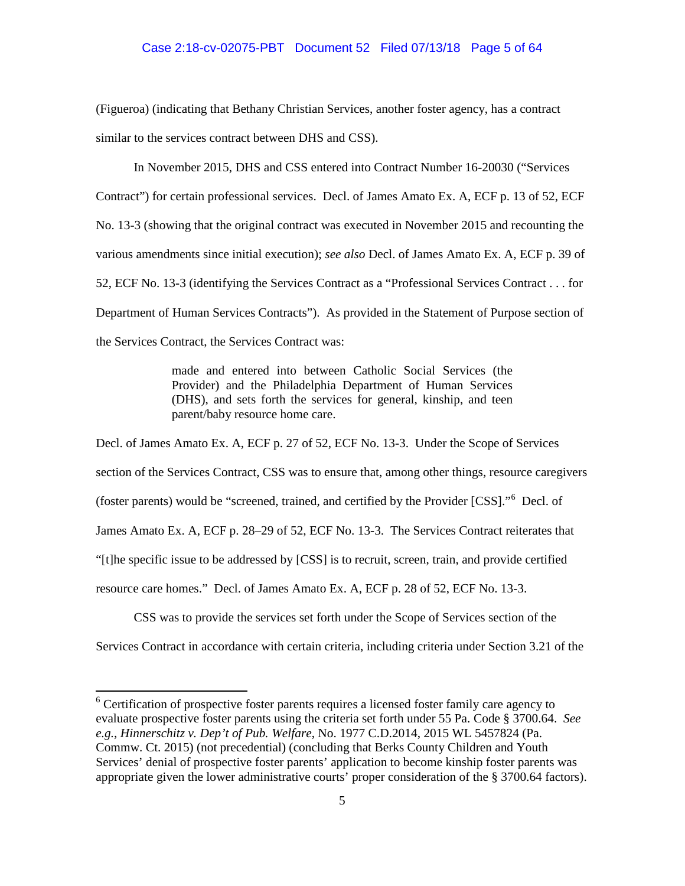## Case 2:18-cv-02075-PBT Document 52 Filed 07/13/18 Page 5 of 64

(Figueroa) (indicating that Bethany Christian Services, another foster agency, has a contract similar to the services contract between DHS and CSS).

In November 2015, DHS and CSS entered into Contract Number 16-20030 ("Services Contract") for certain professional services. Decl. of James Amato Ex. A, ECF p. 13 of 52, ECF No. 13-3 (showing that the original contract was executed in November 2015 and recounting the various amendments since initial execution); *see also* Decl. of James Amato Ex. A, ECF p. 39 of 52, ECF No. 13-3 (identifying the Services Contract as a "Professional Services Contract . . . for Department of Human Services Contracts"). As provided in the Statement of Purpose section of the Services Contract, the Services Contract was:

> made and entered into between Catholic Social Services (the Provider) and the Philadelphia Department of Human Services (DHS), and sets forth the services for general, kinship, and teen parent/baby resource home care.

Decl. of James Amato Ex. A, ECF p. 27 of 52, ECF No. 13-3. Under the Scope of Services section of the Services Contract, CSS was to ensure that, among other things, resource caregivers (foster parents) would be "screened, trained, and certified by the Provider [CSS]."<sup>6</sup> Decl. of James Amato Ex. A, ECF p. 28–29 of 52, ECF No. 13-3. The Services Contract reiterates that "[t]he specific issue to be addressed by [CSS] is to recruit, screen, train, and provide certified resource care homes." Decl. of James Amato Ex. A, ECF p. 28 of 52, ECF No. 13-3.

CSS was to provide the services set forth under the Scope of Services section of the Services Contract in accordance with certain criteria, including criteria under Section 3.21 of the

<sup>&</sup>lt;sup>6</sup> Certification of prospective foster parents requires a licensed foster family care agency to evaluate prospective foster parents using the criteria set forth under 55 Pa. Code § 3700.64. *See e.g.*, *Hinnerschitz v. Dep't of Pub. Welfare*, No. 1977 C.D.2014, 2015 WL 5457824 (Pa. Commw. Ct. 2015) (not precedential) (concluding that Berks County Children and Youth Services' denial of prospective foster parents' application to become kinship foster parents was appropriate given the lower administrative courts' proper consideration of the § 3700.64 factors).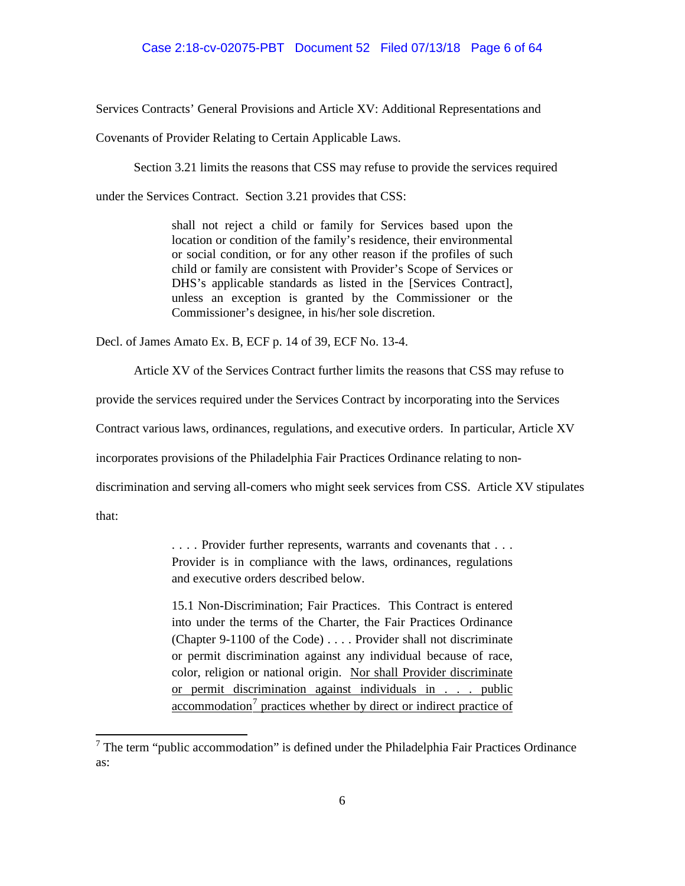Services Contracts' General Provisions and Article XV: Additional Representations and

Covenants of Provider Relating to Certain Applicable Laws.

Section 3.21 limits the reasons that CSS may refuse to provide the services required

under the Services Contract. Section 3.21 provides that CSS:

shall not reject a child or family for Services based upon the location or condition of the family's residence, their environmental or social condition, or for any other reason if the profiles of such child or family are consistent with Provider's Scope of Services or DHS's applicable standards as listed in the [Services Contract], unless an exception is granted by the Commissioner or the Commissioner's designee, in his/her sole discretion.

Decl. of James Amato Ex. B, ECF p. 14 of 39, ECF No. 13-4.

Article XV of the Services Contract further limits the reasons that CSS may refuse to

provide the services required under the Services Contract by incorporating into the Services

Contract various laws, ordinances, regulations, and executive orders. In particular, Article XV

incorporates provisions of the Philadelphia Fair Practices Ordinance relating to non-

discrimination and serving all-comers who might seek services from CSS. Article XV stipulates

that:

. . . . Provider further represents, warrants and covenants that . . . Provider is in compliance with the laws, ordinances, regulations and executive orders described below.

15.1 Non-Discrimination; Fair Practices. This Contract is entered into under the terms of the Charter, the Fair Practices Ordinance (Chapter 9-1100 of the Code) . . . . Provider shall not discriminate or permit discrimination against any individual because of race, color, religion or national origin. Nor shall Provider discriminate or permit discrimination against individuals in . . . public  $\alpha$ ccommodation<sup>7</sup> practices whether by direct or indirect practice of

 $7$  The term "public accommodation" is defined under the Philadelphia Fair Practices Ordinance as: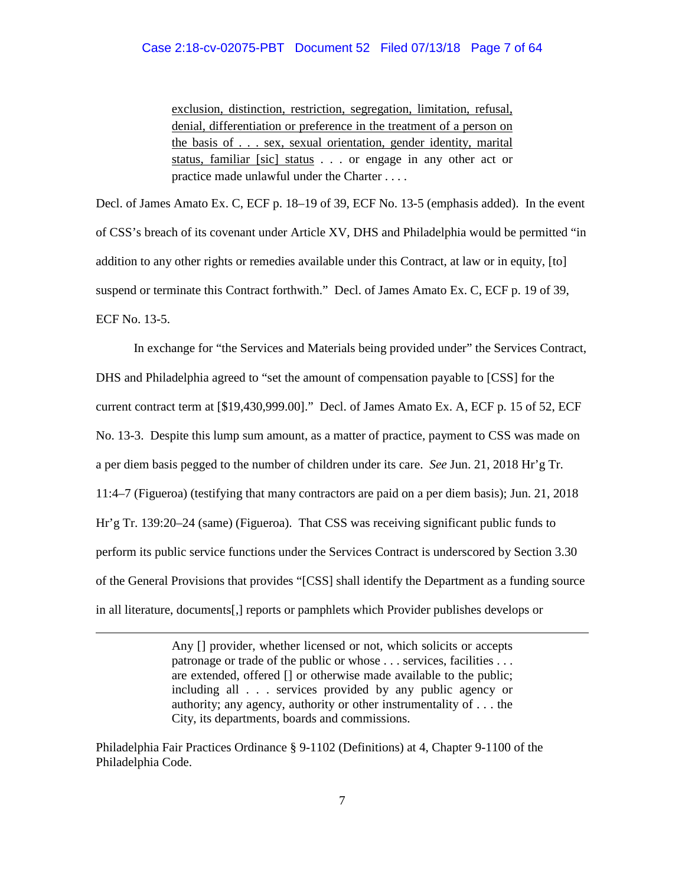### Case 2:18-cv-02075-PBT Document 52 Filed 07/13/18 Page 7 of 64

exclusion, distinction, restriction, segregation, limitation, refusal, denial, differentiation or preference in the treatment of a person on the basis of . . . sex, sexual orientation, gender identity, marital status, familiar [sic] status . . . or engage in any other act or practice made unlawful under the Charter . . . .

Decl. of James Amato Ex. C, ECF p. 18–19 of 39, ECF No. 13-5 (emphasis added). In the event of CSS's breach of its covenant under Article XV, DHS and Philadelphia would be permitted "in addition to any other rights or remedies available under this Contract, at law or in equity, [to] suspend or terminate this Contract forthwith." Decl. of James Amato Ex. C, ECF p. 19 of 39, ECF No. 13-5.

In exchange for "the Services and Materials being provided under" the Services Contract, DHS and Philadelphia agreed to "set the amount of compensation payable to [CSS] for the current contract term at [\$19,430,999.00]." Decl. of James Amato Ex. A, ECF p. 15 of 52, ECF No. 13-3. Despite this lump sum amount, as a matter of practice, payment to CSS was made on a per diem basis pegged to the number of children under its care. *See* Jun. 21, 2018 Hr'g Tr. 11:4–7 (Figueroa) (testifying that many contractors are paid on a per diem basis); Jun. 21, 2018 Hr'g Tr. 139:20–24 (same) (Figueroa). That CSS was receiving significant public funds to perform its public service functions under the Services Contract is underscored by Section 3.30 of the General Provisions that provides "[CSS] shall identify the Department as a funding source in all literature, documents[,] reports or pamphlets which Provider publishes develops or

> Any [] provider, whether licensed or not, which solicits or accepts patronage or trade of the public or whose . . . services, facilities . . . are extended, offered [] or otherwise made available to the public; including all . . . services provided by any public agency or authority; any agency, authority or other instrumentality of . . . the City, its departments, boards and commissions.

Philadelphia Fair Practices Ordinance § 9-1102 (Definitions) at 4, Chapter 9-1100 of the Philadelphia Code.

 $\overline{a}$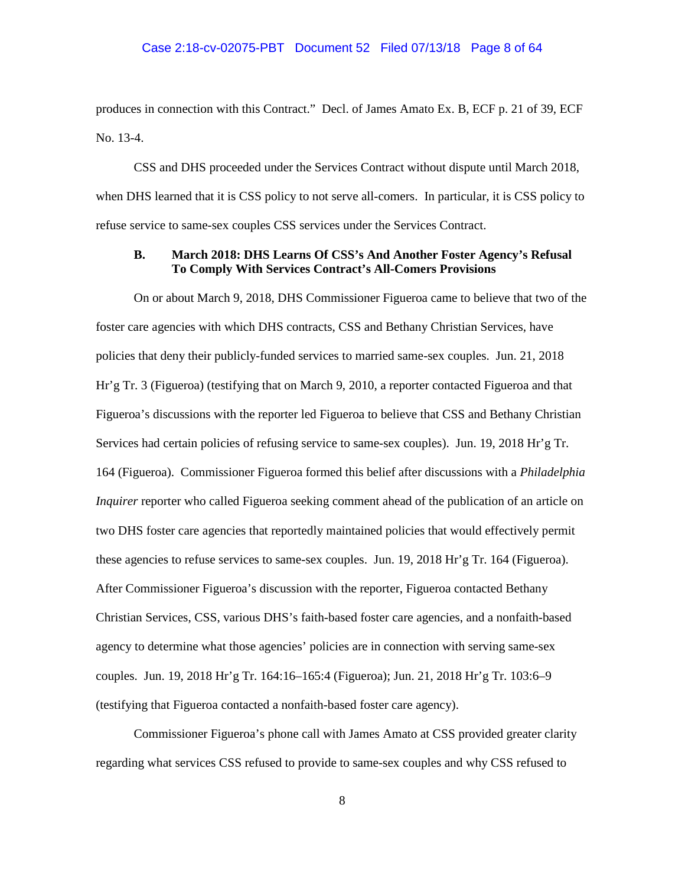## Case 2:18-cv-02075-PBT Document 52 Filed 07/13/18 Page 8 of 64

produces in connection with this Contract." Decl. of James Amato Ex. B, ECF p. 21 of 39, ECF No. 13-4.

CSS and DHS proceeded under the Services Contract without dispute until March 2018, when DHS learned that it is CSS policy to not serve all-comers. In particular, it is CSS policy to refuse service to same-sex couples CSS services under the Services Contract.

# **B. March 2018: DHS Learns Of CSS's And Another Foster Agency's Refusal To Comply With Services Contract's All-Comers Provisions**

On or about March 9, 2018, DHS Commissioner Figueroa came to believe that two of the foster care agencies with which DHS contracts, CSS and Bethany Christian Services, have policies that deny their publicly-funded services to married same-sex couples. Jun. 21, 2018 Hr'g Tr. 3 (Figueroa) (testifying that on March 9, 2010, a reporter contacted Figueroa and that Figueroa's discussions with the reporter led Figueroa to believe that CSS and Bethany Christian Services had certain policies of refusing service to same-sex couples). Jun. 19, 2018 Hr'g Tr. 164 (Figueroa). Commissioner Figueroa formed this belief after discussions with a *Philadelphia Inquirer* reporter who called Figueroa seeking comment ahead of the publication of an article on two DHS foster care agencies that reportedly maintained policies that would effectively permit these agencies to refuse services to same-sex couples. Jun. 19, 2018 Hr'g Tr. 164 (Figueroa). After Commissioner Figueroa's discussion with the reporter, Figueroa contacted Bethany Christian Services, CSS, various DHS's faith-based foster care agencies, and a nonfaith-based agency to determine what those agencies' policies are in connection with serving same-sex couples. Jun. 19, 2018 Hr'g Tr. 164:16–165:4 (Figueroa); Jun. 21, 2018 Hr'g Tr. 103:6–9 (testifying that Figueroa contacted a nonfaith-based foster care agency).

Commissioner Figueroa's phone call with James Amato at CSS provided greater clarity regarding what services CSS refused to provide to same-sex couples and why CSS refused to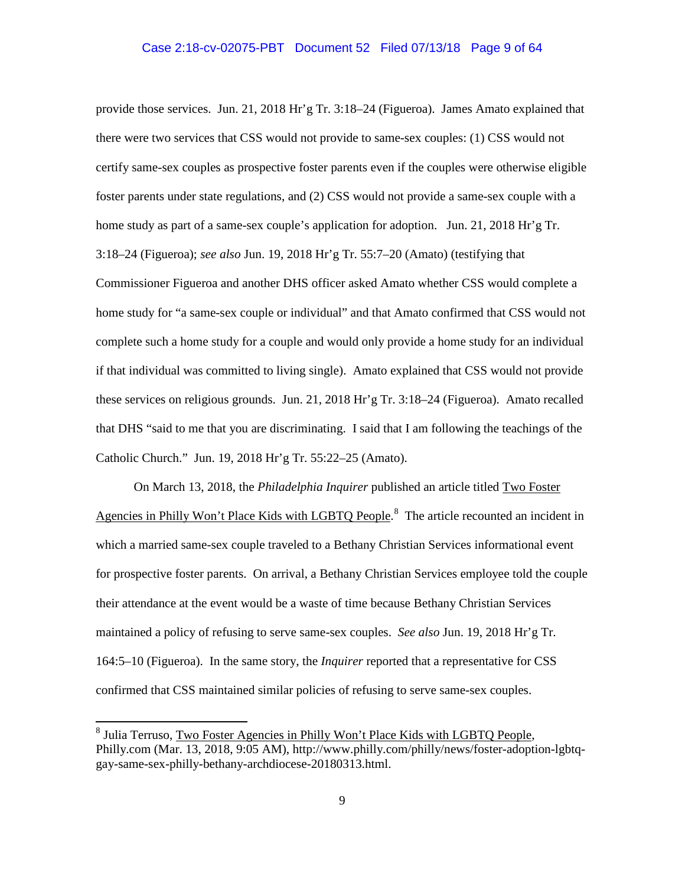## Case 2:18-cv-02075-PBT Document 52 Filed 07/13/18 Page 9 of 64

provide those services. Jun. 21, 2018 Hr'g Tr. 3:18–24 (Figueroa). James Amato explained that there were two services that CSS would not provide to same-sex couples: (1) CSS would not certify same-sex couples as prospective foster parents even if the couples were otherwise eligible foster parents under state regulations, and (2) CSS would not provide a same-sex couple with a home study as part of a same-sex couple's application for adoption. Jun. 21, 2018 Hr'g Tr. 3:18–24 (Figueroa); *see also* Jun. 19, 2018 Hr'g Tr. 55:7–20 (Amato) (testifying that Commissioner Figueroa and another DHS officer asked Amato whether CSS would complete a home study for "a same-sex couple or individual" and that Amato confirmed that CSS would not complete such a home study for a couple and would only provide a home study for an individual if that individual was committed to living single). Amato explained that CSS would not provide these services on religious grounds. Jun. 21, 2018 Hr'g Tr. 3:18–24 (Figueroa). Amato recalled that DHS "said to me that you are discriminating. I said that I am following the teachings of the Catholic Church." Jun. 19, 2018 Hr'g Tr. 55:22–25 (Amato).

On March 13, 2018, the *Philadelphia Inquirer* published an article titled Two Foster Agencies in Philly Won't Place Kids with LGBTQ People.<sup>8</sup> The article recounted an incident in which a married same-sex couple traveled to a Bethany Christian Services informational event for prospective foster parents. On arrival, a Bethany Christian Services employee told the couple their attendance at the event would be a waste of time because Bethany Christian Services maintained a policy of refusing to serve same-sex couples. *See also* Jun. 19, 2018 Hr'g Tr. 164:5–10 (Figueroa). In the same story, the *Inquirer* reported that a representative for CSS confirmed that CSS maintained similar policies of refusing to serve same-sex couples.

<sup>&</sup>lt;sup>8</sup> Julia Terruso, Two Foster Agencies in Philly Won't Place Kids with LGBTQ People, Philly.com (Mar. 13, 2018, 9:05 AM), http://www.philly.com/philly/news/foster-adoption-lgbtqgay-same-sex-philly-bethany-archdiocese-20180313.html.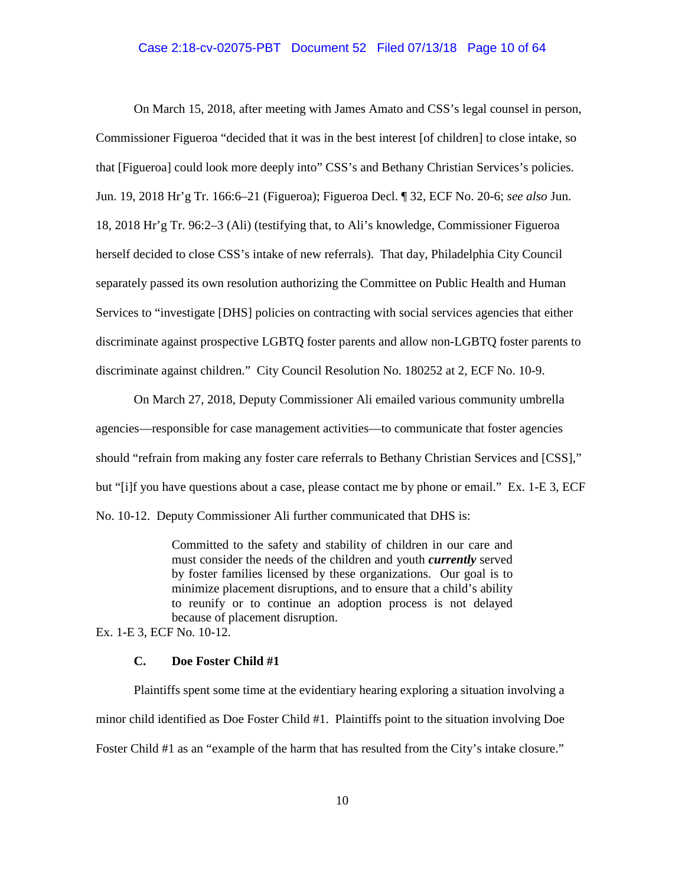### Case 2:18-cv-02075-PBT Document 52 Filed 07/13/18 Page 10 of 64

On March 15, 2018, after meeting with James Amato and CSS's legal counsel in person, Commissioner Figueroa "decided that it was in the best interest [of children] to close intake, so that [Figueroa] could look more deeply into" CSS's and Bethany Christian Services's policies. Jun. 19, 2018 Hr'g Tr. 166:6–21 (Figueroa); Figueroa Decl. ¶ 32, ECF No. 20-6; *see also* Jun. 18, 2018 Hr'g Tr. 96:2–3 (Ali) (testifying that, to Ali's knowledge, Commissioner Figueroa herself decided to close CSS's intake of new referrals). That day, Philadelphia City Council separately passed its own resolution authorizing the Committee on Public Health and Human Services to "investigate [DHS] policies on contracting with social services agencies that either discriminate against prospective LGBTQ foster parents and allow non-LGBTQ foster parents to discriminate against children." City Council Resolution No. 180252 at 2, ECF No. 10-9.

On March 27, 2018, Deputy Commissioner Ali emailed various community umbrella agencies—responsible for case management activities—to communicate that foster agencies should "refrain from making any foster care referrals to Bethany Christian Services and [CSS]," but "[i]f you have questions about a case, please contact me by phone or email." Ex. 1-E 3, ECF No. 10-12. Deputy Commissioner Ali further communicated that DHS is:

> Committed to the safety and stability of children in our care and must consider the needs of the children and youth *currently* served by foster families licensed by these organizations. Our goal is to minimize placement disruptions, and to ensure that a child's ability to reunify or to continue an adoption process is not delayed because of placement disruption.

Ex. 1-E 3, ECF No. 10-12.

# **C. Doe Foster Child #1**

Plaintiffs spent some time at the evidentiary hearing exploring a situation involving a minor child identified as Doe Foster Child #1. Plaintiffs point to the situation involving Doe Foster Child #1 as an "example of the harm that has resulted from the City's intake closure."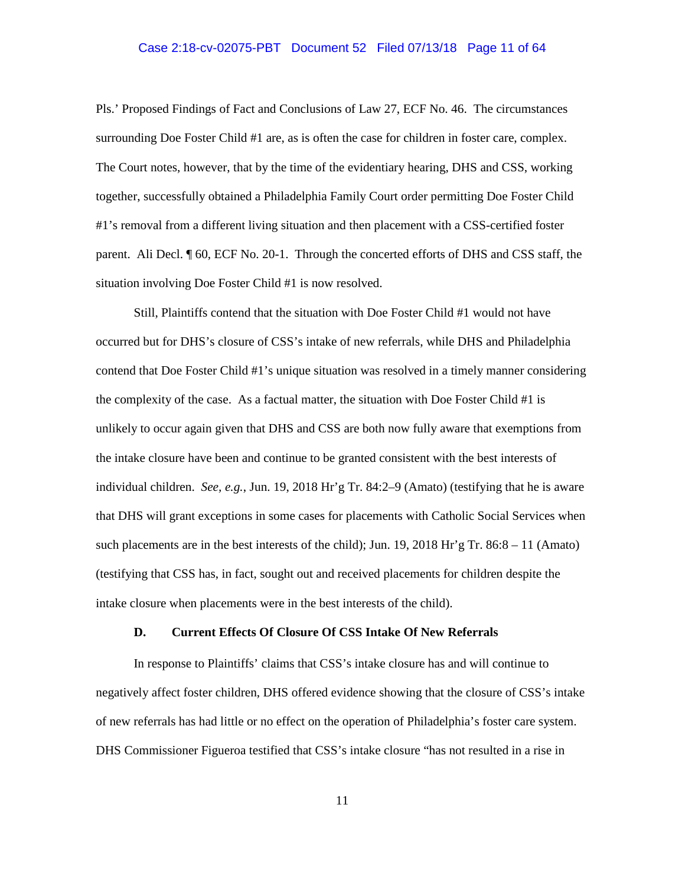#### Case 2:18-cv-02075-PBT Document 52 Filed 07/13/18 Page 11 of 64

Pls.' Proposed Findings of Fact and Conclusions of Law 27, ECF No. 46. The circumstances surrounding Doe Foster Child #1 are, as is often the case for children in foster care, complex. The Court notes, however, that by the time of the evidentiary hearing, DHS and CSS, working together, successfully obtained a Philadelphia Family Court order permitting Doe Foster Child #1's removal from a different living situation and then placement with a CSS-certified foster parent. Ali Decl. ¶ 60, ECF No. 20-1. Through the concerted efforts of DHS and CSS staff, the situation involving Doe Foster Child #1 is now resolved.

Still, Plaintiffs contend that the situation with Doe Foster Child #1 would not have occurred but for DHS's closure of CSS's intake of new referrals, while DHS and Philadelphia contend that Doe Foster Child #1's unique situation was resolved in a timely manner considering the complexity of the case. As a factual matter, the situation with Doe Foster Child #1 is unlikely to occur again given that DHS and CSS are both now fully aware that exemptions from the intake closure have been and continue to be granted consistent with the best interests of individual children. *See, e.g.*, Jun. 19, 2018 Hr'g Tr. 84:2–9 (Amato) (testifying that he is aware that DHS will grant exceptions in some cases for placements with Catholic Social Services when such placements are in the best interests of the child); Jun. 19, 2018 Hr'g Tr. 86:8 – 11 (Amato) (testifying that CSS has, in fact, sought out and received placements for children despite the intake closure when placements were in the best interests of the child).

#### **D. Current Effects Of Closure Of CSS Intake Of New Referrals**

In response to Plaintiffs' claims that CSS's intake closure has and will continue to negatively affect foster children, DHS offered evidence showing that the closure of CSS's intake of new referrals has had little or no effect on the operation of Philadelphia's foster care system. DHS Commissioner Figueroa testified that CSS's intake closure "has not resulted in a rise in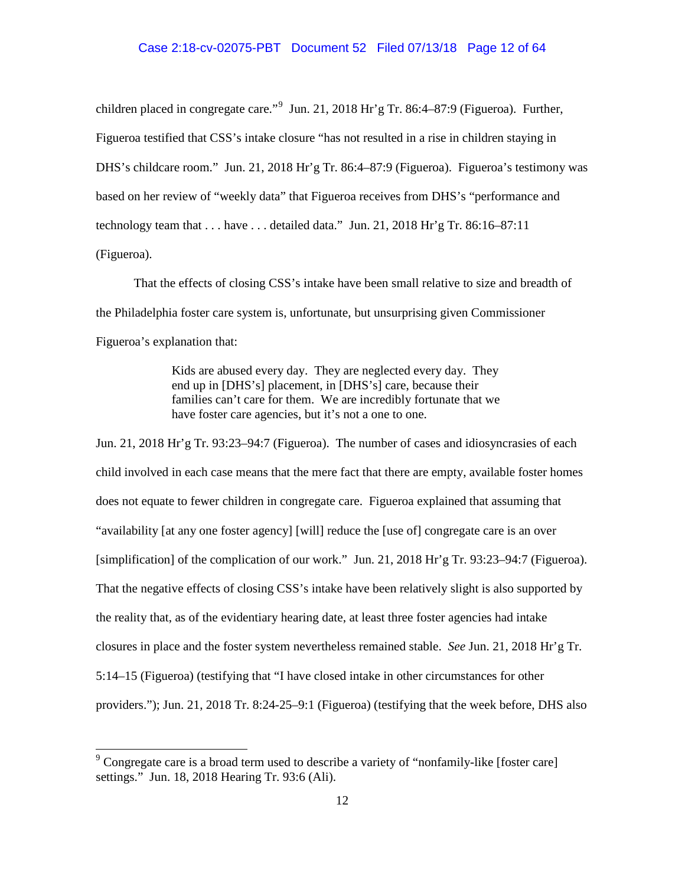children placed in congregate care."<sup>9</sup> Jun. 21, 2018 Hr'g Tr. 86:4–87:9 (Figueroa). Further, Figueroa testified that CSS's intake closure "has not resulted in a rise in children staying in DHS's childcare room." Jun. 21, 2018 Hr'g Tr. 86:4–87:9 (Figueroa). Figueroa's testimony was based on her review of "weekly data" that Figueroa receives from DHS's "performance and technology team that . . . have . . . detailed data." Jun. 21, 2018 Hr'g Tr. 86:16–87:11 (Figueroa).

That the effects of closing CSS's intake have been small relative to size and breadth of the Philadelphia foster care system is, unfortunate, but unsurprising given Commissioner Figueroa's explanation that:

> Kids are abused every day. They are neglected every day. They end up in [DHS's] placement, in [DHS's] care, because their families can't care for them. We are incredibly fortunate that we have foster care agencies, but it's not a one to one.

Jun. 21, 2018 Hr'g Tr. 93:23–94:7 (Figueroa). The number of cases and idiosyncrasies of each child involved in each case means that the mere fact that there are empty, available foster homes does not equate to fewer children in congregate care. Figueroa explained that assuming that "availability [at any one foster agency] [will] reduce the [use of] congregate care is an over [simplification] of the complication of our work." Jun. 21, 2018 Hr'g Tr. 93:23–94:7 (Figueroa). That the negative effects of closing CSS's intake have been relatively slight is also supported by the reality that, as of the evidentiary hearing date, at least three foster agencies had intake closures in place and the foster system nevertheless remained stable. *See* Jun. 21, 2018 Hr'g Tr. 5:14–15 (Figueroa) (testifying that "I have closed intake in other circumstances for other providers."); Jun. 21, 2018 Tr. 8:24-25–9:1 (Figueroa) (testifying that the week before, DHS also

<sup>&</sup>lt;sup>9</sup> Congregate care is a broad term used to describe a variety of "nonfamily-like [foster care] settings." Jun. 18, 2018 Hearing Tr. 93:6 (Ali).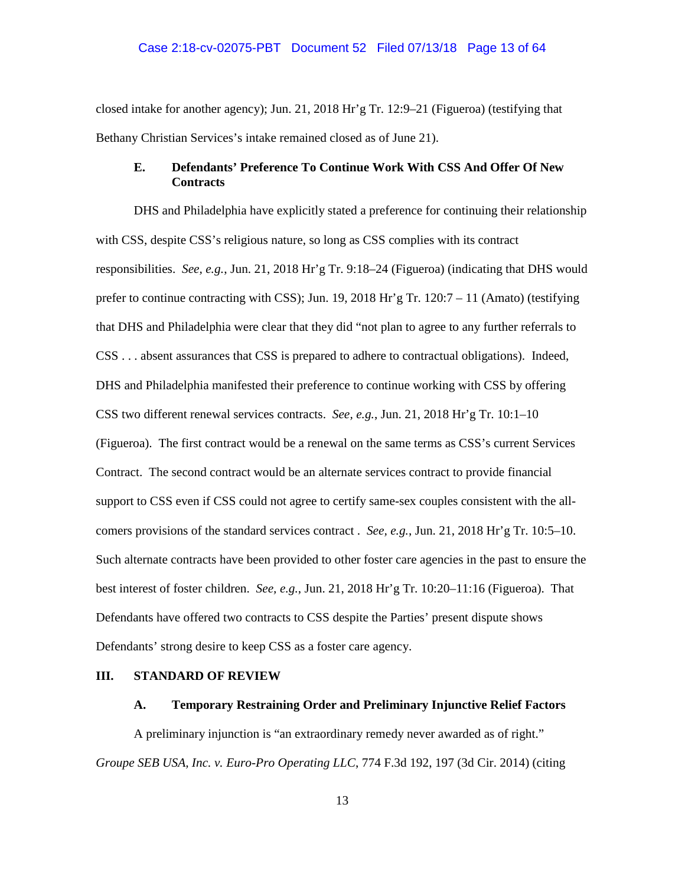closed intake for another agency); Jun. 21, 2018 Hr'g Tr. 12:9–21 (Figueroa) (testifying that Bethany Christian Services's intake remained closed as of June 21).

# **E. Defendants' Preference To Continue Work With CSS And Offer Of New Contracts**

DHS and Philadelphia have explicitly stated a preference for continuing their relationship with CSS, despite CSS's religious nature, so long as CSS complies with its contract responsibilities. *See, e.g.*, Jun. 21, 2018 Hr'g Tr. 9:18–24 (Figueroa) (indicating that DHS would prefer to continue contracting with CSS); Jun. 19, 2018 Hr'g Tr.  $120:7 - 11$  (Amato) (testifying that DHS and Philadelphia were clear that they did "not plan to agree to any further referrals to CSS . . . absent assurances that CSS is prepared to adhere to contractual obligations). Indeed, DHS and Philadelphia manifested their preference to continue working with CSS by offering CSS two different renewal services contracts. *See, e.g.*, Jun. 21, 2018 Hr'g Tr. 10:1–10 (Figueroa). The first contract would be a renewal on the same terms as CSS's current Services Contract. The second contract would be an alternate services contract to provide financial support to CSS even if CSS could not agree to certify same-sex couples consistent with the allcomers provisions of the standard services contract . *See, e.g.*, Jun. 21, 2018 Hr'g Tr. 10:5–10. Such alternate contracts have been provided to other foster care agencies in the past to ensure the best interest of foster children. *See, e.g.*, Jun. 21, 2018 Hr'g Tr. 10:20–11:16 (Figueroa). That Defendants have offered two contracts to CSS despite the Parties' present dispute shows Defendants' strong desire to keep CSS as a foster care agency.

## **III. STANDARD OF REVIEW**

### **A. Temporary Restraining Order and Preliminary Injunctive Relief Factors**

A preliminary injunction is "an extraordinary remedy never awarded as of right." *Groupe SEB USA, Inc. v. Euro-Pro Operating LLC*, 774 F.3d 192, 197 (3d Cir. 2014) (citing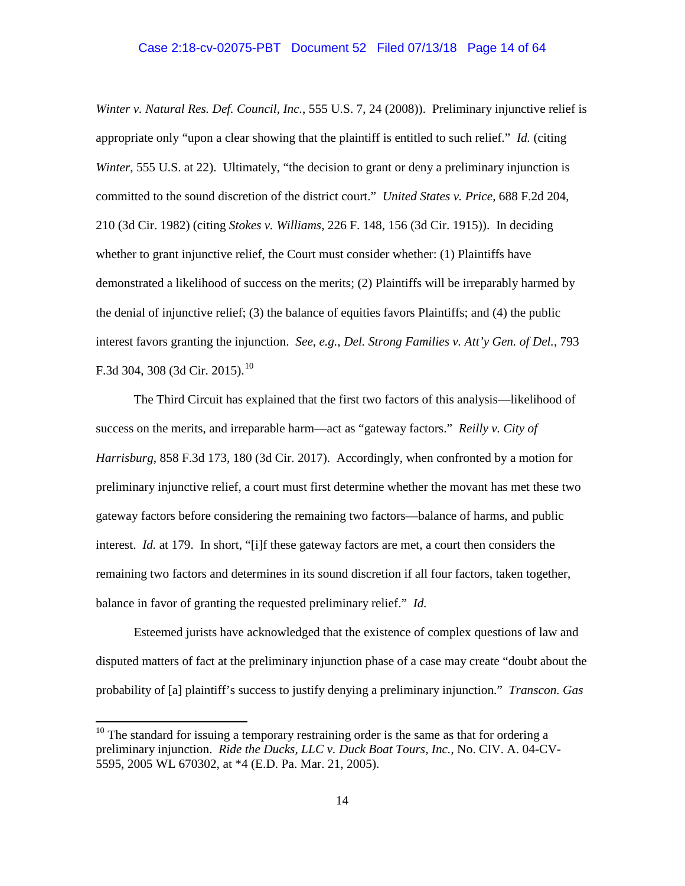## Case 2:18-cv-02075-PBT Document 52 Filed 07/13/18 Page 14 of 64

*Winter v. Natural Res. Def. Council, Inc.*, 555 U.S. 7, 24 (2008)). Preliminary injunctive relief is appropriate only "upon a clear showing that the plaintiff is entitled to such relief." *Id.* (citing *Winter*, 555 U.S. at 22). Ultimately, "the decision to grant or deny a preliminary injunction is committed to the sound discretion of the district court." *United States v. Price*, 688 F.2d 204, 210 (3d Cir. 1982) (citing *Stokes v. Williams*, 226 F. 148, 156 (3d Cir. 1915)). In deciding whether to grant injunctive relief, the Court must consider whether: (1) Plaintiffs have demonstrated a likelihood of success on the merits; (2) Plaintiffs will be irreparably harmed by the denial of injunctive relief; (3) the balance of equities favors Plaintiffs; and (4) the public interest favors granting the injunction. *See, e.g.*, *Del. Strong Families v. Att'y Gen. of Del.*, 793 F.3d 304, 308 (3d Cir. 2015).<sup>10</sup>

The Third Circuit has explained that the first two factors of this analysis—likelihood of success on the merits, and irreparable harm—act as "gateway factors." *Reilly v. City of Harrisburg*, 858 F.3d 173, 180 (3d Cir. 2017). Accordingly, when confronted by a motion for preliminary injunctive relief, a court must first determine whether the movant has met these two gateway factors before considering the remaining two factors—balance of harms, and public interest. *Id.* at 179. In short, "[i]f these gateway factors are met, a court then considers the remaining two factors and determines in its sound discretion if all four factors, taken together, balance in favor of granting the requested preliminary relief." *Id.*

Esteemed jurists have acknowledged that the existence of complex questions of law and disputed matters of fact at the preliminary injunction phase of a case may create "doubt about the probability of [a] plaintiff's success to justify denying a preliminary injunction." *Transcon. Gas* 

 $10$  The standard for issuing a temporary restraining order is the same as that for ordering a preliminary injunction. *Ride the Ducks, LLC v. Duck Boat Tours, Inc.*, No. CIV. A. 04-CV-5595, 2005 WL 670302, at \*4 (E.D. Pa. Mar. 21, 2005).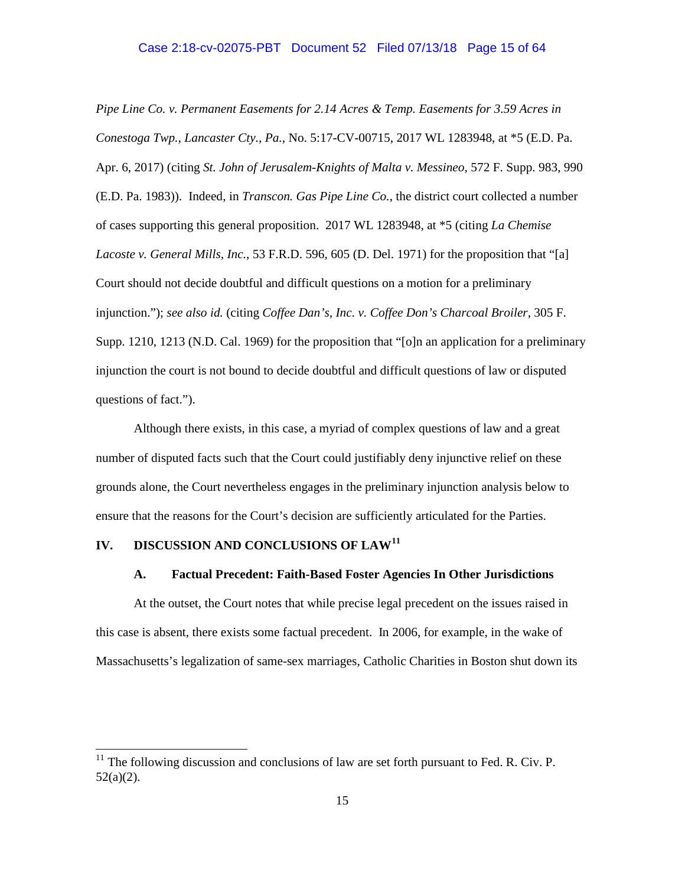*Pipe Line Co. v. Permanent Easements for 2.14 Acres & Temp. Easements for 3.59 Acres in Conestoga Twp., Lancaster Cty., Pa.*, No. 5:17-CV-00715, 2017 WL 1283948, at \*5 (E.D. Pa. Apr. 6, 2017) (citing *St. John of Jerusalem-Knights of Malta v. Messineo*, 572 F. Supp. 983, 990 (E.D. Pa. 1983)). Indeed, in *Transcon. Gas Pipe Line Co.*, the district court collected a number of cases supporting this general proposition. 2017 WL 1283948, at \*5 (citing *La Chemise Lacoste v. General Mills, Inc.*, 53 F.R.D. 596, 605 (D. Del. 1971) for the proposition that "[a] Court should not decide doubtful and difficult questions on a motion for a preliminary injunction."); *see also id.* (citing *Coffee Dan's, Inc. v. Coffee Don's Charcoal Broiler*, 305 F. Supp. 1210, 1213 (N.D. Cal. 1969) for the proposition that "[o]n an application for a preliminary injunction the court is not bound to decide doubtful and difficult questions of law or disputed questions of fact.").

Although there exists, in this case, a myriad of complex questions of law and a great number of disputed facts such that the Court could justifiably deny injunctive relief on these grounds alone, the Court nevertheless engages in the preliminary injunction analysis below to ensure that the reasons for the Court's decision are sufficiently articulated for the Parties.

## **IV. DISCUSSION AND CONCLUSIONS OF LAW<sup>11</sup>**

# **A. Factual Precedent: Faith-Based Foster Agencies In Other Jurisdictions**

At the outset, the Court notes that while precise legal precedent on the issues raised in this case is absent, there exists some factual precedent. In 2006, for example, in the wake of Massachusetts's legalization of same-sex marriages, Catholic Charities in Boston shut down its

 $11$  The following discussion and conclusions of law are set forth pursuant to Fed. R. Civ. P. 52(a)(2).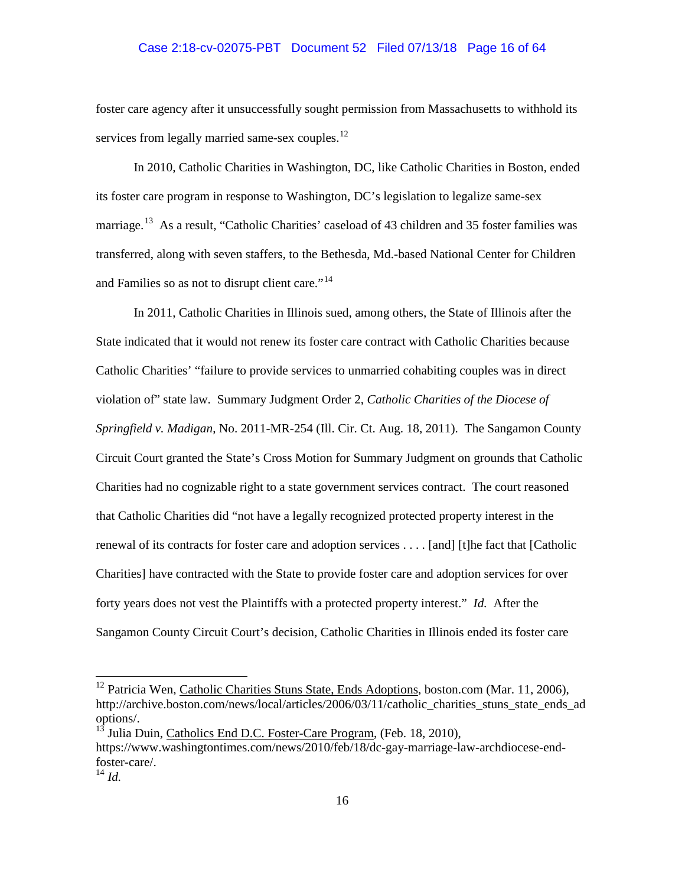# Case 2:18-cv-02075-PBT Document 52 Filed 07/13/18 Page 16 of 64

foster care agency after it unsuccessfully sought permission from Massachusetts to withhold its services from legally married same-sex couples. $^{12}$ 

In 2010, Catholic Charities in Washington, DC, like Catholic Charities in Boston, ended its foster care program in response to Washington, DC's legislation to legalize same-sex marriage.<sup>13</sup> As a result, "Catholic Charities' caseload of 43 children and 35 foster families was transferred, along with seven staffers, to the Bethesda, Md.-based National Center for Children and Families so as not to disrupt client care."<sup>14</sup>

In 2011, Catholic Charities in Illinois sued, among others, the State of Illinois after the State indicated that it would not renew its foster care contract with Catholic Charities because Catholic Charities' "failure to provide services to unmarried cohabiting couples was in direct violation of" state law. Summary Judgment Order 2, *Catholic Charities of the Diocese of Springfield v. Madigan*, No. 2011-MR-254 (Ill. Cir. Ct. Aug. 18, 2011). The Sangamon County Circuit Court granted the State's Cross Motion for Summary Judgment on grounds that Catholic Charities had no cognizable right to a state government services contract. The court reasoned that Catholic Charities did "not have a legally recognized protected property interest in the renewal of its contracts for foster care and adoption services . . . . [and] [t]he fact that [Catholic Charities] have contracted with the State to provide foster care and adoption services for over forty years does not vest the Plaintiffs with a protected property interest." *Id.* After the Sangamon County Circuit Court's decision, Catholic Charities in Illinois ended its foster care

<sup>&</sup>lt;sup>12</sup> Patricia Wen, Catholic Charities Stuns State, Ends Adoptions, boston.com (Mar. 11, 2006), http://archive.boston.com/news/local/articles/2006/03/11/catholic\_charities\_stuns\_state\_ends\_ad options/.

<sup>13</sup> Julia Duin, Catholics End D.C. Foster-Care Program, (Feb. 18, 2010), https://www.washingtontimes.com/news/2010/feb/18/dc-gay-marriage-law-archdiocese-endfoster-care/. 14 *Id.*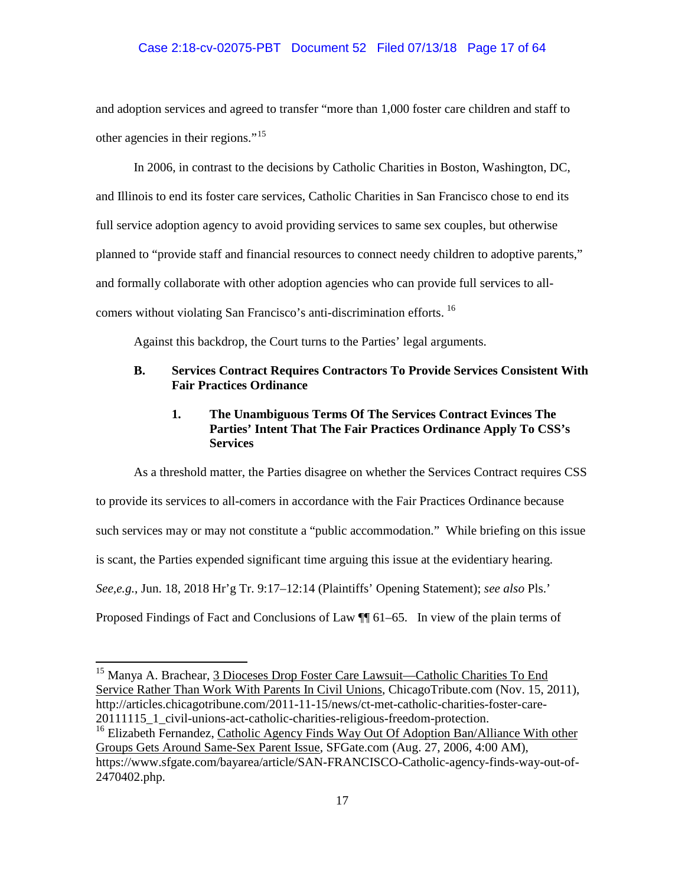# Case 2:18-cv-02075-PBT Document 52 Filed 07/13/18 Page 17 of 64

and adoption services and agreed to transfer "more than 1,000 foster care children and staff to other agencies in their regions."<sup>15</sup>

In 2006, in contrast to the decisions by Catholic Charities in Boston, Washington, DC, and Illinois to end its foster care services, Catholic Charities in San Francisco chose to end its full service adoption agency to avoid providing services to same sex couples, but otherwise planned to "provide staff and financial resources to connect needy children to adoptive parents," and formally collaborate with other adoption agencies who can provide full services to allcomers without violating San Francisco's anti-discrimination efforts. <sup>16</sup>

Against this backdrop, the Court turns to the Parties' legal arguments.

# **B. Services Contract Requires Contractors To Provide Services Consistent With Fair Practices Ordinance**

# **1. The Unambiguous Terms Of The Services Contract Evinces The Parties' Intent That The Fair Practices Ordinance Apply To CSS's Services**

As a threshold matter, the Parties disagree on whether the Services Contract requires CSS to provide its services to all-comers in accordance with the Fair Practices Ordinance because such services may or may not constitute a "public accommodation." While briefing on this issue is scant, the Parties expended significant time arguing this issue at the evidentiary hearing. *See,e.g.*, Jun. 18, 2018 Hr'g Tr. 9:17–12:14 (Plaintiffs' Opening Statement); *see also* Pls.' Proposed Findings of Fact and Conclusions of Law ¶¶ 61–65. In view of the plain terms of

<sup>&</sup>lt;sup>15</sup> Manya A. Brachear, 3 Dioceses Drop Foster Care Lawsuit—Catholic Charities To End Service Rather Than Work With Parents In Civil Unions, ChicagoTribute.com (Nov. 15, 2011), http://articles.chicagotribune.com/2011-11-15/news/ct-met-catholic-charities-foster-care-20111115\_1\_civil-unions-act-catholic-charities-religious-freedom-protection.

<sup>&</sup>lt;sup>16</sup> Elizabeth Fernandez, Catholic Agency Finds Way Out Of Adoption Ban/Alliance With other Groups Gets Around Same-Sex Parent Issue, SFGate.com (Aug. 27, 2006, 4:00 AM), https://www.sfgate.com/bayarea/article/SAN-FRANCISCO-Catholic-agency-finds-way-out-of-2470402.php.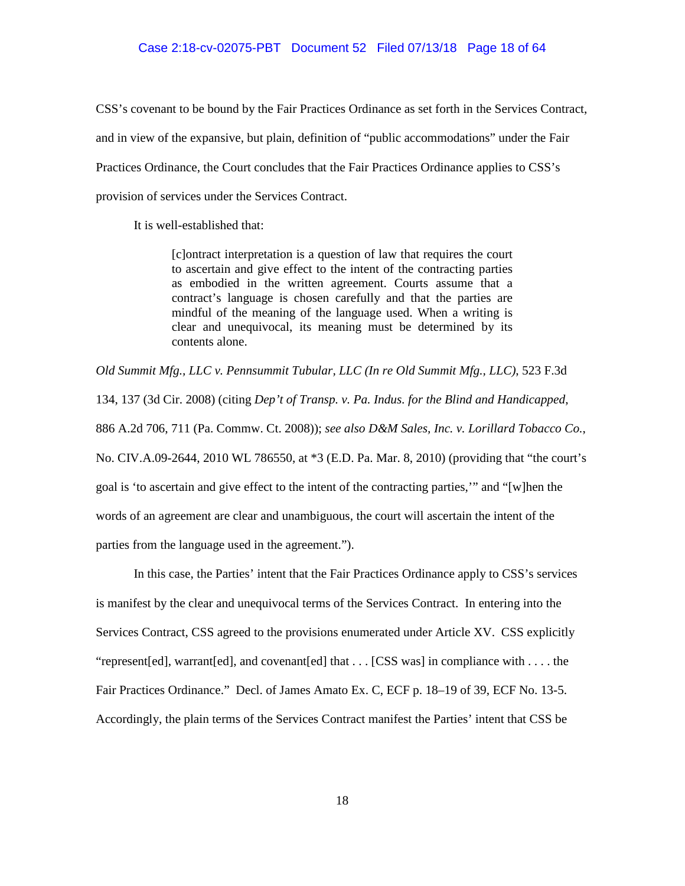CSS's covenant to be bound by the Fair Practices Ordinance as set forth in the Services Contract, and in view of the expansive, but plain, definition of "public accommodations" under the Fair Practices Ordinance, the Court concludes that the Fair Practices Ordinance applies to CSS's provision of services under the Services Contract.

It is well-established that:

[c]ontract interpretation is a question of law that requires the court to ascertain and give effect to the intent of the contracting parties as embodied in the written agreement. Courts assume that a contract's language is chosen carefully and that the parties are mindful of the meaning of the language used. When a writing is clear and unequivocal, its meaning must be determined by its contents alone.

*Old Summit Mfg., LLC v. Pennsummit Tubular, LLC (In re Old Summit Mfg., LLC)*, 523 F.3d

134, 137 (3d Cir. 2008) (citing *Dep't of Transp. v. Pa. Indus. for the Blind and Handicapped*,

886 A.2d 706, 711 (Pa. Commw. Ct. 2008)); *see also D&M Sales, Inc. v. Lorillard Tobacco Co.*,

No. CIV.A.09-2644, 2010 WL 786550, at \*3 (E.D. Pa. Mar. 8, 2010) (providing that "the court's

goal is 'to ascertain and give effect to the intent of the contracting parties,'" and "[w]hen the

words of an agreement are clear and unambiguous, the court will ascertain the intent of the

parties from the language used in the agreement.").

In this case, the Parties' intent that the Fair Practices Ordinance apply to CSS's services is manifest by the clear and unequivocal terms of the Services Contract. In entering into the Services Contract, CSS agreed to the provisions enumerated under Article XV. CSS explicitly "represent[ed], warrant[ed], and covenant[ed] that . . . [CSS was] in compliance with . . . . the Fair Practices Ordinance." Decl. of James Amato Ex. C, ECF p. 18–19 of 39, ECF No. 13-5. Accordingly, the plain terms of the Services Contract manifest the Parties' intent that CSS be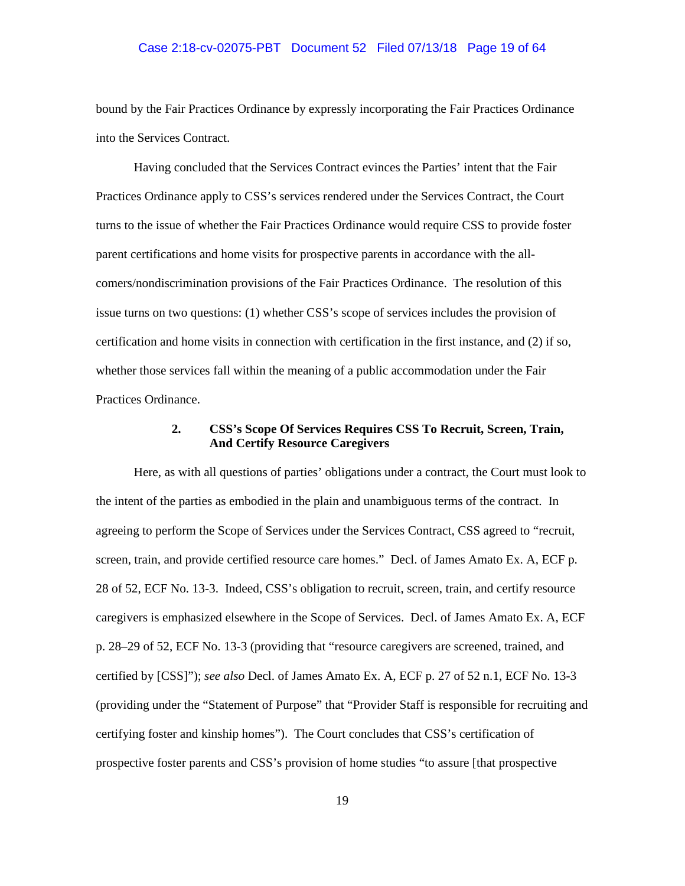### Case 2:18-cv-02075-PBT Document 52 Filed 07/13/18 Page 19 of 64

bound by the Fair Practices Ordinance by expressly incorporating the Fair Practices Ordinance into the Services Contract.

Having concluded that the Services Contract evinces the Parties' intent that the Fair Practices Ordinance apply to CSS's services rendered under the Services Contract, the Court turns to the issue of whether the Fair Practices Ordinance would require CSS to provide foster parent certifications and home visits for prospective parents in accordance with the allcomers/nondiscrimination provisions of the Fair Practices Ordinance. The resolution of this issue turns on two questions: (1) whether CSS's scope of services includes the provision of certification and home visits in connection with certification in the first instance, and (2) if so, whether those services fall within the meaning of a public accommodation under the Fair Practices Ordinance.

# **2. CSS's Scope Of Services Requires CSS To Recruit, Screen, Train, And Certify Resource Caregivers**

Here, as with all questions of parties' obligations under a contract, the Court must look to the intent of the parties as embodied in the plain and unambiguous terms of the contract. In agreeing to perform the Scope of Services under the Services Contract, CSS agreed to "recruit, screen, train, and provide certified resource care homes." Decl. of James Amato Ex. A, ECF p. 28 of 52, ECF No. 13-3. Indeed, CSS's obligation to recruit, screen, train, and certify resource caregivers is emphasized elsewhere in the Scope of Services. Decl. of James Amato Ex. A, ECF p. 28–29 of 52, ECF No. 13-3 (providing that "resource caregivers are screened, trained, and certified by [CSS]"); *see also* Decl. of James Amato Ex. A, ECF p. 27 of 52 n.1, ECF No. 13-3 (providing under the "Statement of Purpose" that "Provider Staff is responsible for recruiting and certifying foster and kinship homes"). The Court concludes that CSS's certification of prospective foster parents and CSS's provision of home studies "to assure [that prospective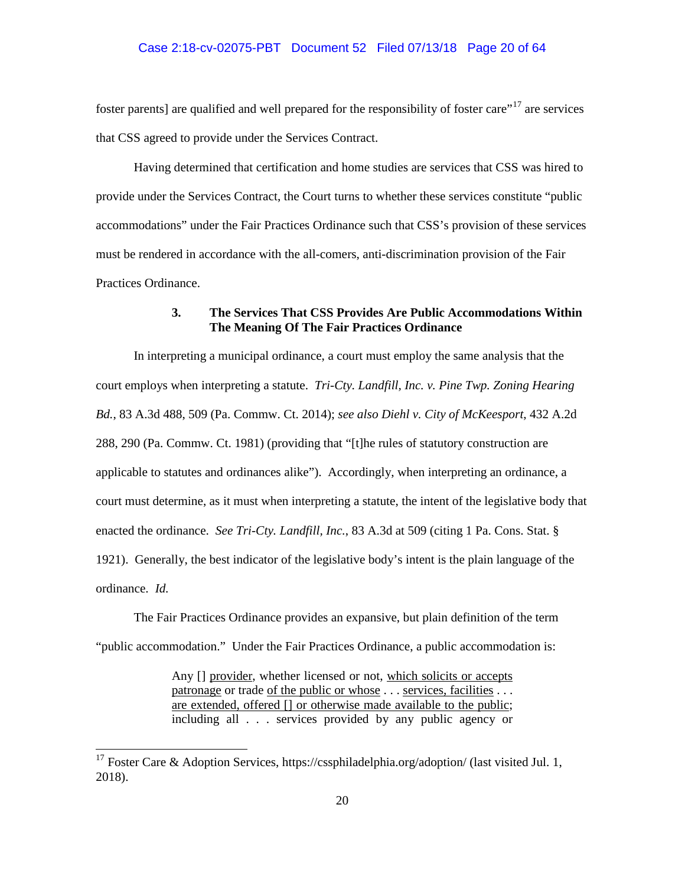foster parents] are qualified and well prepared for the responsibility of foster care<sup>"17</sup> are services that CSS agreed to provide under the Services Contract.

Having determined that certification and home studies are services that CSS was hired to provide under the Services Contract, the Court turns to whether these services constitute "public accommodations" under the Fair Practices Ordinance such that CSS's provision of these services must be rendered in accordance with the all-comers, anti-discrimination provision of the Fair Practices Ordinance.

# **3. The Services That CSS Provides Are Public Accommodations Within The Meaning Of The Fair Practices Ordinance**

In interpreting a municipal ordinance, a court must employ the same analysis that the court employs when interpreting a statute. *Tri-Cty. Landfill, Inc. v. Pine Twp. Zoning Hearing Bd.*, 83 A.3d 488, 509 (Pa. Commw. Ct. 2014); *see also Diehl v. City of McKeesport*, 432 A.2d 288, 290 (Pa. Commw. Ct. 1981) (providing that "[t]he rules of statutory construction are applicable to statutes and ordinances alike"). Accordingly, when interpreting an ordinance, a court must determine, as it must when interpreting a statute, the intent of the legislative body that enacted the ordinance. *See Tri-Cty. Landfill, Inc.*, 83 A.3d at 509 (citing 1 Pa. Cons. Stat. § 1921). Generally, the best indicator of the legislative body's intent is the plain language of the ordinance. *Id.* 

The Fair Practices Ordinance provides an expansive, but plain definition of the term "public accommodation." Under the Fair Practices Ordinance, a public accommodation is:

> Any [] provider, whether licensed or not, which solicits or accepts patronage or trade of the public or whose . . . services, facilities . . . are extended, offered [] or otherwise made available to the public; including all . . . services provided by any public agency or

<sup>&</sup>lt;sup>17</sup> Foster Care & Adoption Services, https://cssphiladelphia.org/adoption/ (last visited Jul. 1, 2018).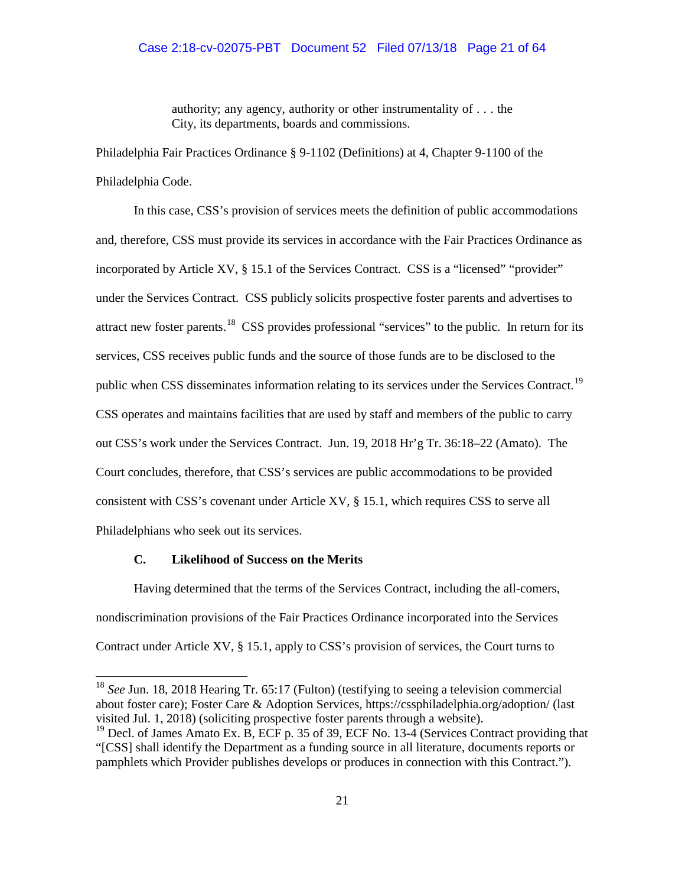authority; any agency, authority or other instrumentality of . . . the City, its departments, boards and commissions.

Philadelphia Fair Practices Ordinance § 9-1102 (Definitions) at 4, Chapter 9-1100 of the Philadelphia Code.

In this case, CSS's provision of services meets the definition of public accommodations and, therefore, CSS must provide its services in accordance with the Fair Practices Ordinance as incorporated by Article XV, § 15.1 of the Services Contract. CSS is a "licensed" "provider" under the Services Contract. CSS publicly solicits prospective foster parents and advertises to attract new foster parents.<sup>18</sup> CSS provides professional "services" to the public. In return for its services, CSS receives public funds and the source of those funds are to be disclosed to the public when CSS disseminates information relating to its services under the Services Contract.<sup>19</sup> CSS operates and maintains facilities that are used by staff and members of the public to carry out CSS's work under the Services Contract. Jun. 19, 2018 Hr'g Tr. 36:18–22 (Amato). The Court concludes, therefore, that CSS's services are public accommodations to be provided consistent with CSS's covenant under Article XV, § 15.1, which requires CSS to serve all Philadelphians who seek out its services.

## **C. Likelihood of Success on the Merits**

Having determined that the terms of the Services Contract, including the all-comers, nondiscrimination provisions of the Fair Practices Ordinance incorporated into the Services Contract under Article XV, § 15.1, apply to CSS's provision of services, the Court turns to

<sup>&</sup>lt;sup>18</sup> *See Jun.* 18, 2018 Hearing Tr. 65:17 (Fulton) (testifying to seeing a television commercial about foster care); Foster Care & Adoption Services, https://cssphiladelphia.org/adoption/ (last visited Jul. 1, 2018) (soliciting prospective foster parents through a website).

<sup>&</sup>lt;sup>19</sup> Decl. of James Amato Ex. B, ECF p. 35 of 39, ECF No. 13-4 (Services Contract providing that "[CSS] shall identify the Department as a funding source in all literature, documents reports or pamphlets which Provider publishes develops or produces in connection with this Contract.").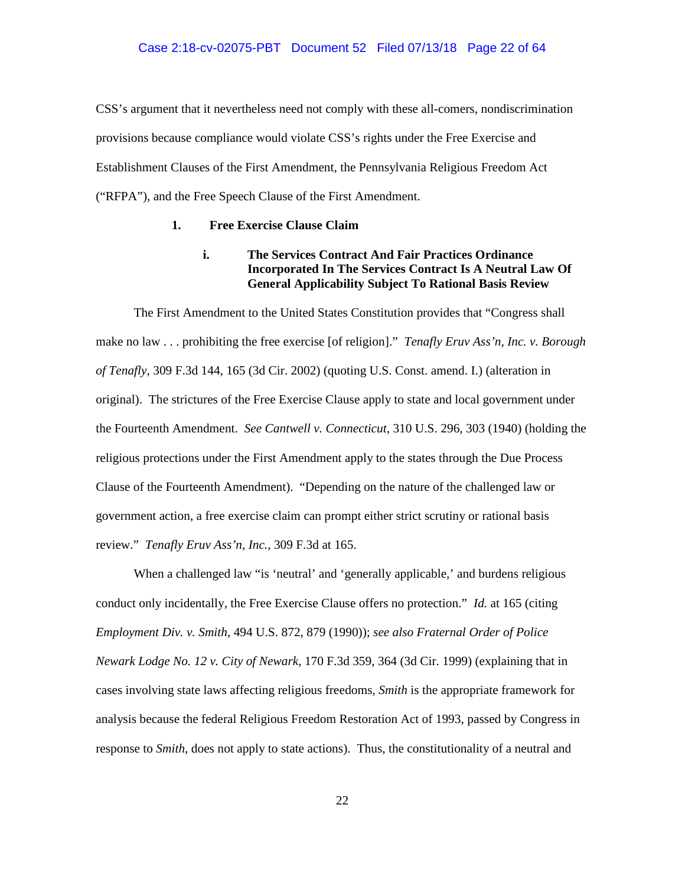CSS's argument that it nevertheless need not comply with these all-comers, nondiscrimination provisions because compliance would violate CSS's rights under the Free Exercise and Establishment Clauses of the First Amendment, the Pennsylvania Religious Freedom Act ("RFPA"), and the Free Speech Clause of the First Amendment.

## **1. Free Exercise Clause Claim**

# **i. The Services Contract And Fair Practices Ordinance Incorporated In The Services Contract Is A Neutral Law Of General Applicability Subject To Rational Basis Review**

The First Amendment to the United States Constitution provides that "Congress shall make no law . . . prohibiting the free exercise [of religion]." *Tenafly Eruv Ass'n, Inc. v. Borough of Tenafly*, 309 F.3d 144, 165 (3d Cir. 2002) (quoting U.S. Const. amend. I.) (alteration in original). The strictures of the Free Exercise Clause apply to state and local government under the Fourteenth Amendment. *See Cantwell v. Connecticut*, 310 U.S. 296, 303 (1940) (holding the religious protections under the First Amendment apply to the states through the Due Process Clause of the Fourteenth Amendment). "Depending on the nature of the challenged law or government action, a free exercise claim can prompt either strict scrutiny or rational basis review." *Tenafly Eruv Ass'n, Inc.*, 309 F.3d at 165.

When a challenged law "is 'neutral' and 'generally applicable,' and burdens religious conduct only incidentally, the Free Exercise Clause offers no protection." *Id.* at 165 (citing *Employment Div. v. Smith*, 494 U.S. 872, 879 (1990)); *see also Fraternal Order of Police Newark Lodge No. 12 v. City of Newark*, 170 F.3d 359, 364 (3d Cir. 1999) (explaining that in cases involving state laws affecting religious freedoms, *Smith* is the appropriate framework for analysis because the federal Religious Freedom Restoration Act of 1993, passed by Congress in response to *Smith*, does not apply to state actions). Thus, the constitutionality of a neutral and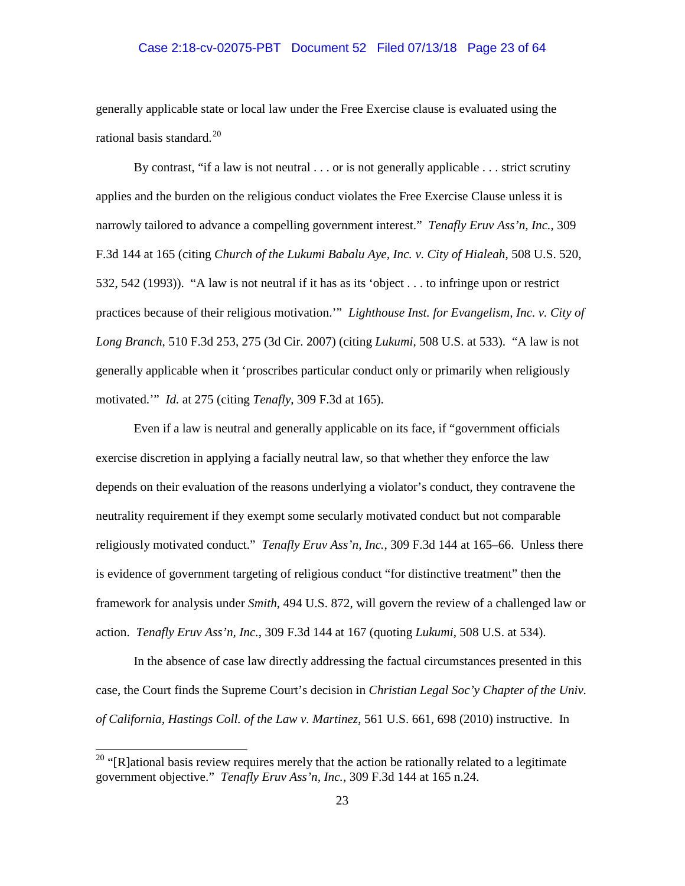## Case 2:18-cv-02075-PBT Document 52 Filed 07/13/18 Page 23 of 64

generally applicable state or local law under the Free Exercise clause is evaluated using the rational basis standard. $^{20}$ 

By contrast, "if a law is not neutral . . . or is not generally applicable . . . strict scrutiny applies and the burden on the religious conduct violates the Free Exercise Clause unless it is narrowly tailored to advance a compelling government interest." *Tenafly Eruv Ass'n, Inc.*, 309 F.3d 144 at 165 (citing *Church of the Lukumi Babalu Aye, Inc. v. City of Hialeah*, 508 U.S. 520, 532, 542 (1993)). "A law is not neutral if it has as its 'object . . . to infringe upon or restrict practices because of their religious motivation.'" *Lighthouse Inst. for Evangelism, Inc. v. City of Long Branch*, 510 F.3d 253, 275 (3d Cir. 2007) (citing *Lukumi*, 508 U.S. at 533). "A law is not generally applicable when it 'proscribes particular conduct only or primarily when religiously motivated.'" *Id.* at 275 (citing *Tenafly*, 309 F.3d at 165).

Even if a law is neutral and generally applicable on its face, if "government officials exercise discretion in applying a facially neutral law, so that whether they enforce the law depends on their evaluation of the reasons underlying a violator's conduct, they contravene the neutrality requirement if they exempt some secularly motivated conduct but not comparable religiously motivated conduct." *Tenafly Eruv Ass'n, Inc.*, 309 F.3d 144 at 165–66. Unless there is evidence of government targeting of religious conduct "for distinctive treatment" then the framework for analysis under *Smith*, 494 U.S. 872, will govern the review of a challenged law or action. *Tenafly Eruv Ass'n, Inc.*, 309 F.3d 144 at 167 (quoting *Lukumi*, 508 U.S. at 534).

In the absence of case law directly addressing the factual circumstances presented in this case, the Court finds the Supreme Court's decision in *Christian Legal Soc'y Chapter of the Univ. of California, Hastings Coll. of the Law v. Martinez*, 561 U.S. 661, 698 (2010) instructive. In

 $20$  "[R]ational basis review requires merely that the action be rationally related to a legitimate government objective." *Tenafly Eruv Ass'n, Inc.*, 309 F.3d 144 at 165 n.24.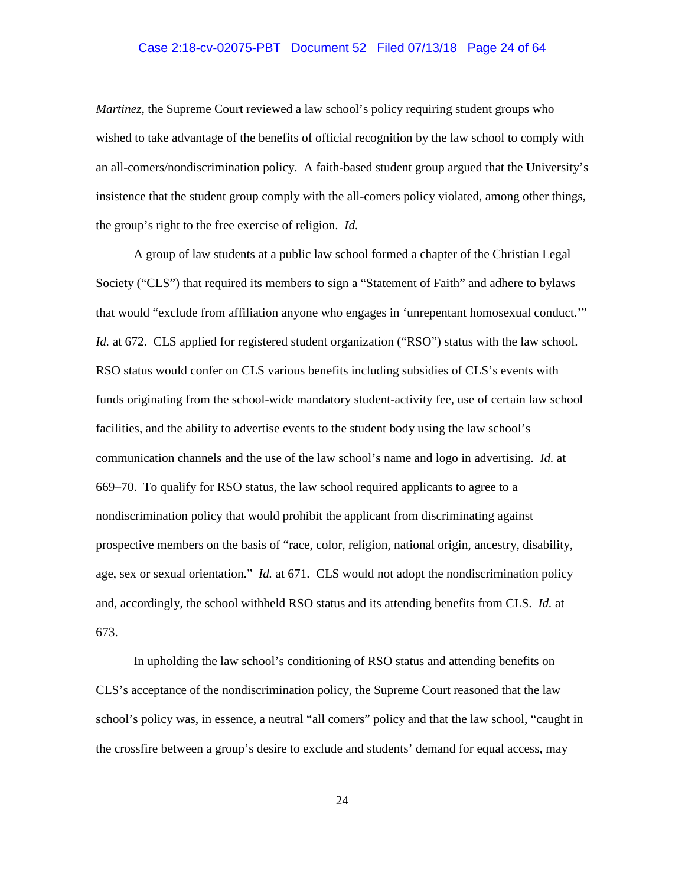### Case 2:18-cv-02075-PBT Document 52 Filed 07/13/18 Page 24 of 64

*Martinez*, the Supreme Court reviewed a law school's policy requiring student groups who wished to take advantage of the benefits of official recognition by the law school to comply with an all-comers/nondiscrimination policy. A faith-based student group argued that the University's insistence that the student group comply with the all-comers policy violated, among other things, the group's right to the free exercise of religion. *Id.*

A group of law students at a public law school formed a chapter of the Christian Legal Society ("CLS") that required its members to sign a "Statement of Faith" and adhere to bylaws that would "exclude from affiliation anyone who engages in 'unrepentant homosexual conduct.'" *Id.* at 672. CLS applied for registered student organization ("RSO") status with the law school. RSO status would confer on CLS various benefits including subsidies of CLS's events with funds originating from the school-wide mandatory student-activity fee, use of certain law school facilities, and the ability to advertise events to the student body using the law school's communication channels and the use of the law school's name and logo in advertising. *Id.* at 669–70. To qualify for RSO status, the law school required applicants to agree to a nondiscrimination policy that would prohibit the applicant from discriminating against prospective members on the basis of "race, color, religion, national origin, ancestry, disability, age, sex or sexual orientation." *Id.* at 671. CLS would not adopt the nondiscrimination policy and, accordingly, the school withheld RSO status and its attending benefits from CLS. *Id.* at 673.

In upholding the law school's conditioning of RSO status and attending benefits on CLS's acceptance of the nondiscrimination policy, the Supreme Court reasoned that the law school's policy was, in essence, a neutral "all comers" policy and that the law school, "caught in the crossfire between a group's desire to exclude and students' demand for equal access, may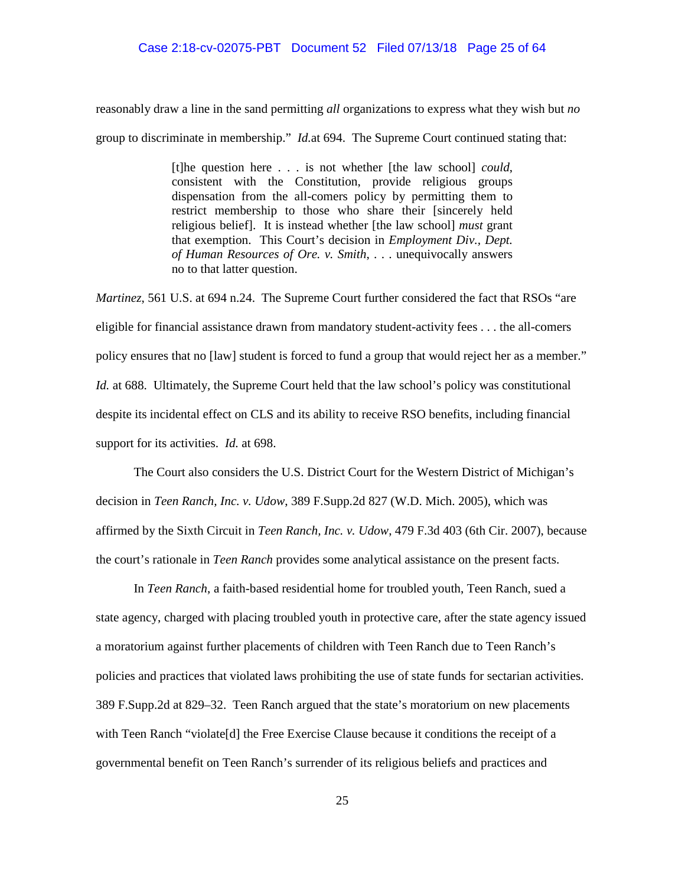### Case 2:18-cv-02075-PBT Document 52 Filed 07/13/18 Page 25 of 64

reasonably draw a line in the sand permitting *all* organizations to express what they wish but *no*  group to discriminate in membership." *Id.*at 694. The Supreme Court continued stating that:

> [t]he question here . . . is not whether [the law school] *could*, consistent with the Constitution, provide religious groups dispensation from the all-comers policy by permitting them to restrict membership to those who share their [sincerely held religious belief]. It is instead whether [the law school] *must* grant that exemption. This Court's decision in *Employment Div., Dept. of Human Resources of Ore. v. Smith*, . . . unequivocally answers no to that latter question.

*Martinez*, 561 U.S. at 694 n.24. The Supreme Court further considered the fact that RSOs "are eligible for financial assistance drawn from mandatory student-activity fees . . . the all-comers policy ensures that no [law] student is forced to fund a group that would reject her as a member." *Id.* at 688. Ultimately, the Supreme Court held that the law school's policy was constitutional despite its incidental effect on CLS and its ability to receive RSO benefits, including financial support for its activities. *Id.* at 698.

The Court also considers the U.S. District Court for the Western District of Michigan's decision in *Teen Ranch, Inc. v. Udow*, 389 F.Supp.2d 827 (W.D. Mich. 2005), which was affirmed by the Sixth Circuit in *Teen Ranch, Inc. v. Udow*, 479 F.3d 403 (6th Cir. 2007), because the court's rationale in *Teen Ranch* provides some analytical assistance on the present facts.

In *Teen Ranch*, a faith-based residential home for troubled youth, Teen Ranch, sued a state agency, charged with placing troubled youth in protective care, after the state agency issued a moratorium against further placements of children with Teen Ranch due to Teen Ranch's policies and practices that violated laws prohibiting the use of state funds for sectarian activities. 389 F.Supp.2d at 829–32. Teen Ranch argued that the state's moratorium on new placements with Teen Ranch "violate<sup>[d]</sup> the Free Exercise Clause because it conditions the receipt of a governmental benefit on Teen Ranch's surrender of its religious beliefs and practices and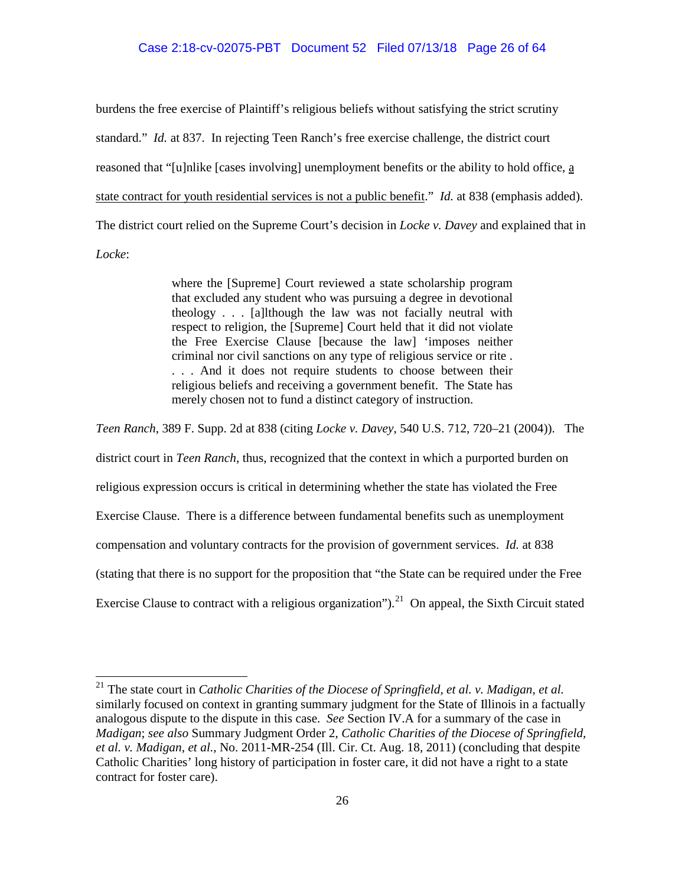burdens the free exercise of Plaintiff's religious beliefs without satisfying the strict scrutiny standard." *Id.* at 837. In rejecting Teen Ranch's free exercise challenge, the district court reasoned that "[u]nlike [cases involving] unemployment benefits or the ability to hold office, a state contract for youth residential services is not a public benefit." *Id.* at 838 (emphasis added). The district court relied on the Supreme Court's decision in *Locke v. Davey* and explained that in *Locke*:

> where the [Supreme] Court reviewed a state scholarship program that excluded any student who was pursuing a degree in devotional theology . . . [a]lthough the law was not facially neutral with respect to religion, the [Supreme] Court held that it did not violate the Free Exercise Clause [because the law] 'imposes neither criminal nor civil sanctions on any type of religious service or rite . . . . And it does not require students to choose between their religious beliefs and receiving a government benefit. The State has merely chosen not to fund a distinct category of instruction.

*Teen Ranch*, 389 F. Supp. 2d at 838 (citing *Locke v. Davey*, 540 U.S. 712, 720–21 (2004)). The

district court in *Teen Ranch*, thus, recognized that the context in which a purported burden on

religious expression occurs is critical in determining whether the state has violated the Free

Exercise Clause. There is a difference between fundamental benefits such as unemployment

compensation and voluntary contracts for the provision of government services. *Id.* at 838

(stating that there is no support for the proposition that "the State can be required under the Free

Exercise Clause to contract with a religious organization").<sup>21</sup> On appeal, the Sixth Circuit stated

<sup>21</sup> The state court in *Catholic Charities of the Diocese of Springfield, et al. v. Madigan, et al.* similarly focused on context in granting summary judgment for the State of Illinois in a factually analogous dispute to the dispute in this case. *See* Section IV.A for a summary of the case in *Madigan*; *see also* Summary Judgment Order 2, *Catholic Charities of the Diocese of Springfield, et al. v. Madigan, et al.*, No. 2011-MR-254 (Ill. Cir. Ct. Aug. 18, 2011) (concluding that despite Catholic Charities' long history of participation in foster care, it did not have a right to a state contract for foster care).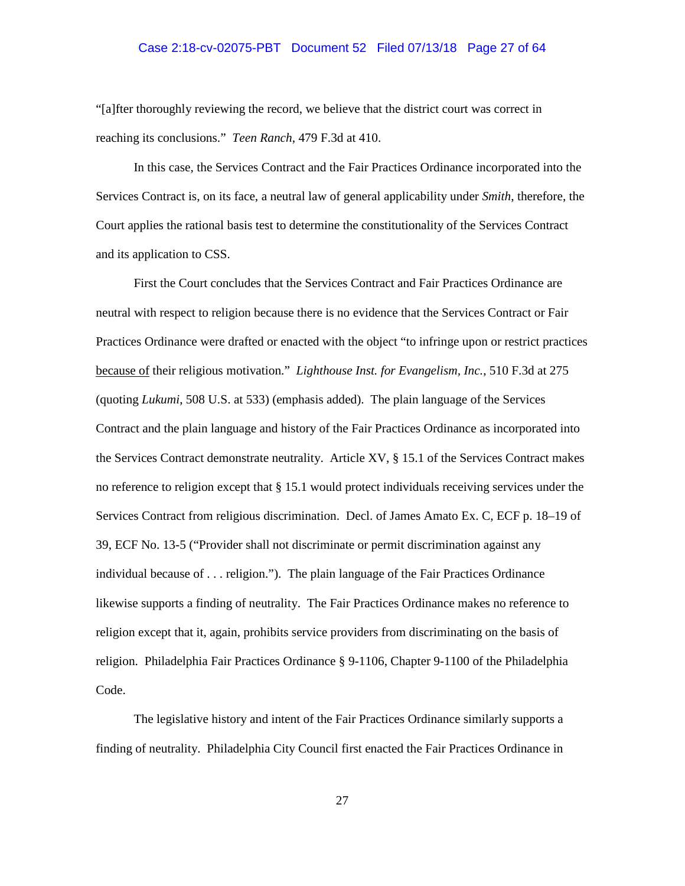## Case 2:18-cv-02075-PBT Document 52 Filed 07/13/18 Page 27 of 64

"[a]fter thoroughly reviewing the record, we believe that the district court was correct in reaching its conclusions." *Teen Ranch*, 479 F.3d at 410.

In this case, the Services Contract and the Fair Practices Ordinance incorporated into the Services Contract is, on its face, a neutral law of general applicability under *Smith*, therefore, the Court applies the rational basis test to determine the constitutionality of the Services Contract and its application to CSS.

First the Court concludes that the Services Contract and Fair Practices Ordinance are neutral with respect to religion because there is no evidence that the Services Contract or Fair Practices Ordinance were drafted or enacted with the object "to infringe upon or restrict practices because of their religious motivation." *Lighthouse Inst. for Evangelism, Inc.*, 510 F.3d at 275 (quoting *Lukumi*, 508 U.S. at 533) (emphasis added). The plain language of the Services Contract and the plain language and history of the Fair Practices Ordinance as incorporated into the Services Contract demonstrate neutrality. Article XV, § 15.1 of the Services Contract makes no reference to religion except that § 15.1 would protect individuals receiving services under the Services Contract from religious discrimination. Decl. of James Amato Ex. C, ECF p. 18–19 of 39, ECF No. 13-5 ("Provider shall not discriminate or permit discrimination against any individual because of . . . religion."). The plain language of the Fair Practices Ordinance likewise supports a finding of neutrality. The Fair Practices Ordinance makes no reference to religion except that it, again, prohibits service providers from discriminating on the basis of religion. Philadelphia Fair Practices Ordinance § 9-1106, Chapter 9-1100 of the Philadelphia Code.

The legislative history and intent of the Fair Practices Ordinance similarly supports a finding of neutrality. Philadelphia City Council first enacted the Fair Practices Ordinance in

27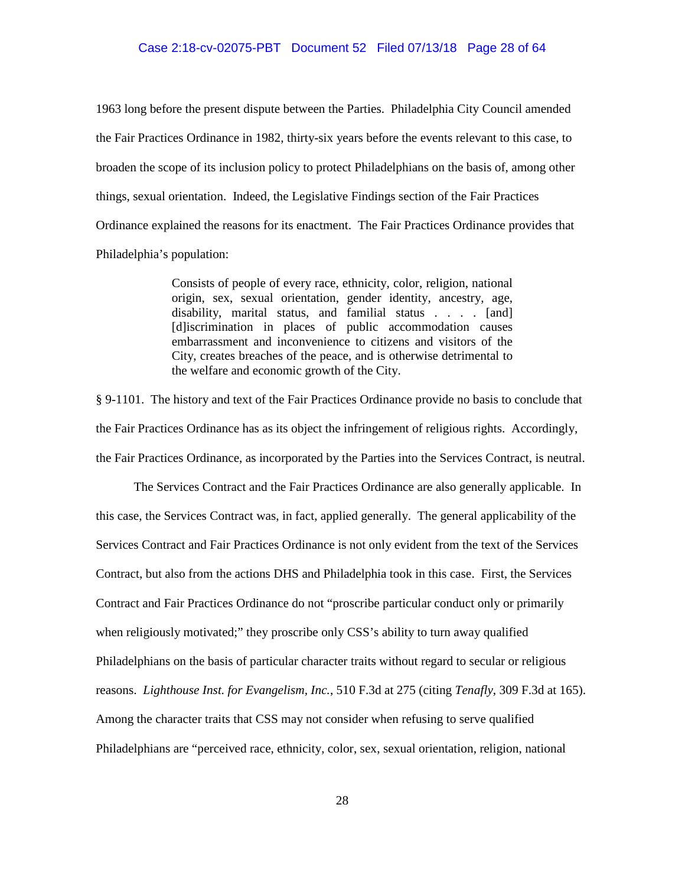1963 long before the present dispute between the Parties. Philadelphia City Council amended the Fair Practices Ordinance in 1982, thirty-six years before the events relevant to this case, to broaden the scope of its inclusion policy to protect Philadelphians on the basis of, among other things, sexual orientation. Indeed, the Legislative Findings section of the Fair Practices Ordinance explained the reasons for its enactment. The Fair Practices Ordinance provides that Philadelphia's population:

> Consists of people of every race, ethnicity, color, religion, national origin, sex, sexual orientation, gender identity, ancestry, age, disability, marital status, and familial status . . . . [and] [d]iscrimination in places of public accommodation causes embarrassment and inconvenience to citizens and visitors of the City, creates breaches of the peace, and is otherwise detrimental to the welfare and economic growth of the City.

§ 9-1101. The history and text of the Fair Practices Ordinance provide no basis to conclude that the Fair Practices Ordinance has as its object the infringement of religious rights. Accordingly, the Fair Practices Ordinance, as incorporated by the Parties into the Services Contract, is neutral.

The Services Contract and the Fair Practices Ordinance are also generally applicable. In this case, the Services Contract was, in fact, applied generally. The general applicability of the Services Contract and Fair Practices Ordinance is not only evident from the text of the Services Contract, but also from the actions DHS and Philadelphia took in this case. First, the Services Contract and Fair Practices Ordinance do not "proscribe particular conduct only or primarily when religiously motivated;" they proscribe only CSS's ability to turn away qualified Philadelphians on the basis of particular character traits without regard to secular or religious reasons. *Lighthouse Inst. for Evangelism, Inc.*, 510 F.3d at 275 (citing *Tenafly*, 309 F.3d at 165). Among the character traits that CSS may not consider when refusing to serve qualified Philadelphians are "perceived race, ethnicity, color, sex, sexual orientation, religion, national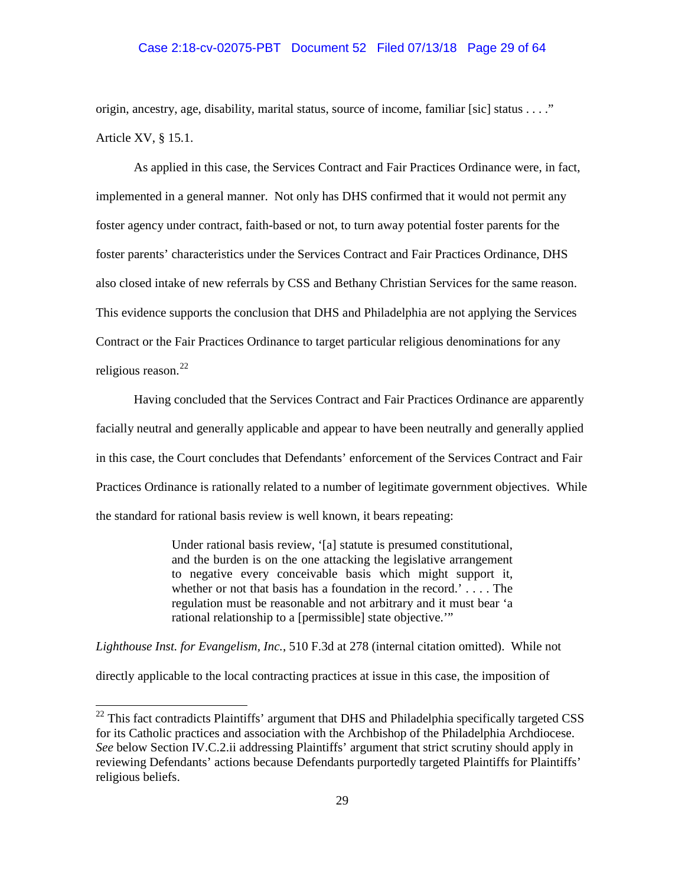### Case 2:18-cv-02075-PBT Document 52 Filed 07/13/18 Page 29 of 64

origin, ancestry, age, disability, marital status, source of income, familiar [sic] status . . . ." Article XV, § 15.1.

As applied in this case, the Services Contract and Fair Practices Ordinance were, in fact, implemented in a general manner. Not only has DHS confirmed that it would not permit any foster agency under contract, faith-based or not, to turn away potential foster parents for the foster parents' characteristics under the Services Contract and Fair Practices Ordinance, DHS also closed intake of new referrals by CSS and Bethany Christian Services for the same reason. This evidence supports the conclusion that DHS and Philadelphia are not applying the Services Contract or the Fair Practices Ordinance to target particular religious denominations for any religious reason. 22

Having concluded that the Services Contract and Fair Practices Ordinance are apparently facially neutral and generally applicable and appear to have been neutrally and generally applied in this case, the Court concludes that Defendants' enforcement of the Services Contract and Fair Practices Ordinance is rationally related to a number of legitimate government objectives. While the standard for rational basis review is well known, it bears repeating:

> Under rational basis review, '[a] statute is presumed constitutional, and the burden is on the one attacking the legislative arrangement to negative every conceivable basis which might support it, whether or not that basis has a foundation in the record.'... The regulation must be reasonable and not arbitrary and it must bear 'a rational relationship to a [permissible] state objective.'"

*Lighthouse Inst. for Evangelism, Inc.*, 510 F.3d at 278 (internal citation omitted). While not directly applicable to the local contracting practices at issue in this case, the imposition of

<sup>&</sup>lt;sup>22</sup> This fact contradicts Plaintiffs' argument that DHS and Philadelphia specifically targeted CSS for its Catholic practices and association with the Archbishop of the Philadelphia Archdiocese. *See* below Section IV.C.2.ii addressing Plaintiffs' argument that strict scrutiny should apply in reviewing Defendants' actions because Defendants purportedly targeted Plaintiffs for Plaintiffs' religious beliefs.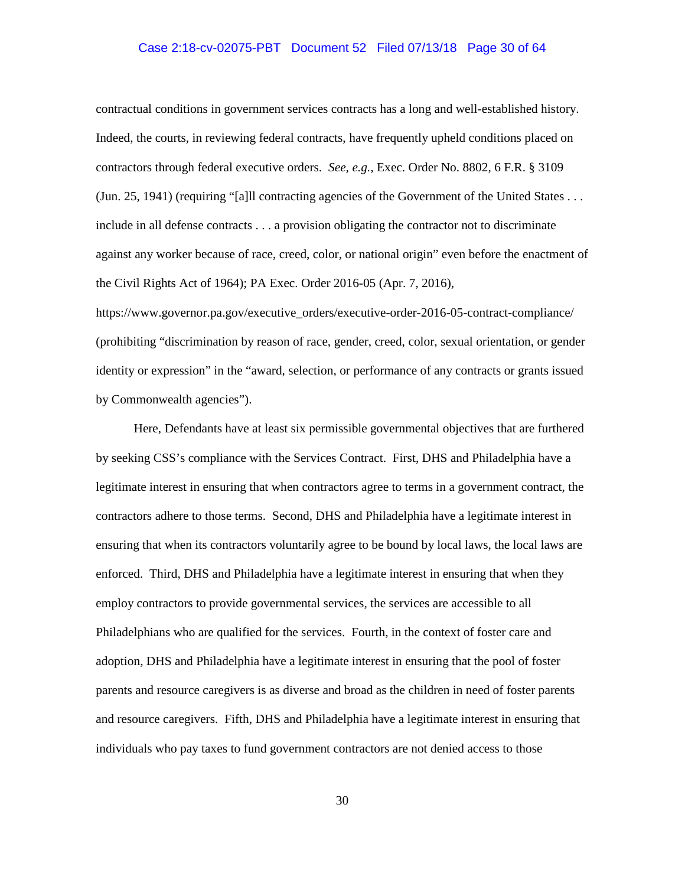### Case 2:18-cv-02075-PBT Document 52 Filed 07/13/18 Page 30 of 64

contractual conditions in government services contracts has a long and well-established history. Indeed, the courts, in reviewing federal contracts, have frequently upheld conditions placed on contractors through federal executive orders. *See, e.g.*, Exec. Order No. 8802, 6 F.R. § 3109 (Jun. 25, 1941) (requiring "[a]ll contracting agencies of the Government of the United States . . . include in all defense contracts . . . a provision obligating the contractor not to discriminate against any worker because of race, creed, color, or national origin" even before the enactment of the Civil Rights Act of 1964); PA Exec. Order 2016-05 (Apr. 7, 2016),

https://www.governor.pa.gov/executive\_orders/executive-order-2016-05-contract-compliance/ (prohibiting "discrimination by reason of race, gender, creed, color, sexual orientation, or gender identity or expression" in the "award, selection, or performance of any contracts or grants issued by Commonwealth agencies").

Here, Defendants have at least six permissible governmental objectives that are furthered by seeking CSS's compliance with the Services Contract. First, DHS and Philadelphia have a legitimate interest in ensuring that when contractors agree to terms in a government contract, the contractors adhere to those terms. Second, DHS and Philadelphia have a legitimate interest in ensuring that when its contractors voluntarily agree to be bound by local laws, the local laws are enforced. Third, DHS and Philadelphia have a legitimate interest in ensuring that when they employ contractors to provide governmental services, the services are accessible to all Philadelphians who are qualified for the services. Fourth, in the context of foster care and adoption, DHS and Philadelphia have a legitimate interest in ensuring that the pool of foster parents and resource caregivers is as diverse and broad as the children in need of foster parents and resource caregivers. Fifth, DHS and Philadelphia have a legitimate interest in ensuring that individuals who pay taxes to fund government contractors are not denied access to those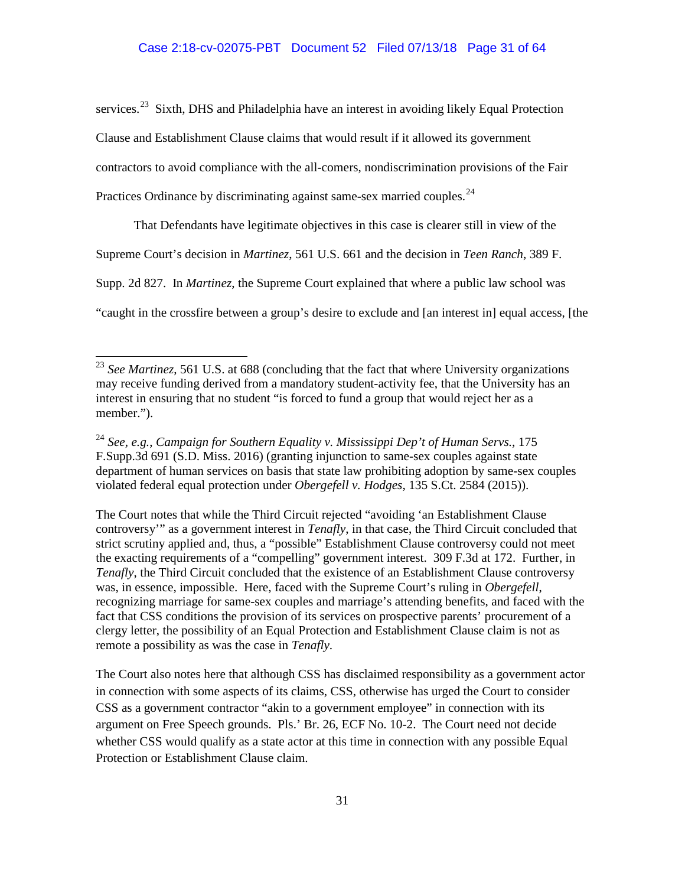services.<sup>23</sup> Sixth, DHS and Philadelphia have an interest in avoiding likely Equal Protection Clause and Establishment Clause claims that would result if it allowed its government contractors to avoid compliance with the all-comers, nondiscrimination provisions of the Fair Practices Ordinance by discriminating against same-sex married couples.<sup>24</sup>

That Defendants have legitimate objectives in this case is clearer still in view of the Supreme Court's decision in *Martinez*, 561 U.S. 661 and the decision in *Teen Ranch*, 389 F. Supp. 2d 827. In *Martinez*, the Supreme Court explained that where a public law school was "caught in the crossfire between a group's desire to exclude and [an interest in] equal access, [the

The Court notes that while the Third Circuit rejected "avoiding 'an Establishment Clause controversy'" as a government interest in *Tenafly*, in that case, the Third Circuit concluded that strict scrutiny applied and, thus, a "possible" Establishment Clause controversy could not meet the exacting requirements of a "compelling" government interest. 309 F.3d at 172. Further, in *Tenafly*, the Third Circuit concluded that the existence of an Establishment Clause controversy was, in essence, impossible. Here, faced with the Supreme Court's ruling in *Obergefell*, recognizing marriage for same-sex couples and marriage's attending benefits, and faced with the fact that CSS conditions the provision of its services on prospective parents' procurement of a clergy letter, the possibility of an Equal Protection and Establishment Clause claim is not as remote a possibility as was the case in *Tenafly*.

The Court also notes here that although CSS has disclaimed responsibility as a government actor in connection with some aspects of its claims, CSS, otherwise has urged the Court to consider CSS as a government contractor "akin to a government employee" in connection with its argument on Free Speech grounds. Pls.' Br. 26, ECF No. 10-2. The Court need not decide whether CSS would qualify as a state actor at this time in connection with any possible Equal Protection or Establishment Clause claim.

<sup>&</sup>lt;sup>23</sup> See Martinez, 561 U.S. at 688 (concluding that the fact that where University organizations may receive funding derived from a mandatory student-activity fee, that the University has an interest in ensuring that no student "is forced to fund a group that would reject her as a member.").

<sup>24</sup> *See, e.g.*, *Campaign for Southern Equality v. Mississippi Dep't of Human Servs.*, 175 F.Supp.3d 691 (S.D. Miss. 2016) (granting injunction to same-sex couples against state department of human services on basis that state law prohibiting adoption by same-sex couples violated federal equal protection under *Obergefell v. Hodges*, 135 S.Ct. 2584 (2015)).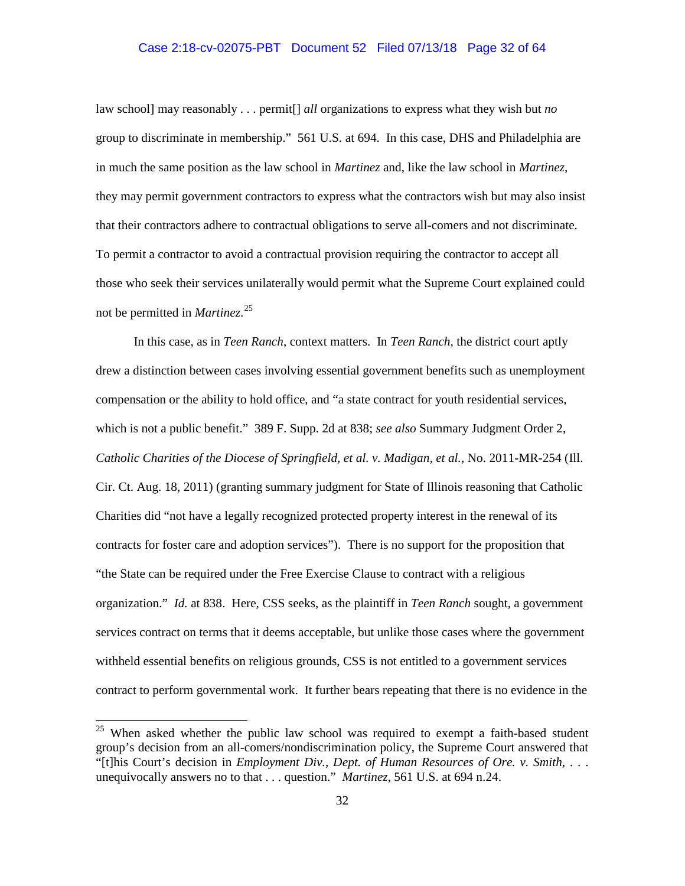# Case 2:18-cv-02075-PBT Document 52 Filed 07/13/18 Page 32 of 64

law school] may reasonably . . . permit[] *all* organizations to express what they wish but *no*  group to discriminate in membership." 561 U.S. at 694. In this case, DHS and Philadelphia are in much the same position as the law school in *Martinez* and, like the law school in *Martinez*, they may permit government contractors to express what the contractors wish but may also insist that their contractors adhere to contractual obligations to serve all-comers and not discriminate. To permit a contractor to avoid a contractual provision requiring the contractor to accept all those who seek their services unilaterally would permit what the Supreme Court explained could not be permitted in *Martinez*. 25

In this case, as in *Teen Ranch*, context matters. In *Teen Ranch*, the district court aptly drew a distinction between cases involving essential government benefits such as unemployment compensation or the ability to hold office, and "a state contract for youth residential services, which is not a public benefit." 389 F. Supp. 2d at 838; *see also* Summary Judgment Order 2, *Catholic Charities of the Diocese of Springfield, et al. v. Madigan, et al.*, No. 2011-MR-254 (Ill. Cir. Ct. Aug. 18, 2011) (granting summary judgment for State of Illinois reasoning that Catholic Charities did "not have a legally recognized protected property interest in the renewal of its contracts for foster care and adoption services"). There is no support for the proposition that "the State can be required under the Free Exercise Clause to contract with a religious organization." *Id.* at 838. Here, CSS seeks, as the plaintiff in *Teen Ranch* sought, a government services contract on terms that it deems acceptable, but unlike those cases where the government withheld essential benefits on religious grounds, CSS is not entitled to a government services contract to perform governmental work. It further bears repeating that there is no evidence in the

 $25$  When asked whether the public law school was required to exempt a faith-based student group's decision from an all-comers/nondiscrimination policy, the Supreme Court answered that "[t]his Court's decision in *Employment Div., Dept. of Human Resources of Ore. v. Smith*, . . . unequivocally answers no to that . . . question." *Martinez*, 561 U.S. at 694 n.24.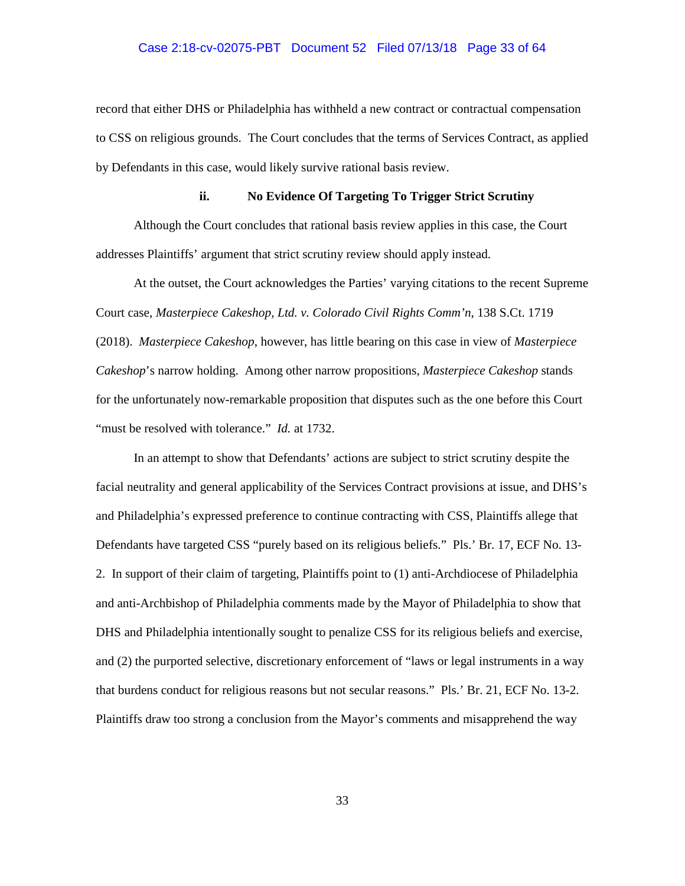### Case 2:18-cv-02075-PBT Document 52 Filed 07/13/18 Page 33 of 64

record that either DHS or Philadelphia has withheld a new contract or contractual compensation to CSS on religious grounds. The Court concludes that the terms of Services Contract, as applied by Defendants in this case, would likely survive rational basis review.

## **ii. No Evidence Of Targeting To Trigger Strict Scrutiny**

Although the Court concludes that rational basis review applies in this case, the Court addresses Plaintiffs' argument that strict scrutiny review should apply instead.

At the outset, the Court acknowledges the Parties' varying citations to the recent Supreme Court case, *Masterpiece Cakeshop, Ltd. v. Colorado Civil Rights Comm'n*, 138 S.Ct. 1719 (2018). *Masterpiece Cakeshop*, however, has little bearing on this case in view of *Masterpiece Cakeshop*'s narrow holding. Among other narrow propositions, *Masterpiece Cakeshop* stands for the unfortunately now-remarkable proposition that disputes such as the one before this Court "must be resolved with tolerance." *Id.* at 1732.

In an attempt to show that Defendants' actions are subject to strict scrutiny despite the facial neutrality and general applicability of the Services Contract provisions at issue, and DHS's and Philadelphia's expressed preference to continue contracting with CSS, Plaintiffs allege that Defendants have targeted CSS "purely based on its religious beliefs." Pls.' Br. 17, ECF No. 13- 2. In support of their claim of targeting, Plaintiffs point to (1) anti-Archdiocese of Philadelphia and anti-Archbishop of Philadelphia comments made by the Mayor of Philadelphia to show that DHS and Philadelphia intentionally sought to penalize CSS for its religious beliefs and exercise, and (2) the purported selective, discretionary enforcement of "laws or legal instruments in a way that burdens conduct for religious reasons but not secular reasons." Pls.' Br. 21, ECF No. 13-2. Plaintiffs draw too strong a conclusion from the Mayor's comments and misapprehend the way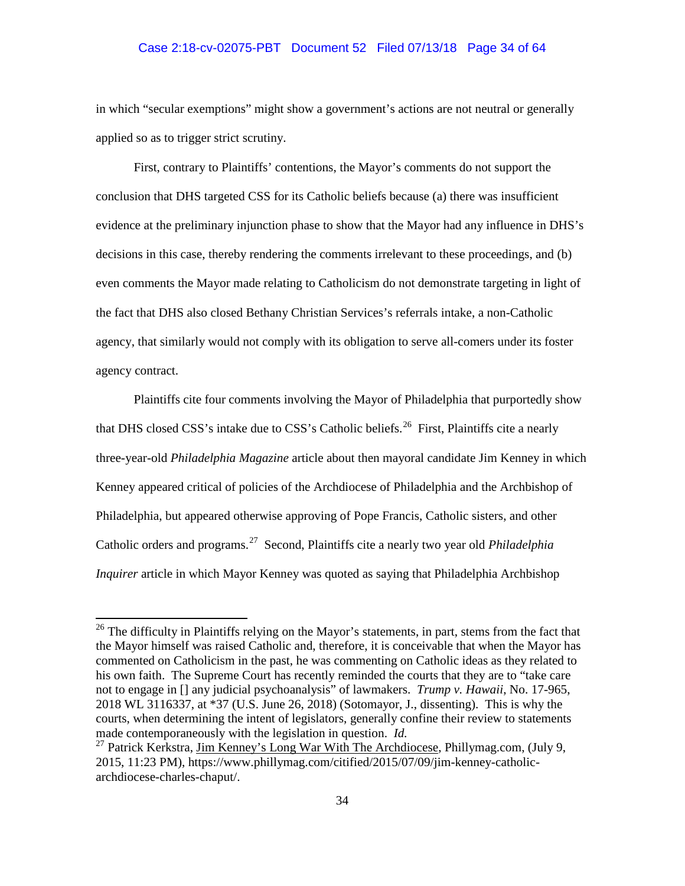# Case 2:18-cv-02075-PBT Document 52 Filed 07/13/18 Page 34 of 64

in which "secular exemptions" might show a government's actions are not neutral or generally applied so as to trigger strict scrutiny.

First, contrary to Plaintiffs' contentions, the Mayor's comments do not support the conclusion that DHS targeted CSS for its Catholic beliefs because (a) there was insufficient evidence at the preliminary injunction phase to show that the Mayor had any influence in DHS's decisions in this case, thereby rendering the comments irrelevant to these proceedings, and (b) even comments the Mayor made relating to Catholicism do not demonstrate targeting in light of the fact that DHS also closed Bethany Christian Services's referrals intake, a non-Catholic agency, that similarly would not comply with its obligation to serve all-comers under its foster agency contract.

Plaintiffs cite four comments involving the Mayor of Philadelphia that purportedly show that DHS closed CSS's intake due to CSS's Catholic beliefs.<sup>26</sup> First, Plaintiffs cite a nearly three-year-old *Philadelphia Magazine* article about then mayoral candidate Jim Kenney in which Kenney appeared critical of policies of the Archdiocese of Philadelphia and the Archbishop of Philadelphia, but appeared otherwise approving of Pope Francis, Catholic sisters, and other Catholic orders and programs. 27 Second, Plaintiffs cite a nearly two year old *Philadelphia Inquirer* article in which Mayor Kenney was quoted as saying that Philadelphia Archbishop

<sup>&</sup>lt;sup>26</sup> The difficulty in Plaintiffs relying on the Mayor's statements, in part, stems from the fact that the Mayor himself was raised Catholic and, therefore, it is conceivable that when the Mayor has commented on Catholicism in the past, he was commenting on Catholic ideas as they related to his own faith. The Supreme Court has recently reminded the courts that they are to "take care not to engage in [] any judicial psychoanalysis" of lawmakers. *Trump v. Hawaii*, No. 17-965, 2018 WL 3116337, at \*37 (U.S. June 26, 2018) (Sotomayor, J., dissenting). This is why the courts, when determining the intent of legislators, generally confine their review to statements made contemporaneously with the legislation in question. *Id.* <sup>27</sup> Patrick Kerkstra, Jim Kenney's Long War With The Archdiocese, Phillymag.com, (July 9,

<sup>2015, 11:23</sup> PM), https://www.phillymag.com/citified/2015/07/09/jim-kenney-catholicarchdiocese-charles-chaput/.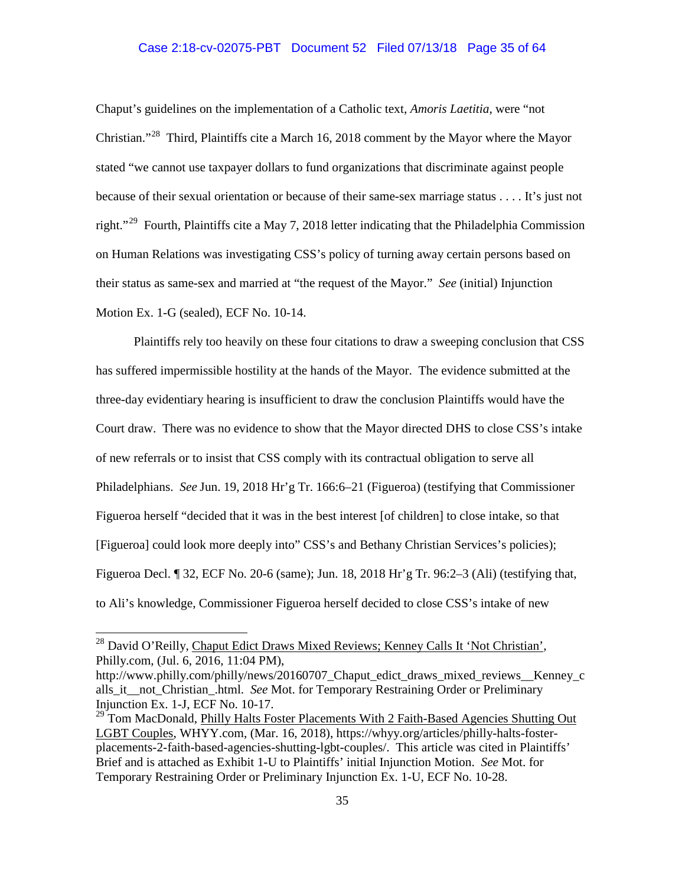## Case 2:18-cv-02075-PBT Document 52 Filed 07/13/18 Page 35 of 64

Chaput's guidelines on the implementation of a Catholic text, *Amoris Laetitia*, were "not Christian."28 Third, Plaintiffs cite a March 16, 2018 comment by the Mayor where the Mayor stated "we cannot use taxpayer dollars to fund organizations that discriminate against people because of their sexual orientation or because of their same-sex marriage status . . . . It's just not right."<sup>29</sup> Fourth, Plaintiffs cite a May 7, 2018 letter indicating that the Philadelphia Commission on Human Relations was investigating CSS's policy of turning away certain persons based on their status as same-sex and married at "the request of the Mayor." *See* (initial) Injunction Motion Ex. 1-G (sealed), ECF No. 10-14.

Plaintiffs rely too heavily on these four citations to draw a sweeping conclusion that CSS has suffered impermissible hostility at the hands of the Mayor. The evidence submitted at the three-day evidentiary hearing is insufficient to draw the conclusion Plaintiffs would have the Court draw. There was no evidence to show that the Mayor directed DHS to close CSS's intake of new referrals or to insist that CSS comply with its contractual obligation to serve all Philadelphians. *See* Jun. 19, 2018 Hr'g Tr. 166:6–21 (Figueroa) (testifying that Commissioner Figueroa herself "decided that it was in the best interest [of children] to close intake, so that [Figueroa] could look more deeply into" CSS's and Bethany Christian Services's policies); Figueroa Decl. ¶ 32, ECF No. 20-6 (same); Jun. 18, 2018 Hr'g Tr. 96:2–3 (Ali) (testifying that, to Ali's knowledge, Commissioner Figueroa herself decided to close CSS's intake of new

<sup>&</sup>lt;sup>28</sup> David O'Reilly, Chaput Edict Draws Mixed Reviews; Kenney Calls It 'Not Christian', Philly.com, (Jul. 6, 2016, 11:04 PM),

http://www.philly.com/philly/news/20160707\_Chaput\_edict\_draws\_mixed\_reviews\_\_Kenney\_c alls\_it\_\_not\_Christian\_.html. *See* Mot. for Temporary Restraining Order or Preliminary Injunction Ex. 1-J, ECF No. 10-17.<br><sup>29</sup> Tom MacDonald, <u>Philly Halts Foster Placements With 2 Faith-Based Agencies Shutting Out</u>

LGBT Couples, WHYY.com, (Mar. 16, 2018), https://whyy.org/articles/philly-halts-fosterplacements-2-faith-based-agencies-shutting-lgbt-couples/. This article was cited in Plaintiffs' Brief and is attached as Exhibit 1-U to Plaintiffs' initial Injunction Motion. *See* Mot. for Temporary Restraining Order or Preliminary Injunction Ex. 1-U, ECF No. 10-28.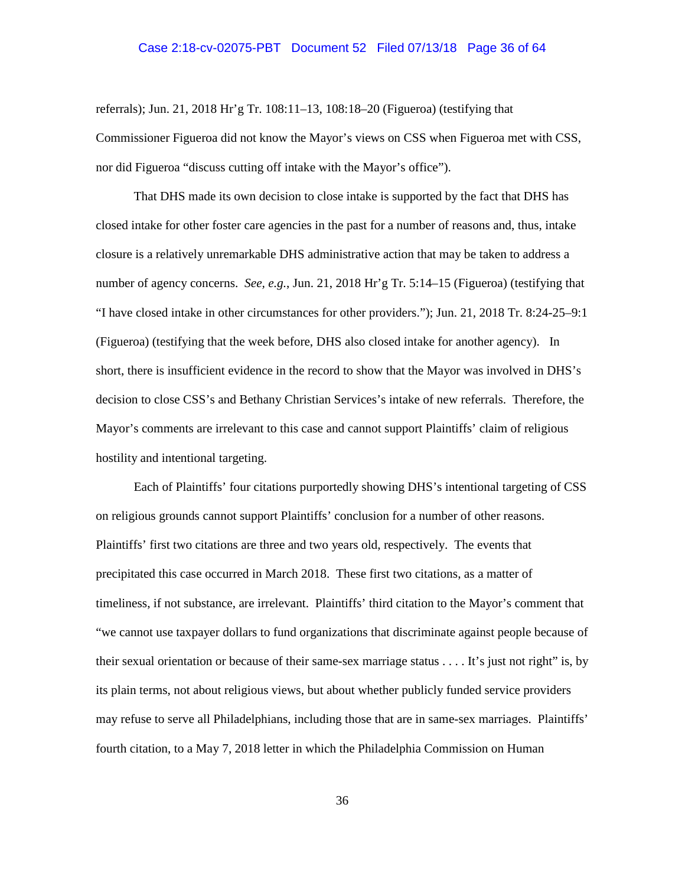#### Case 2:18-cv-02075-PBT Document 52 Filed 07/13/18 Page 36 of 64

referrals); Jun. 21, 2018 Hr'g Tr. 108:11–13, 108:18–20 (Figueroa) (testifying that Commissioner Figueroa did not know the Mayor's views on CSS when Figueroa met with CSS, nor did Figueroa "discuss cutting off intake with the Mayor's office").

That DHS made its own decision to close intake is supported by the fact that DHS has closed intake for other foster care agencies in the past for a number of reasons and, thus, intake closure is a relatively unremarkable DHS administrative action that may be taken to address a number of agency concerns. *See, e.g.*, Jun. 21, 2018 Hr'g Tr. 5:14–15 (Figueroa) (testifying that "I have closed intake in other circumstances for other providers."); Jun. 21, 2018 Tr. 8:24-25–9:1 (Figueroa) (testifying that the week before, DHS also closed intake for another agency). In short, there is insufficient evidence in the record to show that the Mayor was involved in DHS's decision to close CSS's and Bethany Christian Services's intake of new referrals. Therefore, the Mayor's comments are irrelevant to this case and cannot support Plaintiffs' claim of religious hostility and intentional targeting.

Each of Plaintiffs' four citations purportedly showing DHS's intentional targeting of CSS on religious grounds cannot support Plaintiffs' conclusion for a number of other reasons. Plaintiffs' first two citations are three and two years old, respectively. The events that precipitated this case occurred in March 2018. These first two citations, as a matter of timeliness, if not substance, are irrelevant. Plaintiffs' third citation to the Mayor's comment that "we cannot use taxpayer dollars to fund organizations that discriminate against people because of their sexual orientation or because of their same-sex marriage status . . . . It's just not right" is, by its plain terms, not about religious views, but about whether publicly funded service providers may refuse to serve all Philadelphians, including those that are in same-sex marriages. Plaintiffs' fourth citation, to a May 7, 2018 letter in which the Philadelphia Commission on Human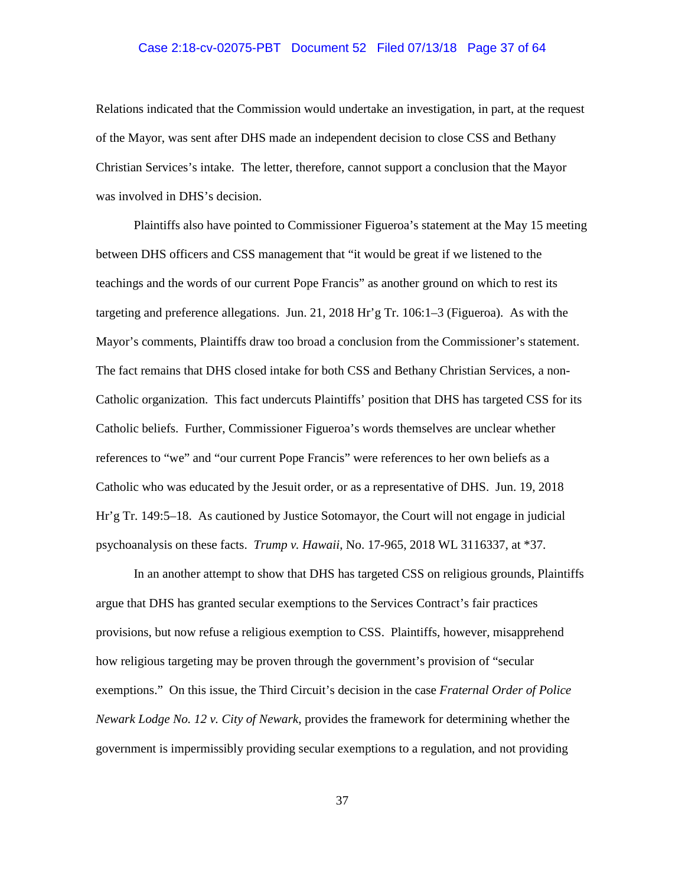## Case 2:18-cv-02075-PBT Document 52 Filed 07/13/18 Page 37 of 64

Relations indicated that the Commission would undertake an investigation, in part, at the request of the Mayor, was sent after DHS made an independent decision to close CSS and Bethany Christian Services's intake. The letter, therefore, cannot support a conclusion that the Mayor was involved in DHS's decision.

Plaintiffs also have pointed to Commissioner Figueroa's statement at the May 15 meeting between DHS officers and CSS management that "it would be great if we listened to the teachings and the words of our current Pope Francis" as another ground on which to rest its targeting and preference allegations. Jun. 21, 2018 Hr'g Tr. 106:1–3 (Figueroa). As with the Mayor's comments, Plaintiffs draw too broad a conclusion from the Commissioner's statement. The fact remains that DHS closed intake for both CSS and Bethany Christian Services, a non-Catholic organization. This fact undercuts Plaintiffs' position that DHS has targeted CSS for its Catholic beliefs. Further, Commissioner Figueroa's words themselves are unclear whether references to "we" and "our current Pope Francis" were references to her own beliefs as a Catholic who was educated by the Jesuit order, or as a representative of DHS. Jun. 19, 2018 Hr'g Tr. 149:5–18. As cautioned by Justice Sotomayor, the Court will not engage in judicial psychoanalysis on these facts. *Trump v. Hawaii*, No. 17-965, 2018 WL 3116337, at \*37.

In an another attempt to show that DHS has targeted CSS on religious grounds, Plaintiffs argue that DHS has granted secular exemptions to the Services Contract's fair practices provisions, but now refuse a religious exemption to CSS. Plaintiffs, however, misapprehend how religious targeting may be proven through the government's provision of "secular exemptions." On this issue, the Third Circuit's decision in the case *Fraternal Order of Police Newark Lodge No. 12 v. City of Newark*, provides the framework for determining whether the government is impermissibly providing secular exemptions to a regulation, and not providing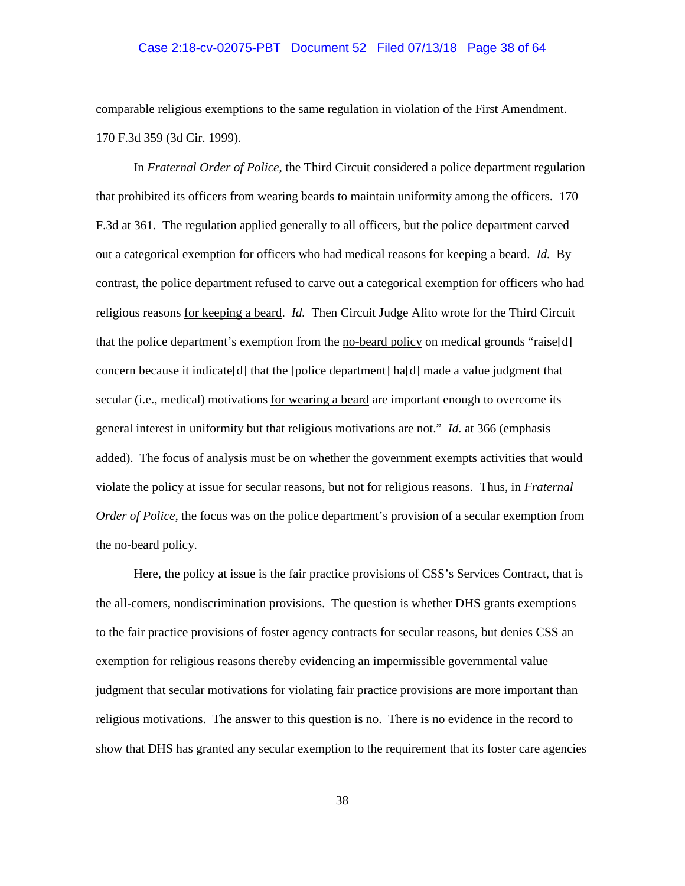### Case 2:18-cv-02075-PBT Document 52 Filed 07/13/18 Page 38 of 64

comparable religious exemptions to the same regulation in violation of the First Amendment. 170 F.3d 359 (3d Cir. 1999).

In *Fraternal Order of Police*, the Third Circuit considered a police department regulation that prohibited its officers from wearing beards to maintain uniformity among the officers. 170 F.3d at 361. The regulation applied generally to all officers, but the police department carved out a categorical exemption for officers who had medical reasons for keeping a beard. *Id.* By contrast, the police department refused to carve out a categorical exemption for officers who had religious reasons for keeping a beard. *Id.* Then Circuit Judge Alito wrote for the Third Circuit that the police department's exemption from the no-beard policy on medical grounds "raise[d] concern because it indicate [d] that the [police department] ha[d] made a value judgment that secular (i.e., medical) motivations for wearing a beard are important enough to overcome its general interest in uniformity but that religious motivations are not." *Id.* at 366 (emphasis added). The focus of analysis must be on whether the government exempts activities that would violate the policy at issue for secular reasons, but not for religious reasons. Thus, in *Fraternal Order of Police*, the focus was on the police department's provision of a secular exemption from the no-beard policy.

Here, the policy at issue is the fair practice provisions of CSS's Services Contract, that is the all-comers, nondiscrimination provisions. The question is whether DHS grants exemptions to the fair practice provisions of foster agency contracts for secular reasons, but denies CSS an exemption for religious reasons thereby evidencing an impermissible governmental value judgment that secular motivations for violating fair practice provisions are more important than religious motivations. The answer to this question is no. There is no evidence in the record to show that DHS has granted any secular exemption to the requirement that its foster care agencies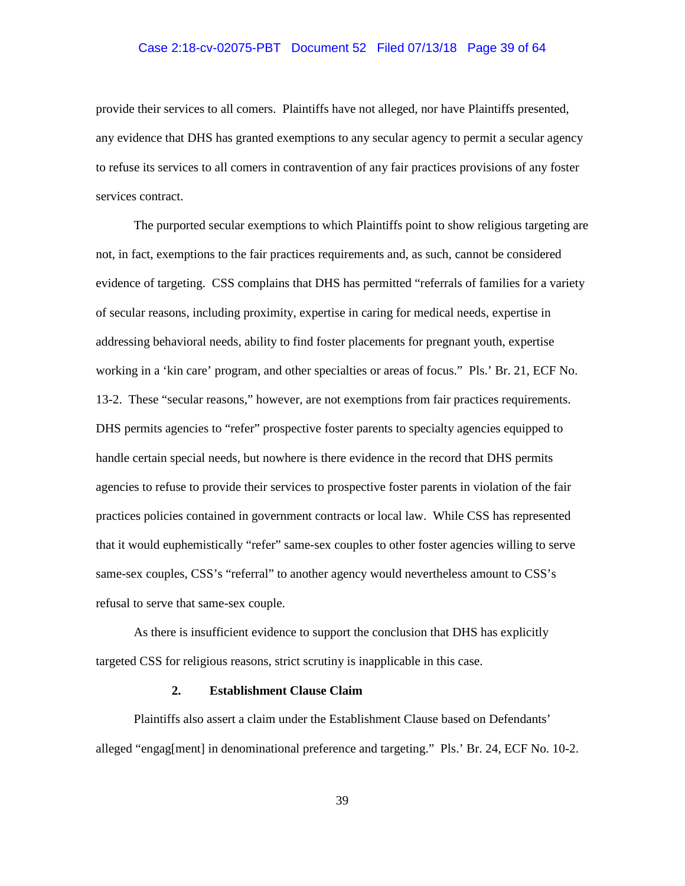### Case 2:18-cv-02075-PBT Document 52 Filed 07/13/18 Page 39 of 64

provide their services to all comers. Plaintiffs have not alleged, nor have Plaintiffs presented, any evidence that DHS has granted exemptions to any secular agency to permit a secular agency to refuse its services to all comers in contravention of any fair practices provisions of any foster services contract.

The purported secular exemptions to which Plaintiffs point to show religious targeting are not, in fact, exemptions to the fair practices requirements and, as such, cannot be considered evidence of targeting. CSS complains that DHS has permitted "referrals of families for a variety of secular reasons, including proximity, expertise in caring for medical needs, expertise in addressing behavioral needs, ability to find foster placements for pregnant youth, expertise working in a 'kin care' program, and other specialties or areas of focus." Pls.' Br. 21, ECF No. 13-2. These "secular reasons," however, are not exemptions from fair practices requirements. DHS permits agencies to "refer" prospective foster parents to specialty agencies equipped to handle certain special needs, but nowhere is there evidence in the record that DHS permits agencies to refuse to provide their services to prospective foster parents in violation of the fair practices policies contained in government contracts or local law. While CSS has represented that it would euphemistically "refer" same-sex couples to other foster agencies willing to serve same-sex couples, CSS's "referral" to another agency would nevertheless amount to CSS's refusal to serve that same-sex couple.

As there is insufficient evidence to support the conclusion that DHS has explicitly targeted CSS for religious reasons, strict scrutiny is inapplicable in this case.

## **2. Establishment Clause Claim**

Plaintiffs also assert a claim under the Establishment Clause based on Defendants' alleged "engag[ment] in denominational preference and targeting." Pls.' Br. 24, ECF No. 10-2.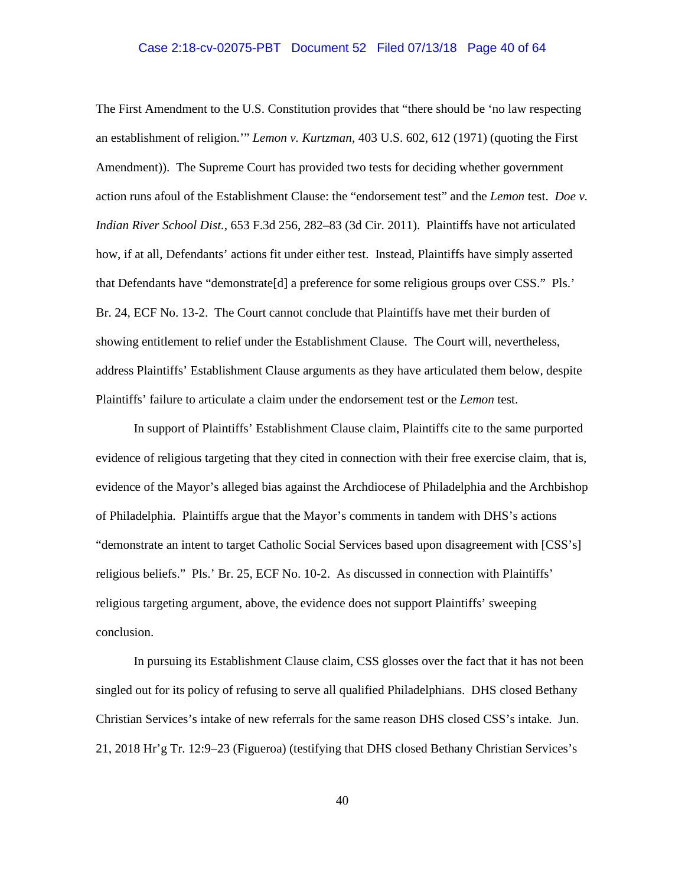## Case 2:18-cv-02075-PBT Document 52 Filed 07/13/18 Page 40 of 64

The First Amendment to the U.S. Constitution provides that "there should be 'no law respecting an establishment of religion.'" *Lemon v. Kurtzman*, 403 U.S. 602, 612 (1971) (quoting the First Amendment)). The Supreme Court has provided two tests for deciding whether government action runs afoul of the Establishment Clause: the "endorsement test" and the *Lemon* test. *Doe v. Indian River School Dist.*, 653 F.3d 256, 282–83 (3d Cir. 2011). Plaintiffs have not articulated how, if at all, Defendants' actions fit under either test. Instead, Plaintiffs have simply asserted that Defendants have "demonstrate[d] a preference for some religious groups over CSS." Pls.' Br. 24, ECF No. 13-2. The Court cannot conclude that Plaintiffs have met their burden of showing entitlement to relief under the Establishment Clause. The Court will, nevertheless, address Plaintiffs' Establishment Clause arguments as they have articulated them below, despite Plaintiffs' failure to articulate a claim under the endorsement test or the *Lemon* test.

In support of Plaintiffs' Establishment Clause claim, Plaintiffs cite to the same purported evidence of religious targeting that they cited in connection with their free exercise claim, that is, evidence of the Mayor's alleged bias against the Archdiocese of Philadelphia and the Archbishop of Philadelphia. Plaintiffs argue that the Mayor's comments in tandem with DHS's actions "demonstrate an intent to target Catholic Social Services based upon disagreement with [CSS's] religious beliefs." Pls.' Br. 25, ECF No. 10-2. As discussed in connection with Plaintiffs' religious targeting argument, above, the evidence does not support Plaintiffs' sweeping conclusion.

In pursuing its Establishment Clause claim, CSS glosses over the fact that it has not been singled out for its policy of refusing to serve all qualified Philadelphians. DHS closed Bethany Christian Services's intake of new referrals for the same reason DHS closed CSS's intake. Jun. 21, 2018 Hr'g Tr. 12:9–23 (Figueroa) (testifying that DHS closed Bethany Christian Services's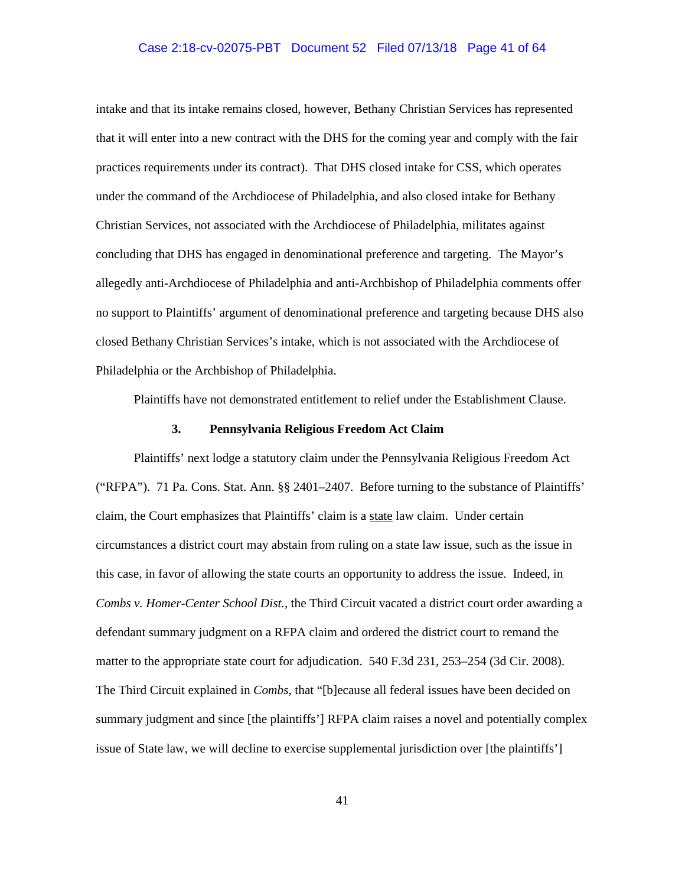### Case 2:18-cv-02075-PBT Document 52 Filed 07/13/18 Page 41 of 64

intake and that its intake remains closed, however, Bethany Christian Services has represented that it will enter into a new contract with the DHS for the coming year and comply with the fair practices requirements under its contract). That DHS closed intake for CSS, which operates under the command of the Archdiocese of Philadelphia, and also closed intake for Bethany Christian Services, not associated with the Archdiocese of Philadelphia, militates against concluding that DHS has engaged in denominational preference and targeting. The Mayor's allegedly anti-Archdiocese of Philadelphia and anti-Archbishop of Philadelphia comments offer no support to Plaintiffs' argument of denominational preference and targeting because DHS also closed Bethany Christian Services's intake, which is not associated with the Archdiocese of Philadelphia or the Archbishop of Philadelphia.

Plaintiffs have not demonstrated entitlement to relief under the Establishment Clause.

### **3. Pennsylvania Religious Freedom Act Claim**

Plaintiffs' next lodge a statutory claim under the Pennsylvania Religious Freedom Act ("RFPA"). 71 Pa. Cons. Stat. Ann. §§ 2401–2407. Before turning to the substance of Plaintiffs' claim, the Court emphasizes that Plaintiffs' claim is a state law claim. Under certain circumstances a district court may abstain from ruling on a state law issue, such as the issue in this case, in favor of allowing the state courts an opportunity to address the issue. Indeed, in *Combs v. Homer-Center School Dist.*, the Third Circuit vacated a district court order awarding a defendant summary judgment on a RFPA claim and ordered the district court to remand the matter to the appropriate state court for adjudication. 540 F.3d 231, 253–254 (3d Cir. 2008). The Third Circuit explained in *Combs*, that "[b]ecause all federal issues have been decided on summary judgment and since [the plaintiffs'] RFPA claim raises a novel and potentially complex issue of State law, we will decline to exercise supplemental jurisdiction over [the plaintiffs']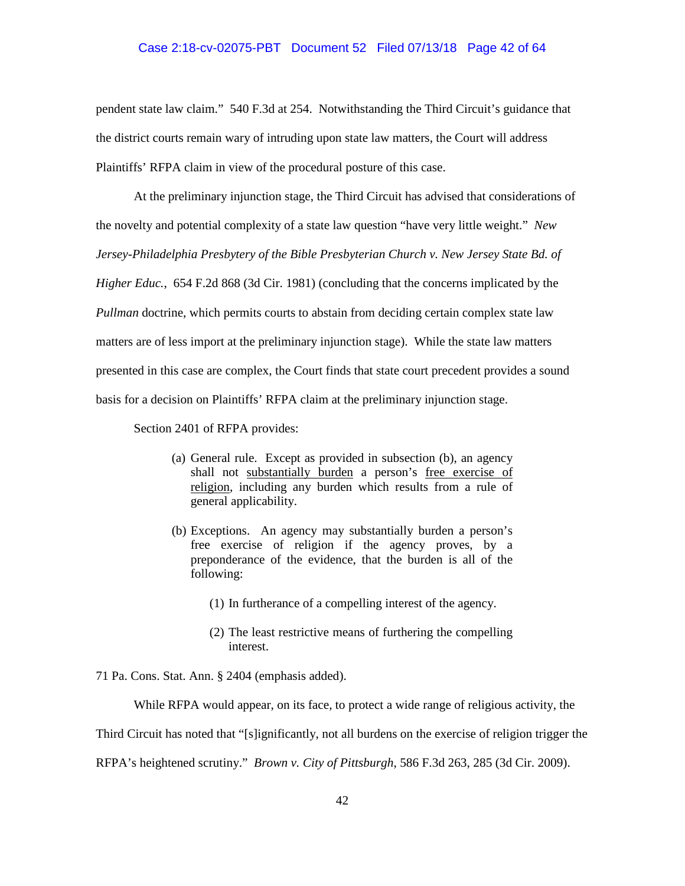### Case 2:18-cv-02075-PBT Document 52 Filed 07/13/18 Page 42 of 64

pendent state law claim." 540 F.3d at 254. Notwithstanding the Third Circuit's guidance that the district courts remain wary of intruding upon state law matters, the Court will address Plaintiffs' RFPA claim in view of the procedural posture of this case.

At the preliminary injunction stage, the Third Circuit has advised that considerations of the novelty and potential complexity of a state law question "have very little weight." *New Jersey-Philadelphia Presbytery of the Bible Presbyterian Church v. New Jersey State Bd. of Higher Educ.*, 654 F.2d 868 (3d Cir. 1981) (concluding that the concerns implicated by the *Pullman* doctrine, which permits courts to abstain from deciding certain complex state law matters are of less import at the preliminary injunction stage). While the state law matters presented in this case are complex, the Court finds that state court precedent provides a sound basis for a decision on Plaintiffs' RFPA claim at the preliminary injunction stage.

Section 2401 of RFPA provides:

- (a) General rule. Except as provided in subsection (b), an agency shall not substantially burden a person's free exercise of religion, including any burden which results from a rule of general applicability.
- (b) Exceptions. An agency may substantially burden a person's free exercise of religion if the agency proves, by a preponderance of the evidence, that the burden is all of the following:
	- (1) In furtherance of a compelling interest of the agency.
	- (2) The least restrictive means of furthering the compelling interest.

71 Pa. Cons. Stat. Ann. § 2404 (emphasis added).

While RFPA would appear, on its face, to protect a wide range of religious activity, the

Third Circuit has noted that "[s]ignificantly, not all burdens on the exercise of religion trigger the

RFPA's heightened scrutiny." *Brown v. City of Pittsburgh*, 586 F.3d 263, 285 (3d Cir. 2009).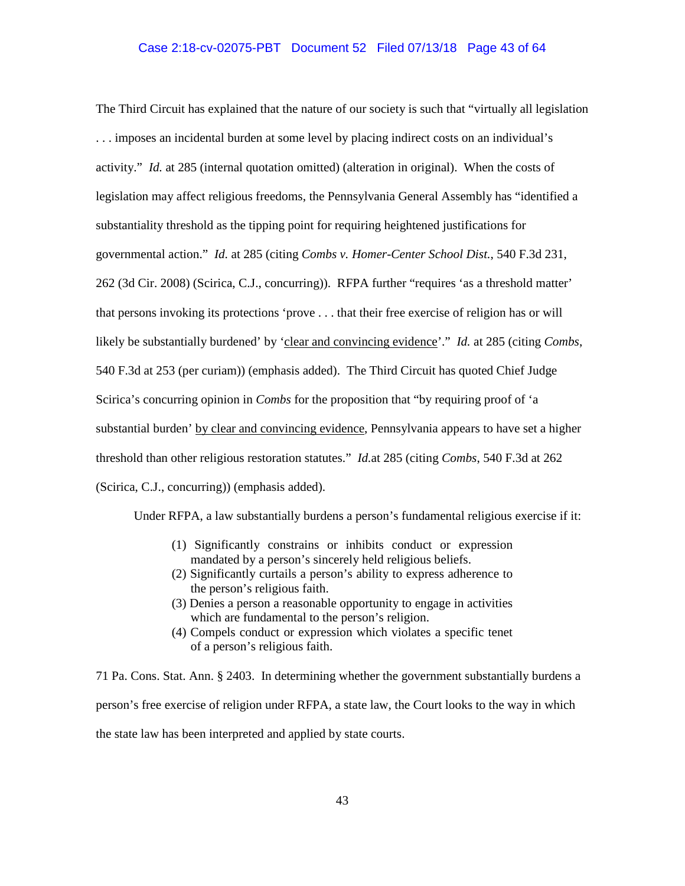The Third Circuit has explained that the nature of our society is such that "virtually all legislation . . . imposes an incidental burden at some level by placing indirect costs on an individual's activity." *Id.* at 285 (internal quotation omitted) (alteration in original). When the costs of legislation may affect religious freedoms, the Pennsylvania General Assembly has "identified a substantiality threshold as the tipping point for requiring heightened justifications for governmental action." *Id.* at 285 (citing *Combs v. Homer-Center School Dist.*, 540 F.3d 231, 262 (3d Cir. 2008) (Scirica, C.J., concurring)). RFPA further "requires 'as a threshold matter' that persons invoking its protections 'prove . . . that their free exercise of religion has or will likely be substantially burdened' by 'clear and convincing evidence'." *Id.* at 285 (citing *Combs*, 540 F.3d at 253 (per curiam)) (emphasis added). The Third Circuit has quoted Chief Judge Scirica's concurring opinion in *Combs* for the proposition that "by requiring proof of 'a substantial burden' by clear and convincing evidence, Pennsylvania appears to have set a higher threshold than other religious restoration statutes." *Id.*at 285 (citing *Combs*, 540 F.3d at 262 (Scirica, C.J., concurring)) (emphasis added).

Under RFPA, a law substantially burdens a person's fundamental religious exercise if it:

- (1) Significantly constrains or inhibits conduct or expression mandated by a person's sincerely held religious beliefs.
- (2) Significantly curtails a person's ability to express adherence to the person's religious faith.
- (3) Denies a person a reasonable opportunity to engage in activities which are fundamental to the person's religion.
- (4) Compels conduct or expression which violates a specific tenet of a person's religious faith.

71 Pa. Cons. Stat. Ann. § 2403. In determining whether the government substantially burdens a person's free exercise of religion under RFPA, a state law, the Court looks to the way in which the state law has been interpreted and applied by state courts.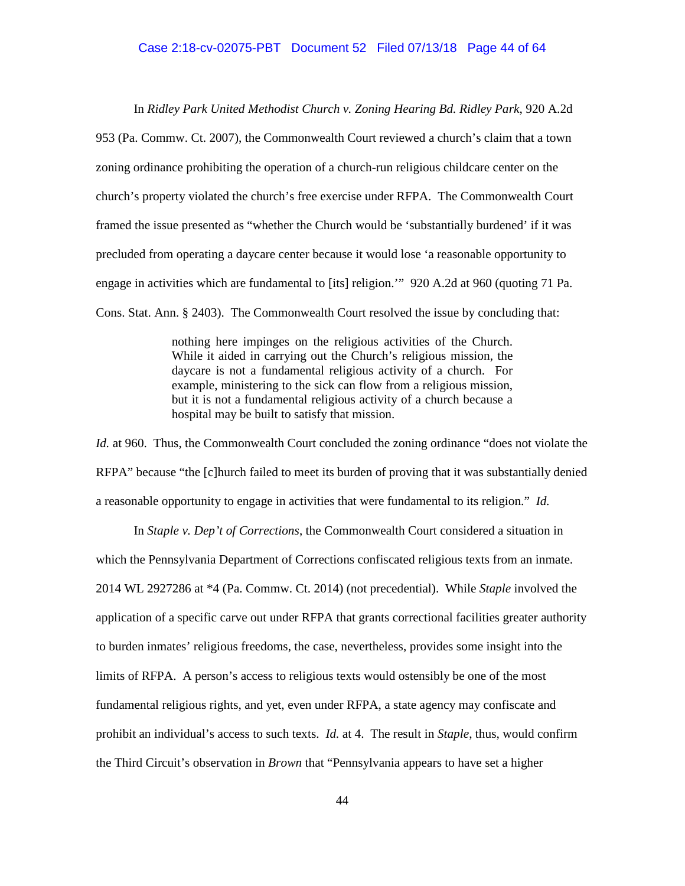In *Ridley Park United Methodist Church v. Zoning Hearing Bd. Ridley Park*, 920 A.2d

953 (Pa. Commw. Ct. 2007), the Commonwealth Court reviewed a church's claim that a town zoning ordinance prohibiting the operation of a church-run religious childcare center on the church's property violated the church's free exercise under RFPA. The Commonwealth Court framed the issue presented as "whether the Church would be 'substantially burdened' if it was precluded from operating a daycare center because it would lose 'a reasonable opportunity to engage in activities which are fundamental to [its] religion.'" 920 A.2d at 960 (quoting 71 Pa. Cons. Stat. Ann. § 2403). The Commonwealth Court resolved the issue by concluding that:

> nothing here impinges on the religious activities of the Church. While it aided in carrying out the Church's religious mission, the daycare is not a fundamental religious activity of a church. For example, ministering to the sick can flow from a religious mission, but it is not a fundamental religious activity of a church because a hospital may be built to satisfy that mission.

*Id.* at 960. Thus, the Commonwealth Court concluded the zoning ordinance "does not violate the RFPA" because "the [c]hurch failed to meet its burden of proving that it was substantially denied a reasonable opportunity to engage in activities that were fundamental to its religion." *Id.*

In *Staple v. Dep't of Corrections*, the Commonwealth Court considered a situation in which the Pennsylvania Department of Corrections confiscated religious texts from an inmate. 2014 WL 2927286 at \*4 (Pa. Commw. Ct. 2014) (not precedential). While *Staple* involved the application of a specific carve out under RFPA that grants correctional facilities greater authority to burden inmates' religious freedoms, the case, nevertheless, provides some insight into the limits of RFPA. A person's access to religious texts would ostensibly be one of the most fundamental religious rights, and yet, even under RFPA, a state agency may confiscate and prohibit an individual's access to such texts. *Id.* at 4. The result in *Staple*, thus, would confirm the Third Circuit's observation in *Brown* that "Pennsylvania appears to have set a higher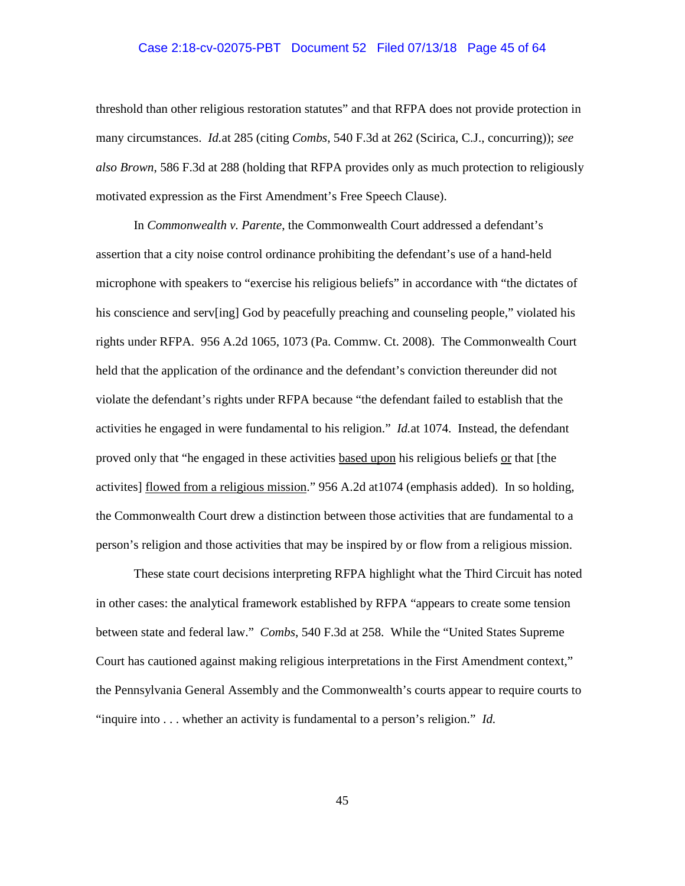## Case 2:18-cv-02075-PBT Document 52 Filed 07/13/18 Page 45 of 64

threshold than other religious restoration statutes" and that RFPA does not provide protection in many circumstances. *Id.*at 285 (citing *Combs*, 540 F.3d at 262 (Scirica, C.J., concurring)); *see also Brown*, 586 F.3d at 288 (holding that RFPA provides only as much protection to religiously motivated expression as the First Amendment's Free Speech Clause).

In *Commonwealth v. Parente*, the Commonwealth Court addressed a defendant's assertion that a city noise control ordinance prohibiting the defendant's use of a hand-held microphone with speakers to "exercise his religious beliefs" in accordance with "the dictates of his conscience and serv[ing] God by peacefully preaching and counseling people," violated his rights under RFPA. 956 A.2d 1065, 1073 (Pa. Commw. Ct. 2008). The Commonwealth Court held that the application of the ordinance and the defendant's conviction thereunder did not violate the defendant's rights under RFPA because "the defendant failed to establish that the activities he engaged in were fundamental to his religion." *Id.*at 1074. Instead, the defendant proved only that "he engaged in these activities based upon his religious beliefs or that [the activites] flowed from a religious mission." 956 A.2d at1074 (emphasis added). In so holding, the Commonwealth Court drew a distinction between those activities that are fundamental to a person's religion and those activities that may be inspired by or flow from a religious mission.

These state court decisions interpreting RFPA highlight what the Third Circuit has noted in other cases: the analytical framework established by RFPA "appears to create some tension between state and federal law." *Combs*, 540 F.3d at 258. While the "United States Supreme Court has cautioned against making religious interpretations in the First Amendment context," the Pennsylvania General Assembly and the Commonwealth's courts appear to require courts to "inquire into . . . whether an activity is fundamental to a person's religion." *Id.*

45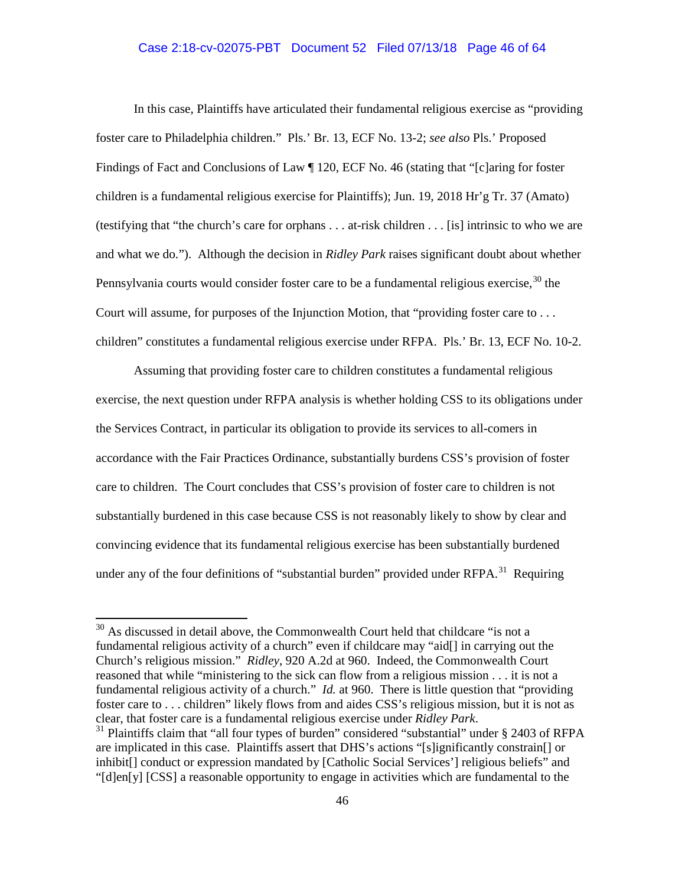# Case 2:18-cv-02075-PBT Document 52 Filed 07/13/18 Page 46 of 64

In this case, Plaintiffs have articulated their fundamental religious exercise as "providing foster care to Philadelphia children." Pls.' Br. 13, ECF No. 13-2; *see also* Pls.' Proposed Findings of Fact and Conclusions of Law ¶ 120, ECF No. 46 (stating that "[c]aring for foster children is a fundamental religious exercise for Plaintiffs); Jun. 19, 2018 Hr'g Tr. 37 (Amato) (testifying that "the church's care for orphans . . . at-risk children . . . [is] intrinsic to who we are and what we do."). Although the decision in *Ridley Park* raises significant doubt about whether Pennsylvania courts would consider foster care to be a fundamental religious exercise.<sup>30</sup> the Court will assume, for purposes of the Injunction Motion, that "providing foster care to ... children" constitutes a fundamental religious exercise under RFPA. Pls.' Br. 13, ECF No. 10-2.

Assuming that providing foster care to children constitutes a fundamental religious exercise, the next question under RFPA analysis is whether holding CSS to its obligations under the Services Contract, in particular its obligation to provide its services to all-comers in accordance with the Fair Practices Ordinance, substantially burdens CSS's provision of foster care to children. The Court concludes that CSS's provision of foster care to children is not substantially burdened in this case because CSS is not reasonably likely to show by clear and convincing evidence that its fundamental religious exercise has been substantially burdened under any of the four definitions of "substantial burden" provided under RFPA.<sup>31</sup> Requiring

<sup>&</sup>lt;sup>30</sup> As discussed in detail above, the Commonwealth Court held that childcare "is not a fundamental religious activity of a church" even if childcare may "aid[] in carrying out the Church's religious mission." *Ridley*, 920 A.2d at 960. Indeed, the Commonwealth Court reasoned that while "ministering to the sick can flow from a religious mission . . . it is not a fundamental religious activity of a church." *Id.* at 960. There is little question that "providing foster care to . . . children" likely flows from and aides CSS's religious mission, but it is not as clear, that foster care is a fundamental religious exercise under *Ridley Park*. 31 Plaintiffs claim that "all four types of burden" considered "substantial" under § 2403 of RFPA

are implicated in this case. Plaintiffs assert that DHS's actions "[s]ignificantly constrain[] or inhibit[] conduct or expression mandated by [Catholic Social Services'] religious beliefs" and "[d]en[y] [CSS] a reasonable opportunity to engage in activities which are fundamental to the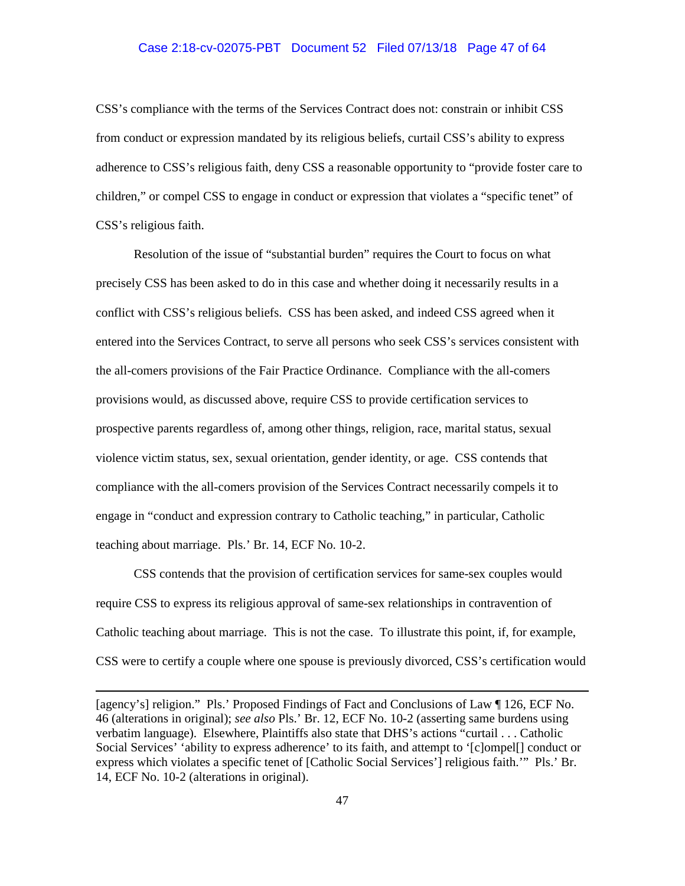### Case 2:18-cv-02075-PBT Document 52 Filed 07/13/18 Page 47 of 64

CSS's compliance with the terms of the Services Contract does not: constrain or inhibit CSS from conduct or expression mandated by its religious beliefs, curtail CSS's ability to express adherence to CSS's religious faith, deny CSS a reasonable opportunity to "provide foster care to children," or compel CSS to engage in conduct or expression that violates a "specific tenet" of CSS's religious faith.

Resolution of the issue of "substantial burden" requires the Court to focus on what precisely CSS has been asked to do in this case and whether doing it necessarily results in a conflict with CSS's religious beliefs. CSS has been asked, and indeed CSS agreed when it entered into the Services Contract, to serve all persons who seek CSS's services consistent with the all-comers provisions of the Fair Practice Ordinance. Compliance with the all-comers provisions would, as discussed above, require CSS to provide certification services to prospective parents regardless of, among other things, religion, race, marital status, sexual violence victim status, sex, sexual orientation, gender identity, or age. CSS contends that compliance with the all-comers provision of the Services Contract necessarily compels it to engage in "conduct and expression contrary to Catholic teaching," in particular, Catholic teaching about marriage. Pls.' Br. 14, ECF No. 10-2.

CSS contends that the provision of certification services for same-sex couples would require CSS to express its religious approval of same-sex relationships in contravention of Catholic teaching about marriage. This is not the case. To illustrate this point, if, for example, CSS were to certify a couple where one spouse is previously divorced, CSS's certification would

 $\overline{a}$ 

<sup>[</sup>agency's] religion." Pls.' Proposed Findings of Fact and Conclusions of Law ¶ 126, ECF No. 46 (alterations in original); *see also* Pls.' Br. 12, ECF No. 10-2 (asserting same burdens using verbatim language). Elsewhere, Plaintiffs also state that DHS's actions "curtail . . . Catholic Social Services' 'ability to express adherence' to its faith, and attempt to '[c]ompel[] conduct or express which violates a specific tenet of [Catholic Social Services'] religious faith.'" Pls.' Br. 14, ECF No. 10-2 (alterations in original).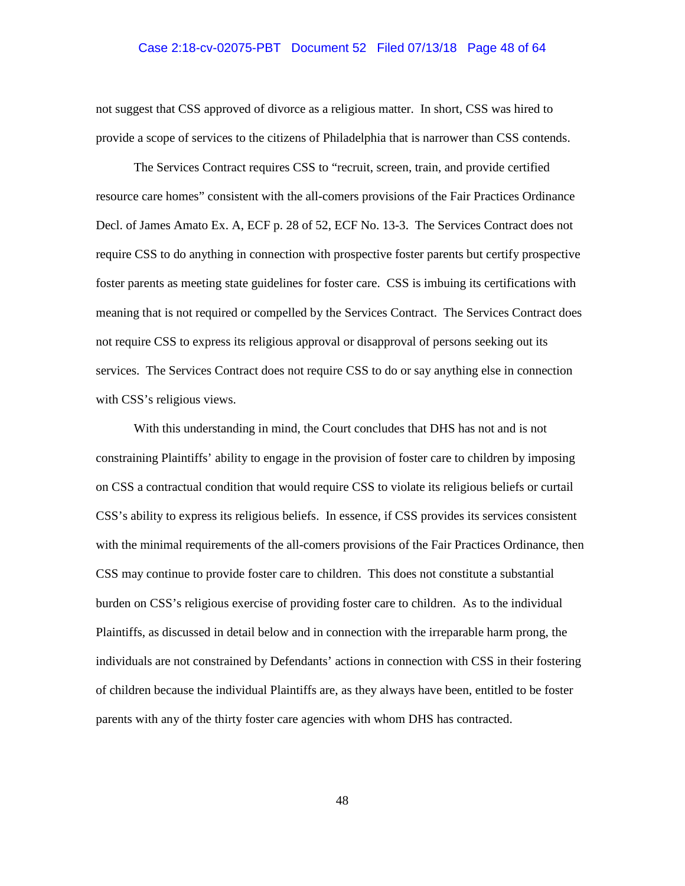### Case 2:18-cv-02075-PBT Document 52 Filed 07/13/18 Page 48 of 64

not suggest that CSS approved of divorce as a religious matter. In short, CSS was hired to provide a scope of services to the citizens of Philadelphia that is narrower than CSS contends.

The Services Contract requires CSS to "recruit, screen, train, and provide certified resource care homes" consistent with the all-comers provisions of the Fair Practices Ordinance Decl. of James Amato Ex. A, ECF p. 28 of 52, ECF No. 13-3. The Services Contract does not require CSS to do anything in connection with prospective foster parents but certify prospective foster parents as meeting state guidelines for foster care. CSS is imbuing its certifications with meaning that is not required or compelled by the Services Contract. The Services Contract does not require CSS to express its religious approval or disapproval of persons seeking out its services. The Services Contract does not require CSS to do or say anything else in connection with CSS's religious views.

With this understanding in mind, the Court concludes that DHS has not and is not constraining Plaintiffs' ability to engage in the provision of foster care to children by imposing on CSS a contractual condition that would require CSS to violate its religious beliefs or curtail CSS's ability to express its religious beliefs. In essence, if CSS provides its services consistent with the minimal requirements of the all-comers provisions of the Fair Practices Ordinance, then CSS may continue to provide foster care to children. This does not constitute a substantial burden on CSS's religious exercise of providing foster care to children. As to the individual Plaintiffs, as discussed in detail below and in connection with the irreparable harm prong, the individuals are not constrained by Defendants' actions in connection with CSS in their fostering of children because the individual Plaintiffs are, as they always have been, entitled to be foster parents with any of the thirty foster care agencies with whom DHS has contracted.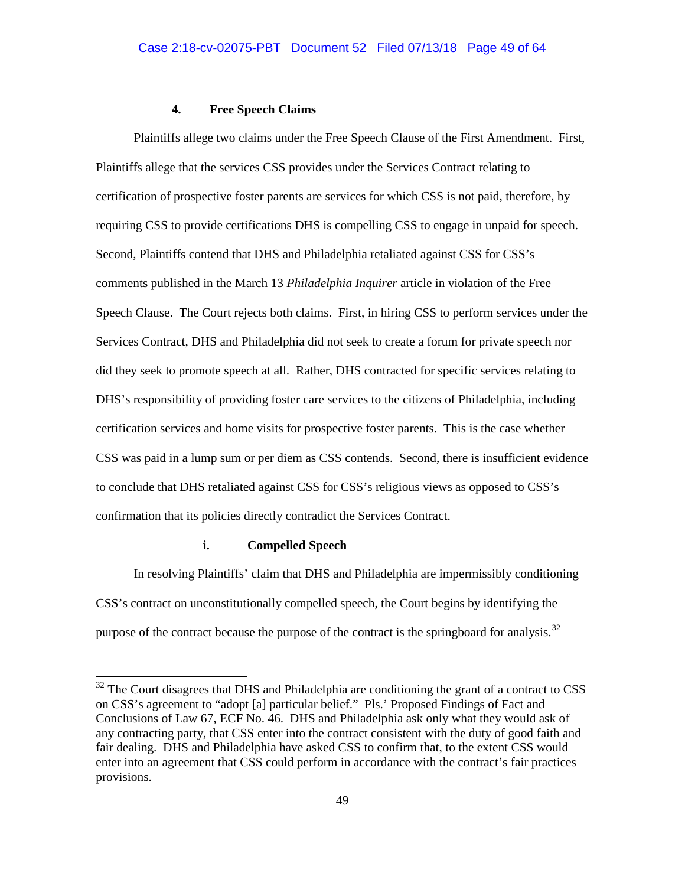### **4. Free Speech Claims**

Plaintiffs allege two claims under the Free Speech Clause of the First Amendment. First, Plaintiffs allege that the services CSS provides under the Services Contract relating to certification of prospective foster parents are services for which CSS is not paid, therefore, by requiring CSS to provide certifications DHS is compelling CSS to engage in unpaid for speech. Second, Plaintiffs contend that DHS and Philadelphia retaliated against CSS for CSS's comments published in the March 13 *Philadelphia Inquirer* article in violation of the Free Speech Clause. The Court rejects both claims. First, in hiring CSS to perform services under the Services Contract, DHS and Philadelphia did not seek to create a forum for private speech nor did they seek to promote speech at all. Rather, DHS contracted for specific services relating to DHS's responsibility of providing foster care services to the citizens of Philadelphia, including certification services and home visits for prospective foster parents. This is the case whether CSS was paid in a lump sum or per diem as CSS contends. Second, there is insufficient evidence to conclude that DHS retaliated against CSS for CSS's religious views as opposed to CSS's confirmation that its policies directly contradict the Services Contract.

### **i. Compelled Speech**

In resolving Plaintiffs' claim that DHS and Philadelphia are impermissibly conditioning CSS's contract on unconstitutionally compelled speech, the Court begins by identifying the purpose of the contract because the purpose of the contract is the springboard for analysis.<sup>32</sup>

 $32$  The Court disagrees that DHS and Philadelphia are conditioning the grant of a contract to CSS on CSS's agreement to "adopt [a] particular belief." Pls.' Proposed Findings of Fact and Conclusions of Law 67, ECF No. 46. DHS and Philadelphia ask only what they would ask of any contracting party, that CSS enter into the contract consistent with the duty of good faith and fair dealing. DHS and Philadelphia have asked CSS to confirm that, to the extent CSS would enter into an agreement that CSS could perform in accordance with the contract's fair practices provisions.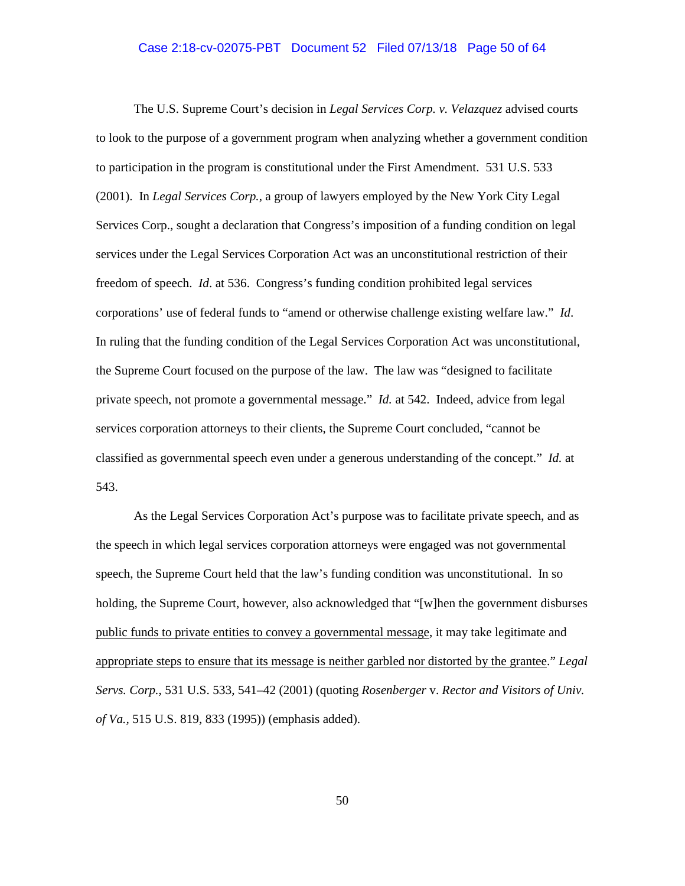## Case 2:18-cv-02075-PBT Document 52 Filed 07/13/18 Page 50 of 64

The U.S. Supreme Court's decision in *Legal Services Corp. v. Velazquez* advised courts to look to the purpose of a government program when analyzing whether a government condition to participation in the program is constitutional under the First Amendment. 531 U.S. 533 (2001). In *Legal Services Corp.*, a group of lawyers employed by the New York City Legal Services Corp., sought a declaration that Congress's imposition of a funding condition on legal services under the Legal Services Corporation Act was an unconstitutional restriction of their freedom of speech. *Id*. at 536. Congress's funding condition prohibited legal services corporations' use of federal funds to "amend or otherwise challenge existing welfare law." *Id*. In ruling that the funding condition of the Legal Services Corporation Act was unconstitutional, the Supreme Court focused on the purpose of the law. The law was "designed to facilitate private speech, not promote a governmental message." *Id.* at 542. Indeed, advice from legal services corporation attorneys to their clients, the Supreme Court concluded, "cannot be classified as governmental speech even under a generous understanding of the concept." *Id.* at 543.

As the Legal Services Corporation Act's purpose was to facilitate private speech, and as the speech in which legal services corporation attorneys were engaged was not governmental speech, the Supreme Court held that the law's funding condition was unconstitutional. In so holding, the Supreme Court, however, also acknowledged that "[w]hen the government disburses public funds to private entities to convey a governmental message, it may take legitimate and appropriate steps to ensure that its message is neither garbled nor distorted by the grantee." *Legal Servs. Corp.*, 531 U.S. 533, 541–42 (2001) (quoting *Rosenberger* v. *Rector and Visitors of Univ. of Va.,* 515 U.S. 819, 833 (1995)) (emphasis added).

50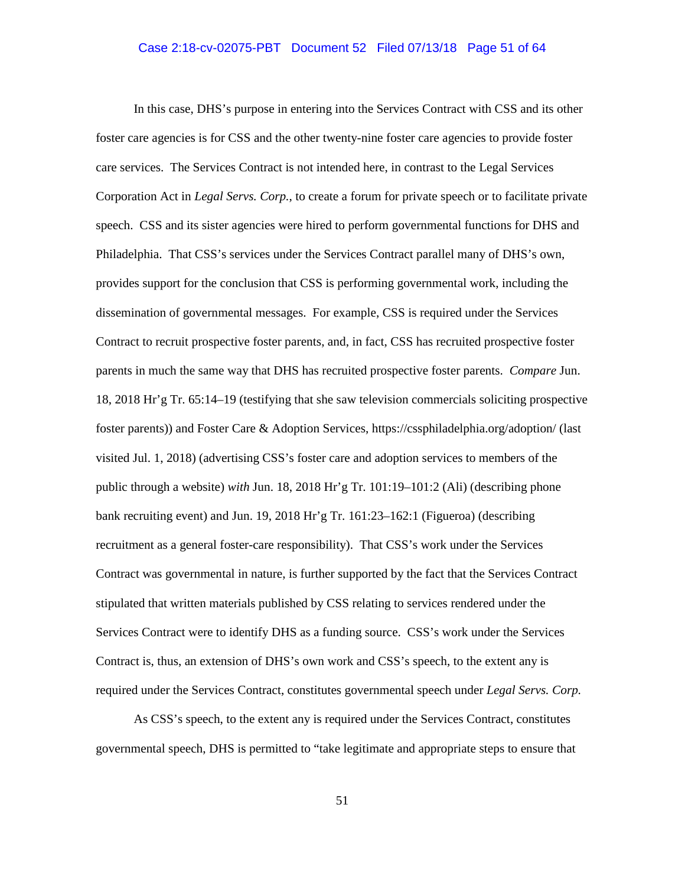## Case 2:18-cv-02075-PBT Document 52 Filed 07/13/18 Page 51 of 64

In this case, DHS's purpose in entering into the Services Contract with CSS and its other foster care agencies is for CSS and the other twenty-nine foster care agencies to provide foster care services. The Services Contract is not intended here, in contrast to the Legal Services Corporation Act in *Legal Servs. Corp.*, to create a forum for private speech or to facilitate private speech. CSS and its sister agencies were hired to perform governmental functions for DHS and Philadelphia. That CSS's services under the Services Contract parallel many of DHS's own, provides support for the conclusion that CSS is performing governmental work, including the dissemination of governmental messages. For example, CSS is required under the Services Contract to recruit prospective foster parents, and, in fact, CSS has recruited prospective foster parents in much the same way that DHS has recruited prospective foster parents. *Compare* Jun. 18, 2018 Hr'g Tr. 65:14–19 (testifying that she saw television commercials soliciting prospective foster parents)) and Foster Care & Adoption Services, https://cssphiladelphia.org/adoption/ (last visited Jul. 1, 2018) (advertising CSS's foster care and adoption services to members of the public through a website) *with* Jun. 18, 2018 Hr'g Tr. 101:19–101:2 (Ali) (describing phone bank recruiting event) and Jun. 19, 2018 Hr'g Tr. 161:23–162:1 (Figueroa) (describing recruitment as a general foster-care responsibility). That CSS's work under the Services Contract was governmental in nature, is further supported by the fact that the Services Contract stipulated that written materials published by CSS relating to services rendered under the Services Contract were to identify DHS as a funding source. CSS's work under the Services Contract is, thus, an extension of DHS's own work and CSS's speech, to the extent any is required under the Services Contract, constitutes governmental speech under *Legal Servs. Corp.*

As CSS's speech, to the extent any is required under the Services Contract, constitutes governmental speech, DHS is permitted to "take legitimate and appropriate steps to ensure that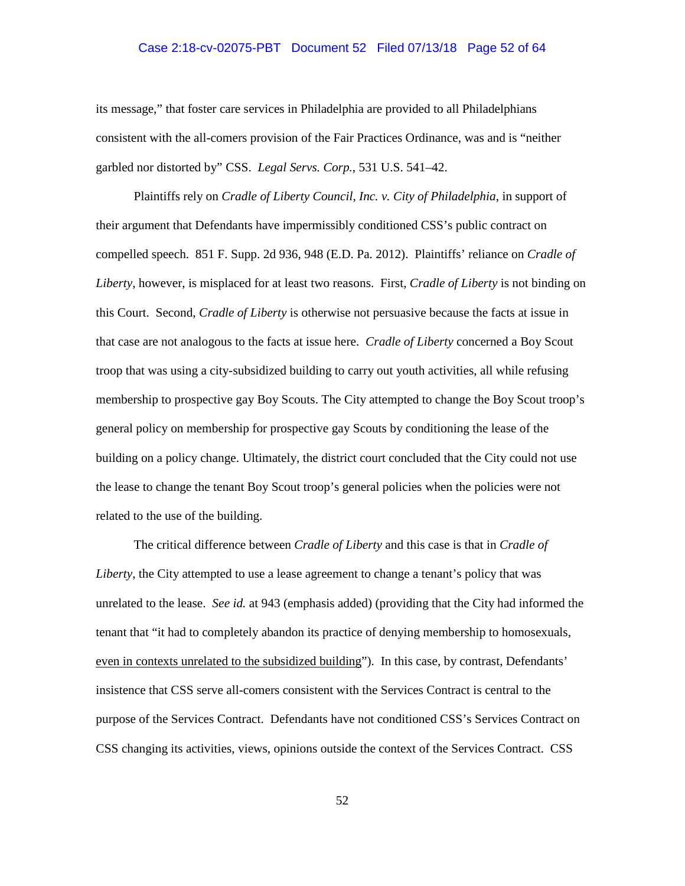### Case 2:18-cv-02075-PBT Document 52 Filed 07/13/18 Page 52 of 64

its message," that foster care services in Philadelphia are provided to all Philadelphians consistent with the all-comers provision of the Fair Practices Ordinance, was and is "neither garbled nor distorted by" CSS. *Legal Servs. Corp.*, 531 U.S. 541–42.

Plaintiffs rely on *Cradle of Liberty Council, Inc. v. City of Philadelphia*, in support of their argument that Defendants have impermissibly conditioned CSS's public contract on compelled speech. 851 F. Supp. 2d 936, 948 (E.D. Pa. 2012). Plaintiffs' reliance on *Cradle of Liberty*, however, is misplaced for at least two reasons. First, *Cradle of Liberty* is not binding on this Court. Second, *Cradle of Liberty* is otherwise not persuasive because the facts at issue in that case are not analogous to the facts at issue here. *Cradle of Liberty* concerned a Boy Scout troop that was using a city-subsidized building to carry out youth activities, all while refusing membership to prospective gay Boy Scouts. The City attempted to change the Boy Scout troop's general policy on membership for prospective gay Scouts by conditioning the lease of the building on a policy change. Ultimately, the district court concluded that the City could not use the lease to change the tenant Boy Scout troop's general policies when the policies were not related to the use of the building.

The critical difference between *Cradle of Liberty* and this case is that in *Cradle of Liberty*, the City attempted to use a lease agreement to change a tenant's policy that was unrelated to the lease. *See id.* at 943 (emphasis added) (providing that the City had informed the tenant that "it had to completely abandon its practice of denying membership to homosexuals, even in contexts unrelated to the subsidized building"). In this case, by contrast, Defendants' insistence that CSS serve all-comers consistent with the Services Contract is central to the purpose of the Services Contract. Defendants have not conditioned CSS's Services Contract on CSS changing its activities, views, opinions outside the context of the Services Contract. CSS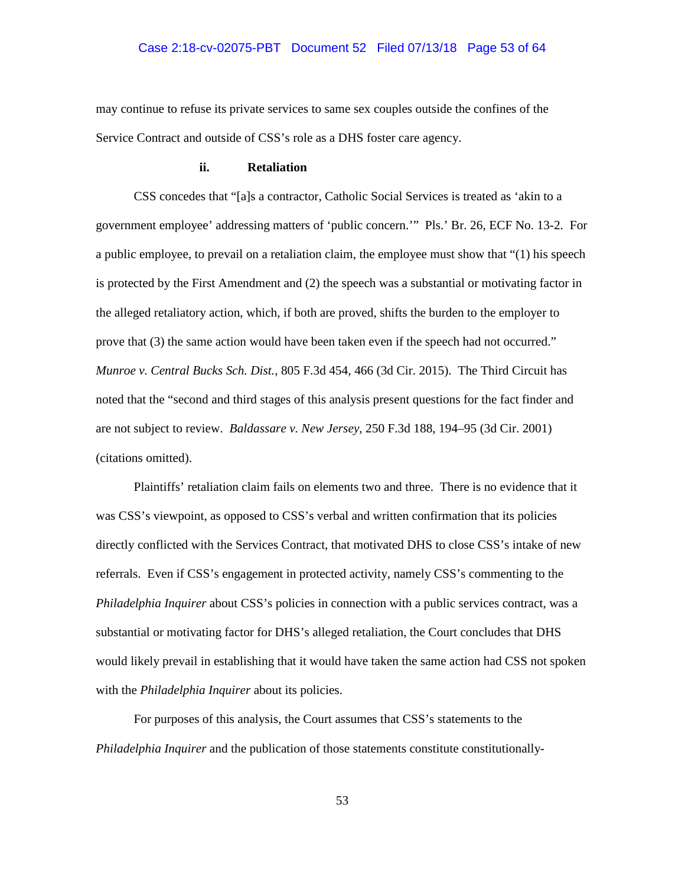### Case 2:18-cv-02075-PBT Document 52 Filed 07/13/18 Page 53 of 64

may continue to refuse its private services to same sex couples outside the confines of the Service Contract and outside of CSS's role as a DHS foster care agency.

## **ii. Retaliation**

CSS concedes that "[a]s a contractor, Catholic Social Services is treated as 'akin to a government employee' addressing matters of 'public concern.'" Pls.' Br. 26, ECF No. 13-2. For a public employee, to prevail on a retaliation claim, the employee must show that "(1) his speech is protected by the First Amendment and (2) the speech was a substantial or motivating factor in the alleged retaliatory action, which, if both are proved, shifts the burden to the employer to prove that (3) the same action would have been taken even if the speech had not occurred." *Munroe v. Central Bucks Sch. Dist.*, 805 F.3d 454, 466 (3d Cir. 2015). The Third Circuit has noted that the "second and third stages of this analysis present questions for the fact finder and are not subject to review. *Baldassare v. New Jersey*, 250 F.3d 188, 194–95 (3d Cir. 2001) (citations omitted).

Plaintiffs' retaliation claim fails on elements two and three. There is no evidence that it was CSS's viewpoint, as opposed to CSS's verbal and written confirmation that its policies directly conflicted with the Services Contract, that motivated DHS to close CSS's intake of new referrals. Even if CSS's engagement in protected activity, namely CSS's commenting to the *Philadelphia Inquirer* about CSS's policies in connection with a public services contract, was a substantial or motivating factor for DHS's alleged retaliation, the Court concludes that DHS would likely prevail in establishing that it would have taken the same action had CSS not spoken with the *Philadelphia Inquirer* about its policies.

For purposes of this analysis, the Court assumes that CSS's statements to the *Philadelphia Inquirer* and the publication of those statements constitute constitutionally-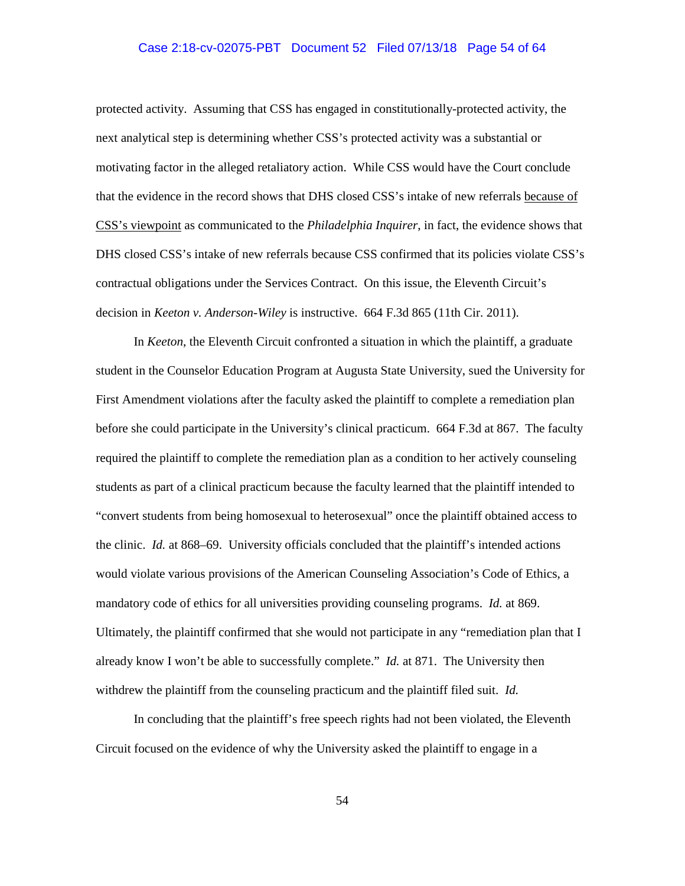### Case 2:18-cv-02075-PBT Document 52 Filed 07/13/18 Page 54 of 64

protected activity. Assuming that CSS has engaged in constitutionally-protected activity, the next analytical step is determining whether CSS's protected activity was a substantial or motivating factor in the alleged retaliatory action. While CSS would have the Court conclude that the evidence in the record shows that DHS closed CSS's intake of new referrals because of CSS's viewpoint as communicated to the *Philadelphia Inquirer*, in fact, the evidence shows that DHS closed CSS's intake of new referrals because CSS confirmed that its policies violate CSS's contractual obligations under the Services Contract. On this issue, the Eleventh Circuit's decision in *Keeton v. Anderson-Wiley* is instructive. 664 F.3d 865 (11th Cir. 2011).

In *Keeton*, the Eleventh Circuit confronted a situation in which the plaintiff, a graduate student in the Counselor Education Program at Augusta State University, sued the University for First Amendment violations after the faculty asked the plaintiff to complete a remediation plan before she could participate in the University's clinical practicum. 664 F.3d at 867. The faculty required the plaintiff to complete the remediation plan as a condition to her actively counseling students as part of a clinical practicum because the faculty learned that the plaintiff intended to "convert students from being homosexual to heterosexual" once the plaintiff obtained access to the clinic. *Id.* at 868–69. University officials concluded that the plaintiff's intended actions would violate various provisions of the American Counseling Association's Code of Ethics, a mandatory code of ethics for all universities providing counseling programs. *Id.* at 869. Ultimately, the plaintiff confirmed that she would not participate in any "remediation plan that I already know I won't be able to successfully complete." *Id.* at 871. The University then withdrew the plaintiff from the counseling practicum and the plaintiff filed suit. *Id.*

In concluding that the plaintiff's free speech rights had not been violated, the Eleventh Circuit focused on the evidence of why the University asked the plaintiff to engage in a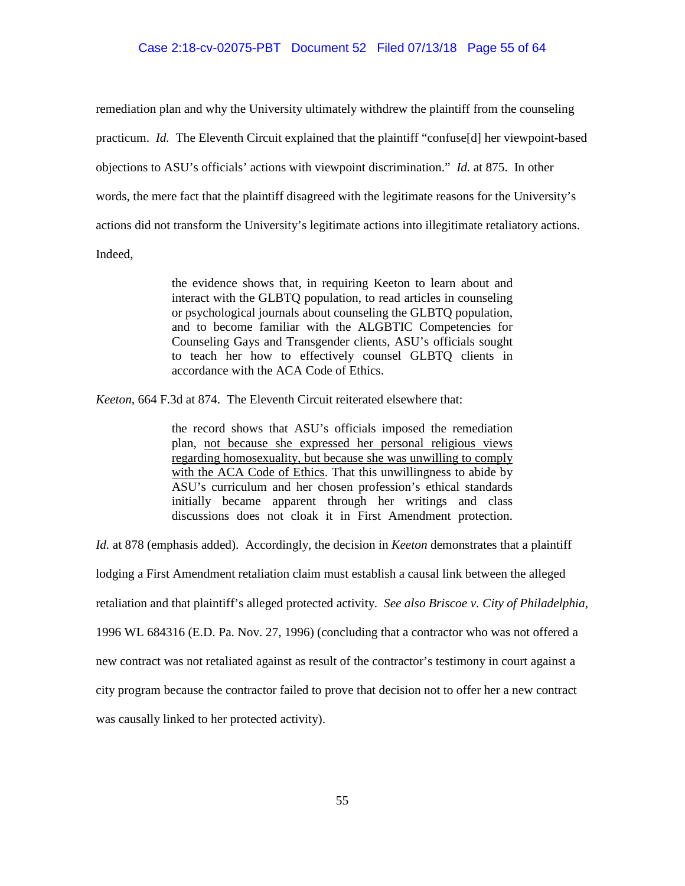remediation plan and why the University ultimately withdrew the plaintiff from the counseling practicum. *Id.* The Eleventh Circuit explained that the plaintiff "confuse[d] her viewpoint-based objections to ASU's officials' actions with viewpoint discrimination." *Id.* at 875. In other words, the mere fact that the plaintiff disagreed with the legitimate reasons for the University's actions did not transform the University's legitimate actions into illegitimate retaliatory actions. Indeed,

> the evidence shows that, in requiring Keeton to learn about and interact with the GLBTQ population, to read articles in counseling or psychological journals about counseling the GLBTQ population, and to become familiar with the ALGBTIC Competencies for Counseling Gays and Transgender clients, ASU's officials sought to teach her how to effectively counsel GLBTQ clients in accordance with the ACA Code of Ethics.

*Keeton*, 664 F.3d at 874. The Eleventh Circuit reiterated elsewhere that:

the record shows that ASU's officials imposed the remediation plan, not because she expressed her personal religious views regarding homosexuality, but because she was unwilling to comply with the ACA Code of Ethics. That this unwillingness to abide by ASU's curriculum and her chosen profession's ethical standards initially became apparent through her writings and class discussions does not cloak it in First Amendment protection.

*Id.* at 878 (emphasis added). Accordingly, the decision in *Keeton* demonstrates that a plaintiff

lodging a First Amendment retaliation claim must establish a causal link between the alleged

retaliation and that plaintiff's alleged protected activity. *See also Briscoe v. City of Philadelphia*,

1996 WL 684316 (E.D. Pa. Nov. 27, 1996) (concluding that a contractor who was not offered a

new contract was not retaliated against as result of the contractor's testimony in court against a

city program because the contractor failed to prove that decision not to offer her a new contract

was causally linked to her protected activity).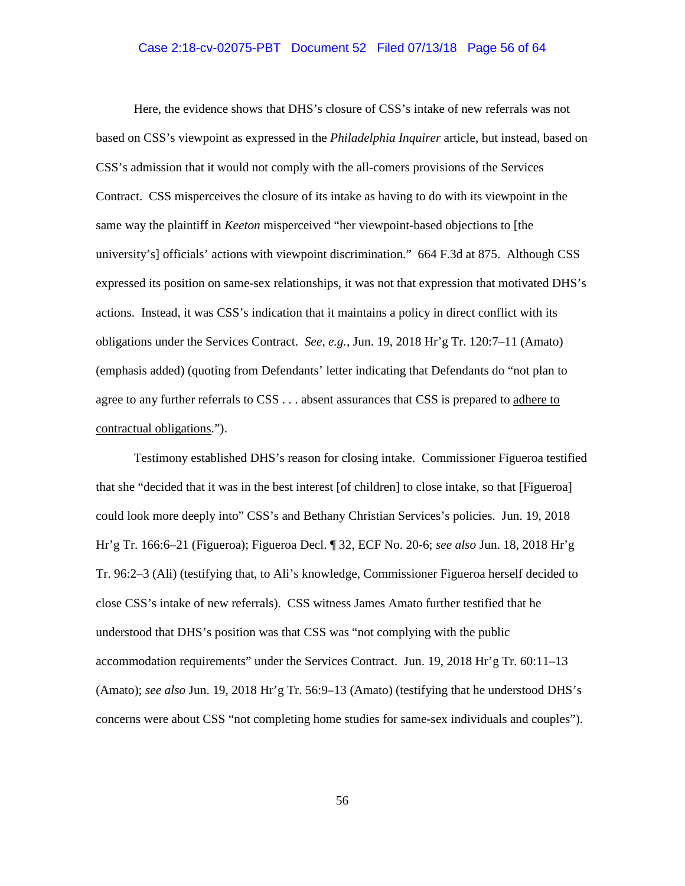#### Case 2:18-cv-02075-PBT Document 52 Filed 07/13/18 Page 56 of 64

Here, the evidence shows that DHS's closure of CSS's intake of new referrals was not based on CSS's viewpoint as expressed in the *Philadelphia Inquirer* article, but instead, based on CSS's admission that it would not comply with the all-comers provisions of the Services Contract. CSS misperceives the closure of its intake as having to do with its viewpoint in the same way the plaintiff in *Keeton* misperceived "her viewpoint-based objections to [the university's] officials' actions with viewpoint discrimination." 664 F.3d at 875. Although CSS expressed its position on same-sex relationships, it was not that expression that motivated DHS's actions. Instead, it was CSS's indication that it maintains a policy in direct conflict with its obligations under the Services Contract. *See, e.g.*, Jun. 19, 2018 Hr'g Tr. 120:7–11 (Amato) (emphasis added) (quoting from Defendants' letter indicating that Defendants do "not plan to agree to any further referrals to CSS . . . absent assurances that CSS is prepared to adhere to contractual obligations.").

Testimony established DHS's reason for closing intake. Commissioner Figueroa testified that she "decided that it was in the best interest [of children] to close intake, so that [Figueroa] could look more deeply into" CSS's and Bethany Christian Services's policies. Jun. 19, 2018 Hr'g Tr. 166:6–21 (Figueroa); Figueroa Decl. ¶ 32, ECF No. 20-6; *see also* Jun. 18, 2018 Hr'g Tr. 96:2–3 (Ali) (testifying that, to Ali's knowledge, Commissioner Figueroa herself decided to close CSS's intake of new referrals). CSS witness James Amato further testified that he understood that DHS's position was that CSS was "not complying with the public accommodation requirements" under the Services Contract. Jun. 19, 2018 Hr'g Tr. 60:11–13 (Amato); *see also* Jun. 19, 2018 Hr'g Tr. 56:9–13 (Amato) (testifying that he understood DHS's concerns were about CSS "not completing home studies for same-sex individuals and couples").

56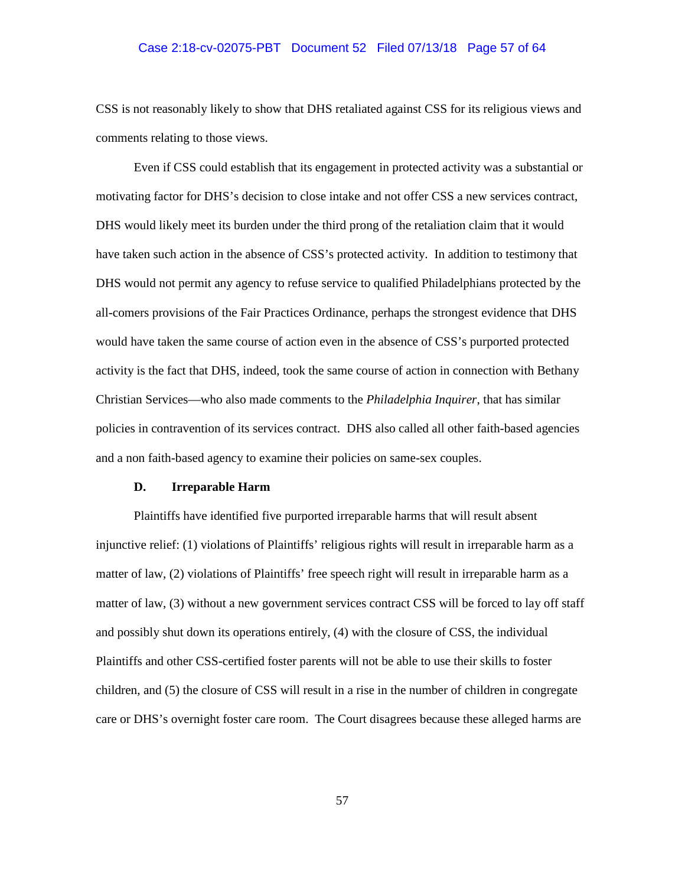## Case 2:18-cv-02075-PBT Document 52 Filed 07/13/18 Page 57 of 64

CSS is not reasonably likely to show that DHS retaliated against CSS for its religious views and comments relating to those views.

Even if CSS could establish that its engagement in protected activity was a substantial or motivating factor for DHS's decision to close intake and not offer CSS a new services contract, DHS would likely meet its burden under the third prong of the retaliation claim that it would have taken such action in the absence of CSS's protected activity. In addition to testimony that DHS would not permit any agency to refuse service to qualified Philadelphians protected by the all-comers provisions of the Fair Practices Ordinance, perhaps the strongest evidence that DHS would have taken the same course of action even in the absence of CSS's purported protected activity is the fact that DHS, indeed, took the same course of action in connection with Bethany Christian Services—who also made comments to the *Philadelphia Inquirer*, that has similar policies in contravention of its services contract. DHS also called all other faith-based agencies and a non faith-based agency to examine their policies on same-sex couples.

### **D. Irreparable Harm**

Plaintiffs have identified five purported irreparable harms that will result absent injunctive relief: (1) violations of Plaintiffs' religious rights will result in irreparable harm as a matter of law, (2) violations of Plaintiffs' free speech right will result in irreparable harm as a matter of law, (3) without a new government services contract CSS will be forced to lay off staff and possibly shut down its operations entirely, (4) with the closure of CSS, the individual Plaintiffs and other CSS-certified foster parents will not be able to use their skills to foster children, and (5) the closure of CSS will result in a rise in the number of children in congregate care or DHS's overnight foster care room. The Court disagrees because these alleged harms are

57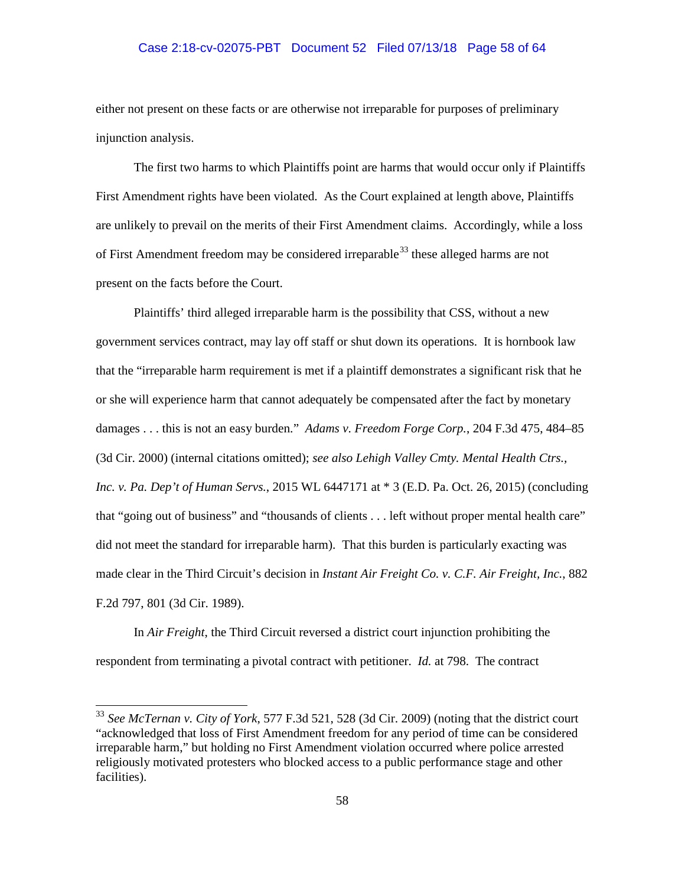## Case 2:18-cv-02075-PBT Document 52 Filed 07/13/18 Page 58 of 64

either not present on these facts or are otherwise not irreparable for purposes of preliminary injunction analysis.

The first two harms to which Plaintiffs point are harms that would occur only if Plaintiffs First Amendment rights have been violated. As the Court explained at length above, Plaintiffs are unlikely to prevail on the merits of their First Amendment claims. Accordingly, while a loss of First Amendment freedom may be considered irreparable<sup>33</sup> these alleged harms are not present on the facts before the Court.

Plaintiffs' third alleged irreparable harm is the possibility that CSS, without a new government services contract, may lay off staff or shut down its operations. It is hornbook law that the "irreparable harm requirement is met if a plaintiff demonstrates a significant risk that he or she will experience harm that cannot adequately be compensated after the fact by monetary damages . . . this is not an easy burden." *Adams v. Freedom Forge Corp.*, 204 F.3d 475, 484–85 (3d Cir. 2000) (internal citations omitted); *see also Lehigh Valley Cmty. Mental Health Ctrs., Inc. v. Pa. Dep't of Human Servs.*, 2015 WL 6447171 at \* 3 (E.D. Pa. Oct. 26, 2015) (concluding that "going out of business" and "thousands of clients . . . left without proper mental health care" did not meet the standard for irreparable harm). That this burden is particularly exacting was made clear in the Third Circuit's decision in *Instant Air Freight Co. v. C.F. Air Freight, Inc.*, 882 F.2d 797, 801 (3d Cir. 1989).

In *Air Freight*, the Third Circuit reversed a district court injunction prohibiting the respondent from terminating a pivotal contract with petitioner. *Id.* at 798. The contract

<sup>33</sup> *See McTernan v. City of York*, 577 F.3d 521, 528 (3d Cir. 2009) (noting that the district court "acknowledged that loss of First Amendment freedom for any period of time can be considered irreparable harm," but holding no First Amendment violation occurred where police arrested religiously motivated protesters who blocked access to a public performance stage and other facilities).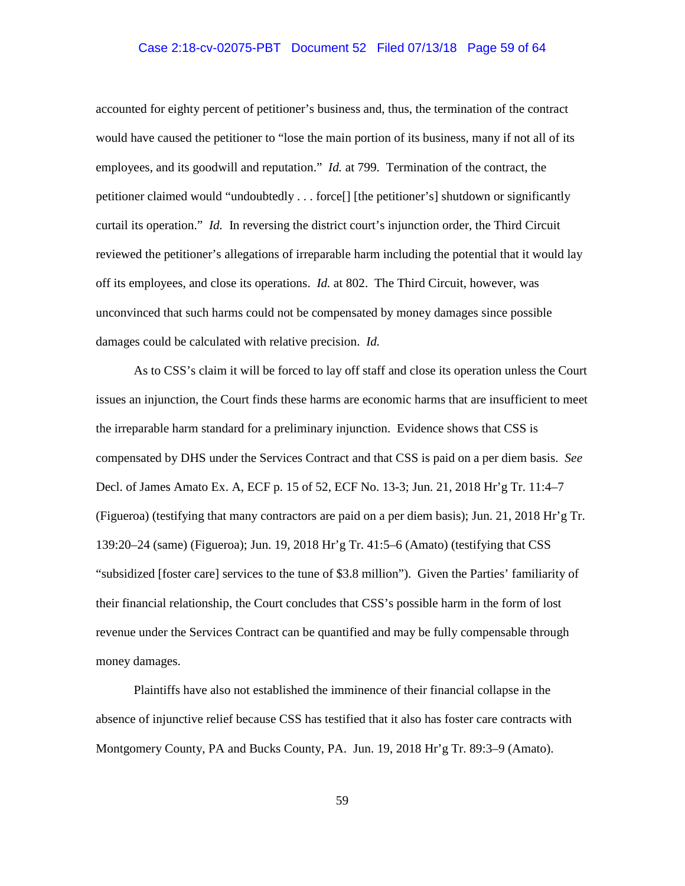## Case 2:18-cv-02075-PBT Document 52 Filed 07/13/18 Page 59 of 64

accounted for eighty percent of petitioner's business and, thus, the termination of the contract would have caused the petitioner to "lose the main portion of its business, many if not all of its employees, and its goodwill and reputation." *Id.* at 799. Termination of the contract, the petitioner claimed would "undoubtedly . . . force[] [the petitioner's] shutdown or significantly curtail its operation." *Id.* In reversing the district court's injunction order, the Third Circuit reviewed the petitioner's allegations of irreparable harm including the potential that it would lay off its employees, and close its operations. *Id.* at 802. The Third Circuit, however, was unconvinced that such harms could not be compensated by money damages since possible damages could be calculated with relative precision. *Id.* 

As to CSS's claim it will be forced to lay off staff and close its operation unless the Court issues an injunction, the Court finds these harms are economic harms that are insufficient to meet the irreparable harm standard for a preliminary injunction. Evidence shows that CSS is compensated by DHS under the Services Contract and that CSS is paid on a per diem basis. *See*  Decl. of James Amato Ex. A, ECF p. 15 of 52, ECF No. 13-3; Jun. 21, 2018 Hr'g Tr. 11:4–7 (Figueroa) (testifying that many contractors are paid on a per diem basis); Jun. 21, 2018 Hr'g Tr. 139:20–24 (same) (Figueroa); Jun. 19, 2018 Hr'g Tr. 41:5–6 (Amato) (testifying that CSS "subsidized [foster care] services to the tune of \$3.8 million"). Given the Parties' familiarity of their financial relationship, the Court concludes that CSS's possible harm in the form of lost revenue under the Services Contract can be quantified and may be fully compensable through money damages.

Plaintiffs have also not established the imminence of their financial collapse in the absence of injunctive relief because CSS has testified that it also has foster care contracts with Montgomery County, PA and Bucks County, PA. Jun. 19, 2018 Hr'g Tr. 89:3–9 (Amato).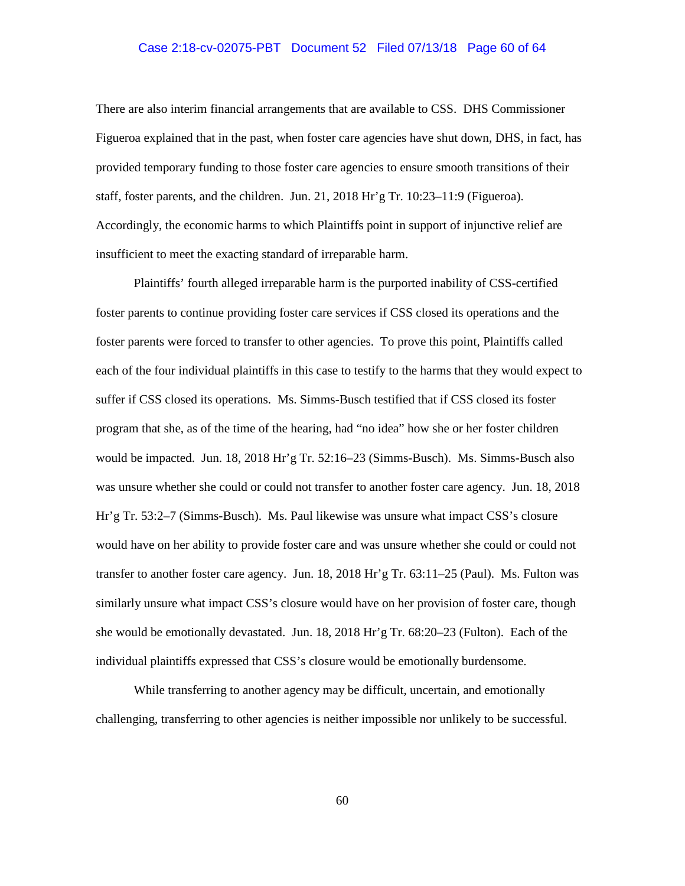## Case 2:18-cv-02075-PBT Document 52 Filed 07/13/18 Page 60 of 64

There are also interim financial arrangements that are available to CSS. DHS Commissioner Figueroa explained that in the past, when foster care agencies have shut down, DHS, in fact, has provided temporary funding to those foster care agencies to ensure smooth transitions of their staff, foster parents, and the children. Jun. 21, 2018 Hr'g Tr. 10:23–11:9 (Figueroa). Accordingly, the economic harms to which Plaintiffs point in support of injunctive relief are insufficient to meet the exacting standard of irreparable harm.

Plaintiffs' fourth alleged irreparable harm is the purported inability of CSS-certified foster parents to continue providing foster care services if CSS closed its operations and the foster parents were forced to transfer to other agencies. To prove this point, Plaintiffs called each of the four individual plaintiffs in this case to testify to the harms that they would expect to suffer if CSS closed its operations. Ms. Simms-Busch testified that if CSS closed its foster program that she, as of the time of the hearing, had "no idea" how she or her foster children would be impacted. Jun. 18, 2018 Hr'g Tr. 52:16–23 (Simms-Busch). Ms. Simms-Busch also was unsure whether she could or could not transfer to another foster care agency. Jun. 18, 2018 Hr'g Tr. 53:2–7 (Simms-Busch). Ms. Paul likewise was unsure what impact CSS's closure would have on her ability to provide foster care and was unsure whether she could or could not transfer to another foster care agency. Jun. 18, 2018 Hr'g Tr. 63:11–25 (Paul). Ms. Fulton was similarly unsure what impact CSS's closure would have on her provision of foster care, though she would be emotionally devastated. Jun. 18, 2018 Hr'g Tr. 68:20–23 (Fulton). Each of the individual plaintiffs expressed that CSS's closure would be emotionally burdensome.

While transferring to another agency may be difficult, uncertain, and emotionally challenging, transferring to other agencies is neither impossible nor unlikely to be successful.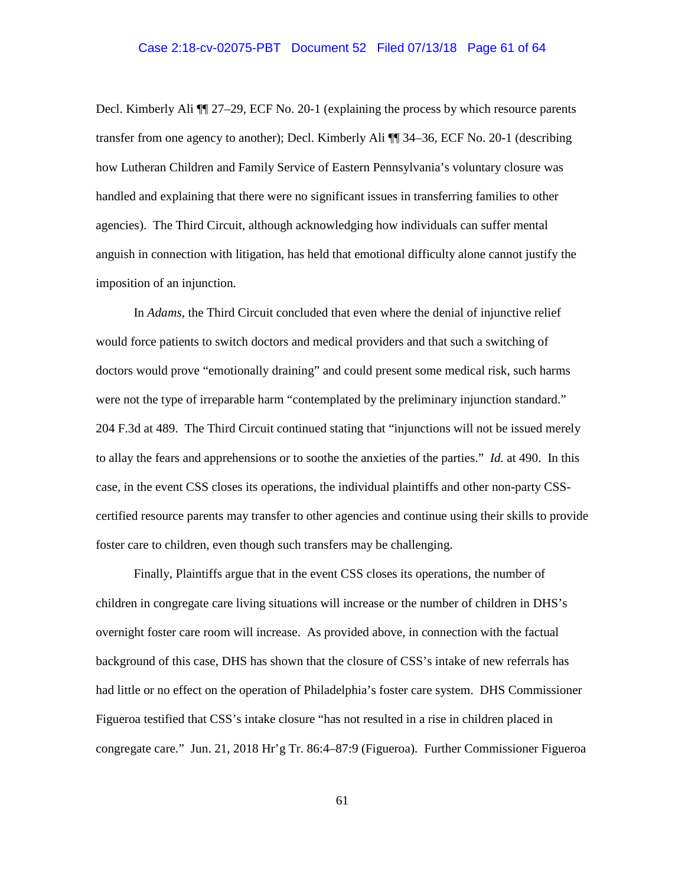## Case 2:18-cv-02075-PBT Document 52 Filed 07/13/18 Page 61 of 64

Decl. Kimberly Ali ¶¶ 27–29, ECF No. 20-1 (explaining the process by which resource parents transfer from one agency to another); Decl. Kimberly Ali ¶¶ 34–36, ECF No. 20-1 (describing how Lutheran Children and Family Service of Eastern Pennsylvania's voluntary closure was handled and explaining that there were no significant issues in transferring families to other agencies). The Third Circuit, although acknowledging how individuals can suffer mental anguish in connection with litigation, has held that emotional difficulty alone cannot justify the imposition of an injunction.

In *Adams*, the Third Circuit concluded that even where the denial of injunctive relief would force patients to switch doctors and medical providers and that such a switching of doctors would prove "emotionally draining" and could present some medical risk, such harms were not the type of irreparable harm "contemplated by the preliminary injunction standard." 204 F.3d at 489. The Third Circuit continued stating that "injunctions will not be issued merely to allay the fears and apprehensions or to soothe the anxieties of the parties." *Id.* at 490. In this case, in the event CSS closes its operations, the individual plaintiffs and other non-party CSScertified resource parents may transfer to other agencies and continue using their skills to provide foster care to children, even though such transfers may be challenging.

Finally, Plaintiffs argue that in the event CSS closes its operations, the number of children in congregate care living situations will increase or the number of children in DHS's overnight foster care room will increase. As provided above, in connection with the factual background of this case, DHS has shown that the closure of CSS's intake of new referrals has had little or no effect on the operation of Philadelphia's foster care system. DHS Commissioner Figueroa testified that CSS's intake closure "has not resulted in a rise in children placed in congregate care." Jun. 21, 2018 Hr'g Tr. 86:4–87:9 (Figueroa). Further Commissioner Figueroa

61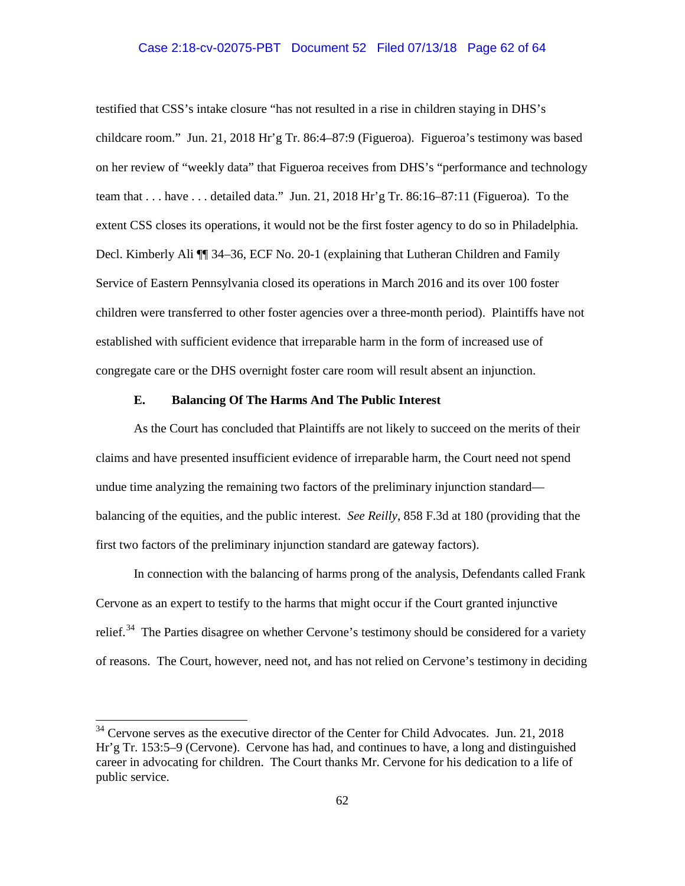## Case 2:18-cv-02075-PBT Document 52 Filed 07/13/18 Page 62 of 64

testified that CSS's intake closure "has not resulted in a rise in children staying in DHS's childcare room." Jun. 21, 2018 Hr'g Tr. 86:4–87:9 (Figueroa). Figueroa's testimony was based on her review of "weekly data" that Figueroa receives from DHS's "performance and technology team that . . . have . . . detailed data." Jun. 21, 2018 Hr'g Tr. 86:16–87:11 (Figueroa). To the extent CSS closes its operations, it would not be the first foster agency to do so in Philadelphia. Decl. Kimberly Ali ¶¶ 34–36, ECF No. 20-1 (explaining that Lutheran Children and Family Service of Eastern Pennsylvania closed its operations in March 2016 and its over 100 foster children were transferred to other foster agencies over a three-month period). Plaintiffs have not established with sufficient evidence that irreparable harm in the form of increased use of congregate care or the DHS overnight foster care room will result absent an injunction.

## **E. Balancing Of The Harms And The Public Interest**

As the Court has concluded that Plaintiffs are not likely to succeed on the merits of their claims and have presented insufficient evidence of irreparable harm, the Court need not spend undue time analyzing the remaining two factors of the preliminary injunction standard balancing of the equities, and the public interest. *See Reilly*, 858 F.3d at 180 (providing that the first two factors of the preliminary injunction standard are gateway factors).

In connection with the balancing of harms prong of the analysis, Defendants called Frank Cervone as an expert to testify to the harms that might occur if the Court granted injunctive relief.<sup>34</sup> The Parties disagree on whether Cervone's testimony should be considered for a variety of reasons. The Court, however, need not, and has not relied on Cervone's testimony in deciding

<sup>&</sup>lt;sup>34</sup> Cervone serves as the executive director of the Center for Child Advocates. Jun. 21, 2018 Hr'g Tr. 153:5–9 (Cervone). Cervone has had, and continues to have, a long and distinguished career in advocating for children. The Court thanks Mr. Cervone for his dedication to a life of public service.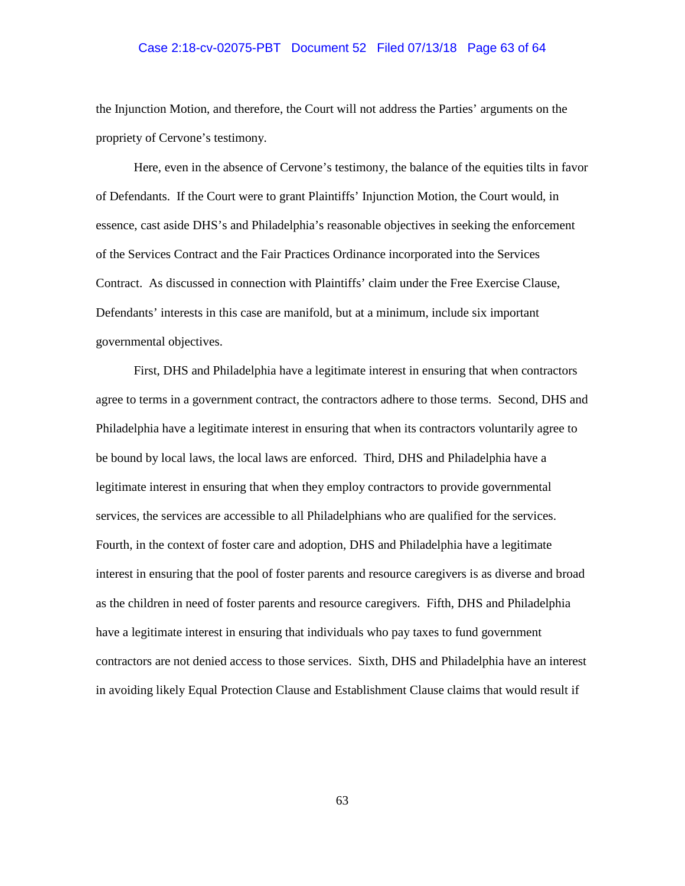## Case 2:18-cv-02075-PBT Document 52 Filed 07/13/18 Page 63 of 64

the Injunction Motion, and therefore, the Court will not address the Parties' arguments on the propriety of Cervone's testimony.

Here, even in the absence of Cervone's testimony, the balance of the equities tilts in favor of Defendants. If the Court were to grant Plaintiffs' Injunction Motion, the Court would, in essence, cast aside DHS's and Philadelphia's reasonable objectives in seeking the enforcement of the Services Contract and the Fair Practices Ordinance incorporated into the Services Contract. As discussed in connection with Plaintiffs' claim under the Free Exercise Clause, Defendants' interests in this case are manifold, but at a minimum, include six important governmental objectives.

First, DHS and Philadelphia have a legitimate interest in ensuring that when contractors agree to terms in a government contract, the contractors adhere to those terms. Second, DHS and Philadelphia have a legitimate interest in ensuring that when its contractors voluntarily agree to be bound by local laws, the local laws are enforced. Third, DHS and Philadelphia have a legitimate interest in ensuring that when they employ contractors to provide governmental services, the services are accessible to all Philadelphians who are qualified for the services. Fourth, in the context of foster care and adoption, DHS and Philadelphia have a legitimate interest in ensuring that the pool of foster parents and resource caregivers is as diverse and broad as the children in need of foster parents and resource caregivers. Fifth, DHS and Philadelphia have a legitimate interest in ensuring that individuals who pay taxes to fund government contractors are not denied access to those services. Sixth, DHS and Philadelphia have an interest in avoiding likely Equal Protection Clause and Establishment Clause claims that would result if

63